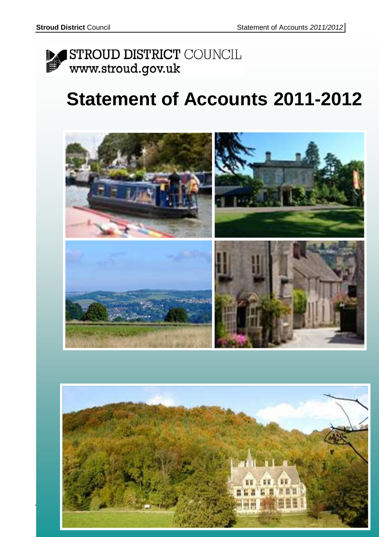

# **Statement of Accounts 2011-2012**



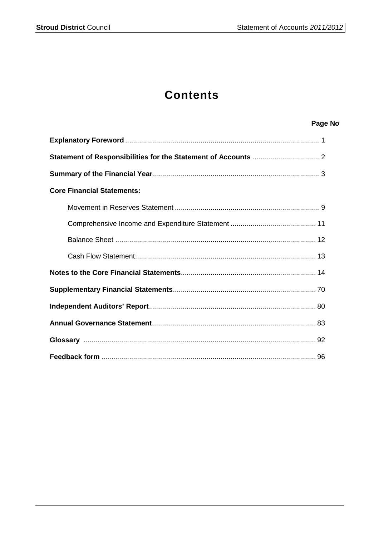### **Contents**

### Page No

| <b>Core Financial Statements:</b> |
|-----------------------------------|
|                                   |
|                                   |
|                                   |
|                                   |
|                                   |
|                                   |
|                                   |
|                                   |
|                                   |
|                                   |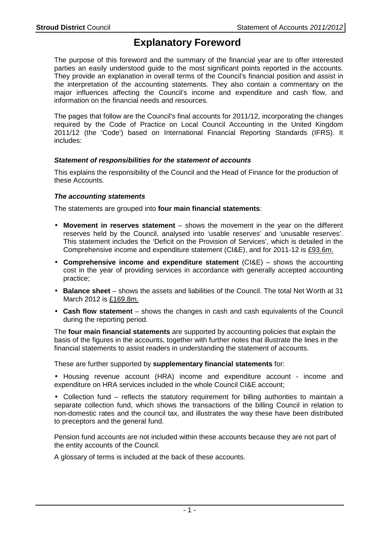### **Explanatory Foreword**

The purpose of this foreword and the summary of the financial year are to offer interested parties an easily understood guide to the most significant points reported in the accounts. They provide an explanation in overall terms of the Council's financial position and assist in the interpretation of the accounting statements. They also contain a commentary on the major influences affecting the Council's income and expenditure and cash flow, and information on the financial needs and resources.

The pages that follow are the Council's final accounts for 2011/12, incorporating the changes required by the Code of Practice on Local Council Accounting in the United Kingdom 2011/12 (the 'Code') based on International Financial Reporting Standards (IFRS). It includes:

#### **Statement of responsibilities for the statement of accounts**

This explains the responsibility of the Council and the Head of Finance for the production of these Accounts.

#### **The accounting statements**

The statements are grouped into **four main financial statements**:

- **Movement in reserves statement** shows the movement in the year on the different reserves held by the Council, analysed into 'usable reserves' and 'unusable reserves'. This statement includes the 'Deficit on the Provision of Services', which is detailed in the Comprehensive income and expenditure statement (CI&E), and for 2011-12 is £93.6m.
- **Comprehensive income and expenditure statement** (CI&E) shows the accounting cost in the year of providing services in accordance with generally accepted accounting practice;
- **Balance sheet** shows the assets and liabilities of the Council. The total Net Worth at 31 March 2012 is £169.8m.
- **Cash flow statement** shows the changes in cash and cash equivalents of the Council during the reporting period.

The **four main financial statements** are supported by accounting policies that explain the basis of the figures in the accounts, together with further notes that illustrate the lines in the financial statements to assist readers in understanding the statement of accounts.

These are further supported by **supplementary financial statements** for:

• Housing revenue account (HRA) income and expenditure account - income and expenditure on HRA services included in the whole Council CI&E account;

• Collection fund – reflects the statutory requirement for billing authorities to maintain a separate collection fund, which shows the transactions of the billing Council in relation to non-domestic rates and the council tax, and illustrates the way these have been distributed to preceptors and the general fund.

Pension fund accounts are not included within these accounts because they are not part of the entity accounts of the Council.

A glossary of terms is included at the back of these accounts.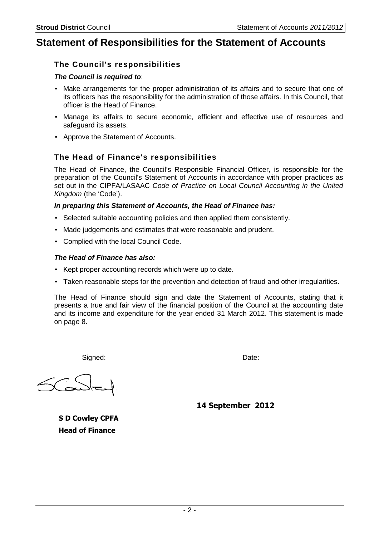### **Statement of Responsibilities for the Statement of Accounts**

#### **The Council's responsibilities**

#### **The Council is required to**:

- Make arrangements for the proper administration of its affairs and to secure that one of its officers has the responsibility for the administration of those affairs. In this Council, that officer is the Head of Finance.
- Manage its affairs to secure economic, efficient and effective use of resources and safeguard its assets.
- Approve the Statement of Accounts.

#### **The Head of Finance's responsibilities**

The Head of Finance, the Council's Responsible Financial Officer, is responsible for the preparation of the Council's Statement of Accounts in accordance with proper practices as set out in the CIPFA/LASAAC Code of Practice on Local Council Accounting in the United Kingdom (the 'Code').

#### **In preparing this Statement of Accounts, the Head of Finance has:**

- Selected suitable accounting policies and then applied them consistently.
- Made judgements and estimates that were reasonable and prudent.
- Complied with the local Council Code.

#### **The Head of Finance has also:**

- Kept proper accounting records which were up to date.
- Taken reasonable steps for the prevention and detection of fraud and other irregularities.

The Head of Finance should sign and date the Statement of Accounts, stating that it presents a true and fair view of the financial position of the Council at the accounting date and its income and expenditure for the year ended 31 March 2012. This statement is made on page 8.

Signed: We are also as a set of the Date: Date:

**14 September 2012**

**S D Cowley CPFA Head of Finance**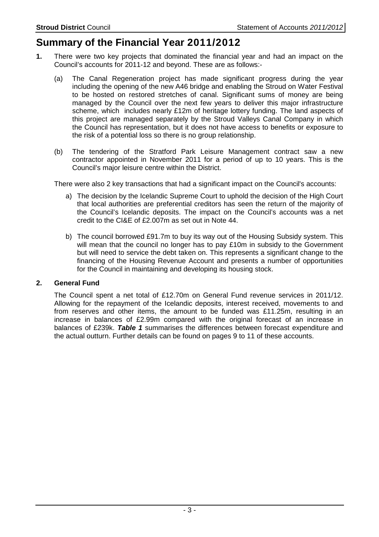### **Summary of the Financial Year 2011/2012**

- **1.** There were two key projects that dominated the financial year and had an impact on the Council's accounts for 2011-12 and beyond. These are as follows:-
	- (a) The Canal Regeneration project has made significant progress during the year including the opening of the new A46 bridge and enabling the Stroud on Water Festival to be hosted on restored stretches of canal. Significant sums of money are being managed by the Council over the next few years to deliver this major infrastructure scheme, which includes nearly £12m of heritage lottery funding. The land aspects of this project are managed separately by the Stroud Valleys Canal Company in which the Council has representation, but it does not have access to benefits or exposure to the risk of a potential loss so there is no group relationship.
	- (b) The tendering of the Stratford Park Leisure Management contract saw a new contractor appointed in November 2011 for a period of up to 10 years. This is the Council's major leisure centre within the District.

There were also 2 key transactions that had a significant impact on the Council's accounts:

- a) The decision by the Icelandic Supreme Court to uphold the decision of the High Court that local authorities are preferential creditors has seen the return of the majority of the Council's Icelandic deposits. The impact on the Council's accounts was a net credit to the CI&E of £2.007m as set out in Note 44.
- b) The council borrowed £91.7m to buy its way out of the Housing Subsidy system. This will mean that the council no longer has to pay £10m in subsidy to the Government but will need to service the debt taken on. This represents a significant change to the financing of the Housing Revenue Account and presents a number of opportunities for the Council in maintaining and developing its housing stock.

#### **2. General Fund**

The Council spent a net total of £12.70m on General Fund revenue services in 2011/12. Allowing for the repayment of the Icelandic deposits, interest received, movements to and from reserves and other items, the amount to be funded was £11.25m, resulting in an increase in balances of £2.99m compared with the original forecast of an increase in balances of £239k. **Table 1** summarises the differences between forecast expenditure and the actual outturn. Further details can be found on pages 9 to 11 of these accounts.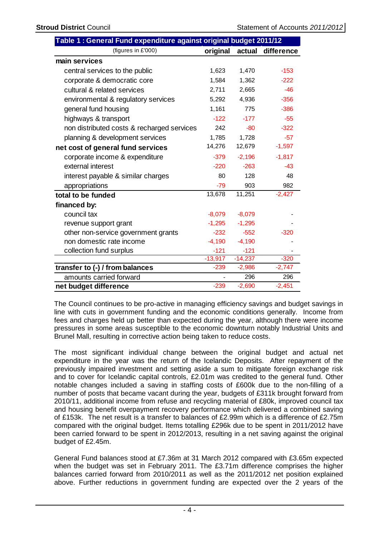|                                            | Table 1 : General Fund expenditure against original budget 2011/12 |           |            |  |  |  |  |  |  |
|--------------------------------------------|--------------------------------------------------------------------|-----------|------------|--|--|--|--|--|--|
| (figures in £'000)                         | original                                                           | actual    | difference |  |  |  |  |  |  |
| main services                              |                                                                    |           |            |  |  |  |  |  |  |
| central services to the public             | 1,623                                                              | 1,470     | $-153$     |  |  |  |  |  |  |
| corporate & democratic core                | 1,584                                                              | 1,362     | $-222$     |  |  |  |  |  |  |
| cultural & related services                | 2,711                                                              | 2,665     | $-46$      |  |  |  |  |  |  |
| environmental & regulatory services        | 5,292                                                              | 4,936     | $-356$     |  |  |  |  |  |  |
| general fund housing                       | 1,161                                                              | 775       | $-386$     |  |  |  |  |  |  |
| highways & transport                       | $-122$                                                             | $-177$    | $-55$      |  |  |  |  |  |  |
| non distributed costs & recharged services | 242                                                                | $-80$     | $-322$     |  |  |  |  |  |  |
| planning & development services            | 1,785                                                              | 1,728     | $-57$      |  |  |  |  |  |  |
| net cost of general fund services          | 14,276                                                             | 12,679    | $-1,597$   |  |  |  |  |  |  |
| corporate income & expenditure             | $-379$                                                             | $-2,196$  | $-1,817$   |  |  |  |  |  |  |
| external interest                          | $-220$                                                             | $-263$    | $-43$      |  |  |  |  |  |  |
| interest payable & similar charges         | 80                                                                 | 128       | 48         |  |  |  |  |  |  |
| appropriations                             | $-79$                                                              | 903       | 982        |  |  |  |  |  |  |
| total to be funded                         | 13,678                                                             | 11,251    | $-2,427$   |  |  |  |  |  |  |
| financed by:                               |                                                                    |           |            |  |  |  |  |  |  |
| council tax                                | $-8,079$                                                           | $-8,079$  |            |  |  |  |  |  |  |
| revenue support grant                      | $-1,295$                                                           | $-1,295$  |            |  |  |  |  |  |  |
| other non-service government grants        | $-232$                                                             | $-552$    | $-320$     |  |  |  |  |  |  |
| non domestic rate income                   | $-4,190$                                                           | $-4,190$  |            |  |  |  |  |  |  |
| collection fund surplus                    | $-121$                                                             | $-121$    |            |  |  |  |  |  |  |
|                                            | $-13,917$                                                          | $-14,237$ | $-320$     |  |  |  |  |  |  |
| transfer to (-) / from balances            | $-239$                                                             | $-2,986$  | $-2,747$   |  |  |  |  |  |  |
| amounts carried forward                    |                                                                    | 296       | 296        |  |  |  |  |  |  |
| net budget difference                      | $-239$                                                             | $-2,690$  | $-2,451$   |  |  |  |  |  |  |

The Council continues to be pro-active in managing efficiency savings and budget savings in line with cuts in government funding and the economic conditions generally. Income from fees and charges held up better than expected during the year, although there were income pressures in some areas susceptible to the economic downturn notably Industrial Units and Brunel Mall, resulting in corrective action being taken to reduce costs.

The most significant individual change between the original budget and actual net expenditure in the year was the return of the Icelandic Deposits. After repayment of the previously impaired investment and setting aside a sum to mitigate foreign exchange risk and to cover for Icelandic capital controls, £2.01m was credited to the general fund. Other notable changes included a saving in staffing costs of £600k due to the non-filling of a number of posts that became vacant during the year, budgets of £311k brought forward from 2010/11, additional income from refuse and recycling material of £80k, improved council tax and housing benefit overpayment recovery performance which delivered a combined saving of £153k. The net result is a transfer to balances of £2.99m which is a difference of £2.75m compared with the original budget. Items totalling £296k due to be spent in 2011/2012 have been carried forward to be spent in 2012/2013, resulting in a net saving against the original budget of £2.45m.

 General Fund balances stood at £7.36m at 31 March 2012 compared with £3.65m expected when the budget was set in February 2011. The £3.71m difference comprises the higher balances carried forward from 2010/2011 as well as the 2011/2012 net position explained above. Further reductions in government funding are expected over the 2 years of the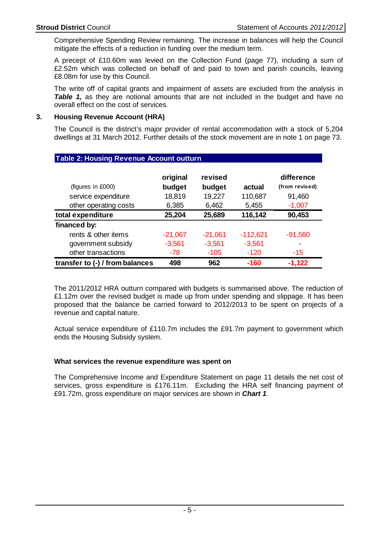Comprehensive Spending Review remaining. The increase in balances will help the Council mitigate the effects of a reduction in funding over the medium term.

 A precept of £10.60m was levied on the Collection Fund (page 77), including a sum of £2.52m which was collected on behalf of and paid to town and parish councils, leaving £8.08m for use by this Council.

 The write off of capital grants and impairment of assets are excluded from the analysis in **Table 1,** as they are notional amounts that are not included in the budget and have no overall effect on the cost of services.

#### **3. Housing Revenue Account (HRA)**

The Council is the district's major provider of rental accommodation with a stock of 5,204 dwellings at 31 March 2012. Further details of the stock movement are in note 1 on page 73.

| <b>I dole Z. Housing Revenue Account Outturn</b> |                    |                   |            |                              |
|--------------------------------------------------|--------------------|-------------------|------------|------------------------------|
| (figures in £000)                                | original<br>budget | revised<br>budget | actual     | difference<br>(from revised) |
| service expenditure                              | 18,819             | 19,227            | 110,687    | 91,460                       |
| other operating costs                            | 6,385              | 6,462             | 5,455      | $-1,007$                     |
| total expenditure                                | 25,204             | 25,689            | 116,142    | 90,453                       |
| financed by:                                     |                    |                   |            |                              |
| rents & other items                              | $-21,067$          | $-21,061$         | $-112,621$ | $-91,560$                    |
| government subsidy                               | $-3,561$           | $-3,561$          | $-3,561$   | ۰                            |
| other transactions                               | -78                | $-105$            | $-120$     | $-15$                        |
| transfer to (-) / from balances                  | 498                | 962               | $-160$     | $-1,122$                     |

### **Table 2: Housing Revenue Account outturn**

The 2011/2012 HRA outturn compared with budgets is summarised above. The reduction of £1.12m over the revised budget is made up from under spending and slippage. It has been proposed that the balance be carried forward to 2012/2013 to be spent on projects of a revenue and capital nature.

Actual service expenditure of £110.7m includes the £91.7m payment to government which ends the Housing Subsidy system.

#### **What services the revenue expenditure was spent on**

 The Comprehensive Income and Expenditure Statement on page 11 details the net cost of services, gross expenditure is £176.11m. Excluding the HRA self financing payment of £91.72m, gross expenditure on major services are shown in **Chart 1**.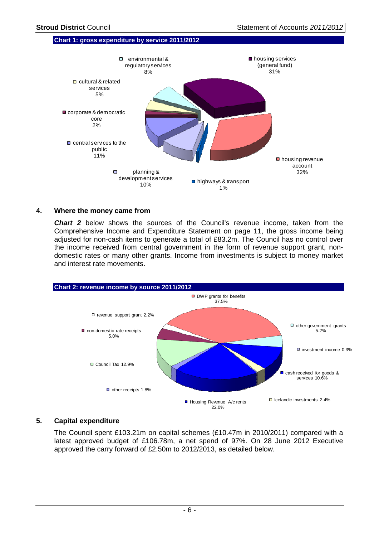#### **Chart 1: gross expenditure by service 2011/2012**



#### **4. Where the money came from**

**Chart 2** below shows the sources of the Council's revenue income, taken from the Comprehensive Income and Expenditure Statement on page 11, the gross income being adjusted for non-cash items to generate a total of £83.2m. The Council has no control over the income received from central government in the form of revenue support grant, nondomestic rates or many other grants. Income from investments is subject to money market and interest rate movements.



#### **5. Capital expenditure**

The Council spent £103.21m on capital schemes (£10.47m in 2010/2011) compared with a latest approved budget of £106.78m, a net spend of 97%. On 28 June 2012 Executive approved the carry forward of £2.50m to 2012/2013, as detailed below.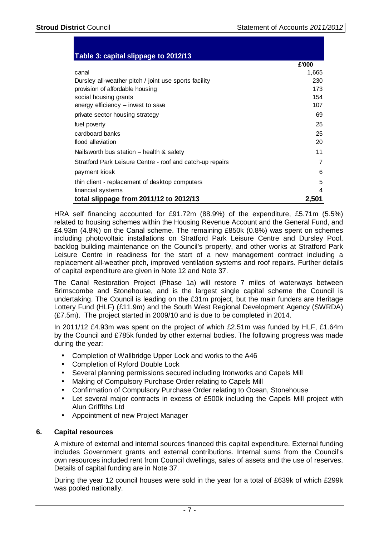#### **Table 3: capital slippage to 2012/13**

|                                                           | £'000 |
|-----------------------------------------------------------|-------|
| canal                                                     | 1,665 |
| Dursley all-weather pitch / joint use sports facility     | 230   |
| provision of affordable housing                           | 173   |
| social housing grants                                     | 154   |
| energy efficiency - invest to save                        | 107   |
| private sector housing strategy                           | 69    |
| fuel poverty                                              | 25    |
| cardboard banks                                           | 25    |
| flood alleviation                                         | 20    |
| Nailsworth bus station - health & safety                  | 11    |
| Stratford Park Leisure Centre - roof and catch-up repairs | 7     |
| payment kiosk                                             | 6     |
| thin client - replacement of desktop computers            | 5     |
| financial systems                                         | 4     |
| total slippage from 2011/12 to 2012/13                    | 2,501 |

HRA self financing accounted for £91.72m (88.9%) of the expenditure, £5.71m (5.5%) related to housing schemes within the Housing Revenue Account and the General Fund, and £4.93m (4.8%) on the Canal scheme. The remaining £850k (0.8%) was spent on schemes including photovoltaic installations on Stratford Park Leisure Centre and Dursley Pool, backlog building maintenance on the Council's property, and other works at Stratford Park Leisure Centre in readiness for the start of a new management contract including a replacement all-weather pitch, improved ventilation systems and roof repairs. Further details of capital expenditure are given in Note 12 and Note 37.

 The Canal Restoration Project (Phase 1a) will restore 7 miles of waterways between Brimscombe and Stonehouse, and is the largest single capital scheme the Council is undertaking. The Council is leading on the £31m project, but the main funders are Heritage Lottery Fund (HLF) (£11.9m) and the South West Regional Development Agency (SWRDA) (£7.5m). The project started in 2009/10 and is due to be completed in 2014.

 In 2011/12 £4.93m was spent on the project of which £2.51m was funded by HLF, £1.64m by the Council and £785k funded by other external bodies. The following progress was made during the year:

- Completion of Wallbridge Upper Lock and works to the A46
- Completion of Ryford Double Lock
- Several planning permissions secured including Ironworks and Capels Mill
- Making of Compulsory Purchase Order relating to Capels Mill
- Confirmation of Compulsory Purchase Order relating to Ocean, Stonehouse
- Let several major contracts in excess of £500k including the Capels Mill project with Alun Griffiths Ltd
- Appointment of new Project Manager

#### **6. Capital resources**

A mixture of external and internal sources financed this capital expenditure. External funding includes Government grants and external contributions. Internal sums from the Council's own resources included rent from Council dwellings, sales of assets and the use of reserves. Details of capital funding are in Note 37.

During the year 12 council houses were sold in the year for a total of £639k of which £299k was pooled nationally.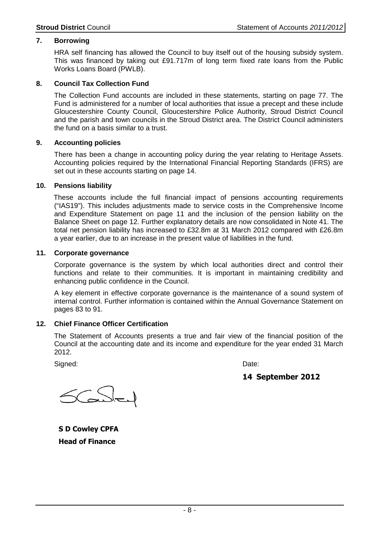#### **7. Borrowing**

HRA self financing has allowed the Council to buy itself out of the housing subsidy system. This was financed by taking out £91.717m of long term fixed rate loans from the Public Works Loans Board (PWLB).

#### **8. Council Tax Collection Fund**

 The Collection Fund accounts are included in these statements, starting on page 77. The Fund is administered for a number of local authorities that issue a precept and these include Gloucestershire County Council, Gloucestershire Police Authority, Stroud District Council and the parish and town councils in the Stroud District area. The District Council administers the fund on a basis similar to a trust.

#### **9. Accounting policies**

 There has been a change in accounting policy during the year relating to Heritage Assets. Accounting policies required by the International Financial Reporting Standards (IFRS) are set out in these accounts starting on page 14.

#### **10. Pensions liability**

 These accounts include the full financial impact of pensions accounting requirements ("IAS19"). This includes adjustments made to service costs in the Comprehensive Income and Expenditure Statement on page 11 and the inclusion of the pension liability on the Balance Sheet on page 12. Further explanatory details are now consolidated in Note 41. The total net pension liability has increased to £32.8m at 31 March 2012 compared with £26.8m a year earlier, due to an increase in the present value of liabilities in the fund.

#### **11. Corporate governance**

 Corporate governance is the system by which local authorities direct and control their functions and relate to their communities. It is important in maintaining credibility and enhancing public confidence in the Council.

 A key element in effective corporate governance is the maintenance of a sound system of internal control. Further information is contained within the Annual Governance Statement on pages 83 to 91.

#### **12. Chief Finance Officer Certification**

The Statement of Accounts presents a true and fair view of the financial position of the Council at the accounting date and its income and expenditure for the year ended 31 March 2012.

Signed: **Date: Date: Date: Date: Date: Date: Date: Date: Date: Date: Date: Date: Date: Date: Date: Date: Date: Date: Date: Date: Date: Date: Date: Date: Date: Date: Date:** 

**14 September 2012**

**S D Cowley CPFA Head of Finance**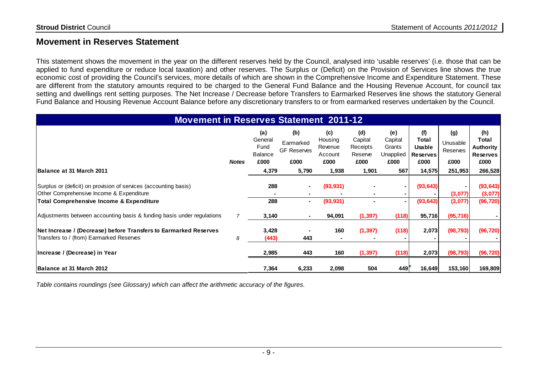### **Movement in Reserves Statement**

This statement shows the movement in the year on the different reserves held by the Council, analysed into 'usable reserves' (i.e. those that can be applied to fund expenditure or reduce local taxation) and other reserves. The Surplus or (Deficit) on the Provision of Services line shows the true economic cost of providing the Council's services, more details of which are shown in the Comprehensive Income and Expenditure Statement. These are different from the statutory amounts required to be charged to the General Fund Balance and the Housing Revenue Account, for council tax setting and dwellings rent setting purposes. The Net Increase / Decrease before Transfers to Earmarked Reserves line shows the statutory General Fund Balance and Housing Revenue Account Balance before any discretionary transfers to or from earmarked reserves undertaken by the Council.

| <b>Movement in Reserves Statement 2011-12</b>                                                                                                                       |              |                                                  |                                                |                                              |                                               |                                               |                                                          |                                     |                                                             |
|---------------------------------------------------------------------------------------------------------------------------------------------------------------------|--------------|--------------------------------------------------|------------------------------------------------|----------------------------------------------|-----------------------------------------------|-----------------------------------------------|----------------------------------------------------------|-------------------------------------|-------------------------------------------------------------|
|                                                                                                                                                                     | <b>Notes</b> | (a)<br>General<br>Fund<br><b>Balance</b><br>£000 | (b)<br>Earmarked<br><b>GF Reserves</b><br>£000 | (c)<br>Housing<br>Revenue<br>Account<br>£000 | (d)<br>Capital<br>Receipts<br>Reserve<br>£000 | (e)<br>Capital<br>Grants<br>Unapplied<br>£000 | (f)<br>Total<br><b>Usable</b><br><b>Reserves</b><br>£000 | (g)<br>Unusable<br>Reserves<br>£000 | (h)<br>Total<br><b>Authority</b><br><b>Reserves</b><br>£000 |
| Balance at 31 March 2011                                                                                                                                            |              | 4,379                                            | 5,790                                          | 1,938                                        | 1,901                                         | 567                                           | 14,575                                                   | 251,953                             | 266,528                                                     |
| Surplus or (deficit) on provision of services (accounting basis)<br>Other Comprehensive Income & Expenditure<br><b>Total Comprehensive Income &amp; Expenditure</b> |              | 288<br>288                                       | $\blacksquare$                                 | (93, 931)<br>(93, 931)                       |                                               |                                               | (93, 643)<br>(93, 643)                                   | (3,077)<br>(3,077)                  | (93, 643)<br>(3,077)<br>(96, 720)                           |
| Adjustments between accounting basis & funding basis under regulations                                                                                              |              | 3,140                                            |                                                | 94,091                                       | (1, 397)                                      | (118)                                         | 95,716                                                   | (95, 716)                           |                                                             |
| Net Increase / (Decrease) before Transfers to Earmarked Reserves<br>Transfers to / (from) Earmarked Reserves                                                        | 8            | 3,428<br>(443)                                   | 443                                            | 160                                          | (1, 397)                                      | (118)                                         | 2,073                                                    | (98, 793)                           | (96, 720)                                                   |
| Increase / (Decrease) in Year                                                                                                                                       |              | 2,985                                            | 443                                            | 160                                          | (1, 397)                                      | (118)                                         | 2,073                                                    | (98, 793)                           | (96, 720)                                                   |
| Balance at 31 March 2012                                                                                                                                            |              | 7,364                                            | 6,233                                          | 2,098                                        | 504                                           | 449                                           | 16,649                                                   | 153,160                             | 169,809                                                     |

Table contains roundings (see Glossary) which can affect the arithmetic accuracy of the figures.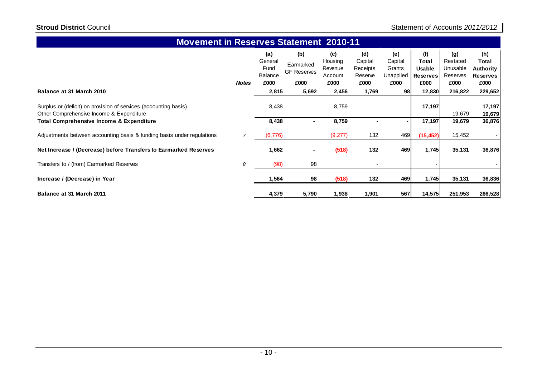#### **(a) (b) (c) (d) (e) (f) (g) (h) Total** General Fund Balance£000 Earmarked GF Reserves**Housing**  Revenue Account**Capital**  Receipts Reserve£000 **Capital Grants** Unapplied**Total Usable Reserves**Restated Unusable Reserves **Authority ReservesNotes £000 £000 £000 £000 £000 £000 £000 £000**229,652 **Balance at 31 March 2010 2,815 5,692 2,456 1,769 98 12,830 216,822 229,652** Surplus or (deficit) on provision of services (accounting basis) 8,438 8,759 **17,197 17,197** - **19,679**Other Comprehensive Income & Expenditure 19,679 36,876 **Total Comprehensive Income & Expenditure 8,438 - 8,759 - - 17,197 19,679 36,876**Adjustments between accounting basis & funding basis under regulationss 7 7 (6,776) (9,277) 132 469 <sup>132</sup> **(15,452)** 15,452 - **Net Increase / (Decrease) before Transfers to Earmarked Reserves 1,662 - (518) 469 1,745 35,131 36,876**132 469 1,745 35,131 36,87 Transfers to / (from) Earmarked Reserves $\mathbf{s}$  8 (98) <sup>98</sup> - - - **Increase / (Decrease) in Year 1,564 <sup>98</sup> (518) 469 1,745 35,131 36,836 <sup>132</sup> Balance at 31 March 2011 4,379 5,790 1,938 1,901 567 14,575 251,953 266,528 Movement in Reserves Statement 2010-11**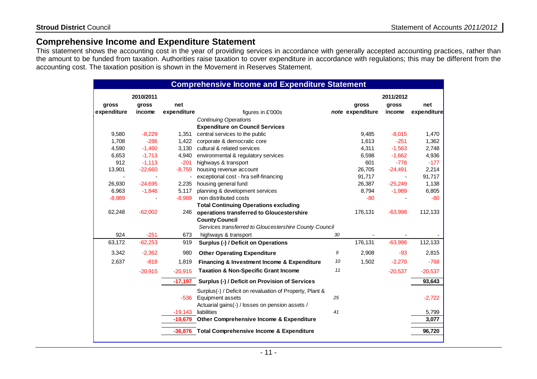### **Comprehensive Income and Expenditure Statement**

 This statement shows the accounting cost in the year of providing services in accordance with generally accepted accounting practices, rather than the amount to be funded from taxation. Authorities raise taxation to cover expenditure in accordance with regulations; this may be different from the accounting cost. The taxation position is shown in the Movement in Reserves Statement.

|             |           |             | <b>Comprehensive Income and Expenditure Statement</b>    |    |                  |           |             |
|-------------|-----------|-------------|----------------------------------------------------------|----|------------------|-----------|-------------|
|             | 2010/2011 |             |                                                          |    |                  | 2011/2012 |             |
| gross       | gross     | net         |                                                          |    | gross            | gross     | net         |
| expenditure | income    | expenditure | figures in £'000s                                        |    | note expenditure | income    | expenditure |
|             |           |             | <b>Continuing Operations</b>                             |    |                  |           |             |
|             |           |             | <b>Expenditure on Council Services</b>                   |    |                  |           |             |
| 9,580       | $-8,229$  | 1,351       | central services to the public                           |    | 9,485            | $-8,015$  | 1,470       |
| 1,708       | $-286$    | 1,422       | corporate & democratic core                              |    | 1,613            | $-251$    | 1,362       |
| 4,590       | $-1,460$  | 3,130       | cultural & related services                              |    | 4,311            | $-1,563$  | 2,748       |
| 6,653       | $-1,713$  | 4,940       | environmental & regulatory services                      |    | 6,598            | $-1,662$  | 4,936       |
| 912         | $-1,113$  | $-201$      | highways & transport                                     |    | 601              | $-778$    | $-177$      |
| 13,901      | $-22,660$ | $-8,759$    | housing revenue account                                  |    | 26,705           | $-24,491$ | 2,214       |
|             |           |             | exceptional cost - hra self-financing                    |    | 91,717           |           | 91,717      |
| 26,930      | $-24,695$ | 2,235       | housing general fund                                     |    | 26,387           | $-25,249$ | 1,138       |
| 6,963       | $-1,846$  | 5,117       | planning & development services                          |    | 8,794            | $-1,989$  | 6,805       |
| $-8,989$    |           | $-8,989$    | non distributed costs                                    |    | $-80$            |           | $-80$       |
|             |           |             | <b>Total Continuing Operations excluding</b>             |    |                  |           |             |
| 62,248      | $-62,002$ | 246         | operations transferred to Gloucestershire                |    | 176,131          | $-63,998$ | 112,133     |
|             |           |             | <b>County Council</b>                                    |    |                  |           |             |
|             |           |             | Services transferred to Gloucestershire County Council   |    |                  |           |             |
| 924         | $-251$    | 673         | highways & transport                                     | 30 |                  |           |             |
| 63,172      | $-62,253$ | 919         | Surplus (-) / Deficit on Operations                      |    | 176,131          | $-63,998$ | 112,133     |
| 3,342       | $-2,362$  | 980         | <b>Other Operating Expenditure</b>                       | 9  | 2,908            | $-93$     | 2,815       |
| 2,637       | $-818$    | 1,819       | Financing & Investment Income & Expenditure              | 10 | 1,502            | $-2,270$  | $-768$      |
|             | $-20,915$ | $-20,915$   | <b>Taxation &amp; Non-Specific Grant Income</b>          | 11 |                  | $-20,537$ | $-20,537$   |
|             |           | $-17,197$   | Surplus (-) / Deficit on Provision of Services           |    |                  |           | 93,643      |
|             |           |             | Surplus(-) / Deficit on revaluation of Property, Plant & |    |                  |           |             |
|             |           | $-536$      | Equipment assets                                         | 25 |                  |           | $-2,722$    |
|             |           |             | Actuarial gains(-) / losses on pension assets /          |    |                  |           |             |
|             |           | $-19,143$   | liabilities                                              | 41 |                  |           | 5,799       |
|             |           | -19,679     | Other Comprehensive Income & Expenditure                 |    |                  |           | 3,077       |
|             |           |             |                                                          |    |                  |           |             |
|             |           |             | -36,876 Total Comprehensive Income & Expenditure         |    |                  |           | 96,720      |
|             |           |             |                                                          |    |                  |           |             |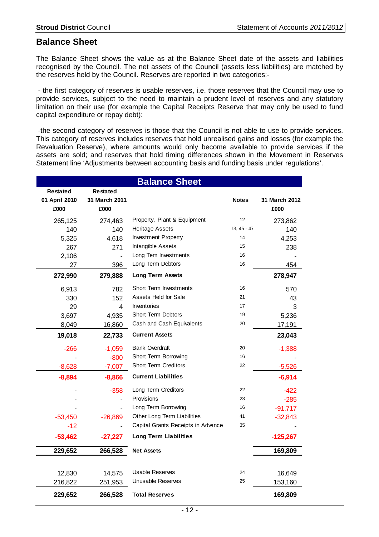### **Balance Sheet**

The Balance Sheet shows the value as at the Balance Sheet date of the assets and liabilities recognised by the Council. The net assets of the Council (assets less liabilities) are matched by the reserves held by the Council. Reserves are reported in two categories:-

 - the first category of reserves is usable reserves, i.e. those reserves that the Council may use to provide services, subject to the need to maintain a prudent level of reserves and any statutory limitation on their use (for example the Capital Receipts Reserve that may only be used to fund capital expenditure or repay debt):

 -the second category of reserves is those that the Council is not able to use to provide services. This category of reserves includes reserves that hold unrealised gains and losses (for example the Revaluation Reserve), where amounts would only become available to provide services if the assets are sold; and reserves that hold timing differences shown in the Movement in Reserves Statement line 'Adjustments between accounting basis and funding basis under regulations'.

| <b>Balance Sheet</b>             |                                  |                                    |               |               |  |  |  |
|----------------------------------|----------------------------------|------------------------------------|---------------|---------------|--|--|--|
| <b>Restated</b><br>01 April 2010 | <b>Restated</b><br>31 March 2011 |                                    | <b>Notes</b>  | 31 March 2012 |  |  |  |
| £000                             | £000                             |                                    |               | £000          |  |  |  |
| 265,125                          | 274,463                          | Property, Plant & Equipment        | 12            | 273,862       |  |  |  |
| 140                              | 140                              | <b>Heritage Assets</b>             | $13, 45 - 47$ | 140           |  |  |  |
| 5,325                            | 4,618                            | <b>Investment Property</b>         | 14            | 4,253         |  |  |  |
| 267                              | 271                              | Intangible Assets                  | 15            | 238           |  |  |  |
| 2,106                            |                                  | Long Tem Investments               | 16            |               |  |  |  |
| 27                               | 396                              | Long Term Debtors                  | 16            | 454           |  |  |  |
| 272,990                          | 279,888                          | <b>Long Term Assets</b>            |               | 278,947       |  |  |  |
| 6,913                            | 782                              | <b>Short Term Investments</b>      | 16            | 570           |  |  |  |
| 330                              | 152                              | Assets Held for Sale               | 21            | 43            |  |  |  |
| 29                               | 4                                | Inventories                        | 17            | 3             |  |  |  |
| 3,697                            | 4,935                            | <b>Short Term Debtors</b>          | 19            | 5,236         |  |  |  |
| 8,049                            | 16,860                           | Cash and Cash Equivalents          | 20            | 17,191        |  |  |  |
| 19,018                           | 22,733                           | <b>Current Assets</b>              |               | 23,043        |  |  |  |
| -266                             | $-1,059$                         | <b>Bank Overdraft</b>              | 20            | $-1,388$      |  |  |  |
|                                  | $-800$                           | Short Term Borrowing               | 16            |               |  |  |  |
| $-8,628$                         | $-7,007$                         | <b>Short Term Creditors</b>        | 22            | $-5,526$      |  |  |  |
| $-8,894$                         | $-8,866$                         | <b>Current Liabilities</b>         |               | $-6,914$      |  |  |  |
|                                  | $-358$                           | Long Term Creditors                | 22            | $-422$        |  |  |  |
|                                  |                                  | Provisions                         | 23            | $-285$        |  |  |  |
|                                  |                                  | Long Term Borrowing                | 16            | $-91,717$     |  |  |  |
| $-53,450$                        | $-26,869$                        | Other Long Term Liabilities        | 41            | $-32,843$     |  |  |  |
| $-12$                            |                                  | Capital Grants Receipts in Advance | 35            |               |  |  |  |
| $-53,462$                        | $-27,227$                        | <b>Long Term Liabilities</b>       |               | $-125,267$    |  |  |  |
| 229,652                          | 266,528                          | <b>Net Assets</b>                  |               | 169,809       |  |  |  |
|                                  |                                  |                                    |               |               |  |  |  |
| 12,830                           | 14,575                           | Usable Reserves                    | 24            | 16,649        |  |  |  |
| 216,822                          | 251,953                          | Unusable Reserves                  | 25            | 153,160       |  |  |  |
| 229,652                          | 266,528                          | <b>Total Reserves</b>              |               | 169,809       |  |  |  |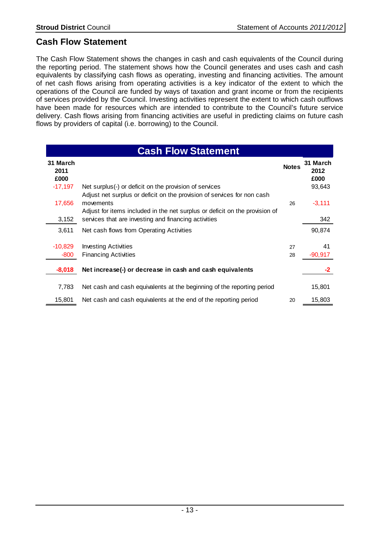### **Cash Flow Statement**

The Cash Flow Statement shows the changes in cash and cash equivalents of the Council during the reporting period. The statement shows how the Council generates and uses cash and cash equivalents by classifying cash flows as operating, investing and financing activities. The amount of net cash flows arising from operating activities is a key indicator of the extent to which the operations of the Council are funded by ways of taxation and grant income or from the recipients of services provided by the Council. Investing activities represent the extent to which cash outflows have been made for resources which are intended to contribute to the Council's future service delivery. Cash flows arising from financing activities are useful in predicting claims on future cash flows by providers of capital (i.e. borrowing) to the Council.

| <b>Cash Flow Statement</b> |                                                                                                                                                                     |              |                          |  |  |  |
|----------------------------|---------------------------------------------------------------------------------------------------------------------------------------------------------------------|--------------|--------------------------|--|--|--|
| 31 March<br>2011<br>£000   |                                                                                                                                                                     | <b>Notes</b> | 31 March<br>2012<br>£000 |  |  |  |
| $-17,197$                  | Net surplus(-) or deficit on the provision of services                                                                                                              |              | 93,643                   |  |  |  |
| 17,656                     | Adjust net surplus or deficit on the provision of services for non cash<br>movements<br>Adjust for items included in the net surplus or deficit on the provision of | 26           | $-3,111$                 |  |  |  |
| 3,152                      | services that are investing and financing activities                                                                                                                |              | 342                      |  |  |  |
| 3,611                      | Net cash flows from Operating Activities                                                                                                                            |              | 90,874                   |  |  |  |
| $-10,829$<br>$-800$        | <b>Investing Activities</b><br><b>Financing Activities</b>                                                                                                          | 27<br>28     | 41<br>$-90,917$          |  |  |  |
| $-8,018$                   | Net increase(-) or decrease in cash and cash equivalents                                                                                                            |              | -2                       |  |  |  |
| 7,783                      | Net cash and cash equivalents at the beginning of the reporting period                                                                                              |              | 15,801                   |  |  |  |
| 15,801                     | Net cash and cash equivalents at the end of the reporting period                                                                                                    | 20           | 15,803                   |  |  |  |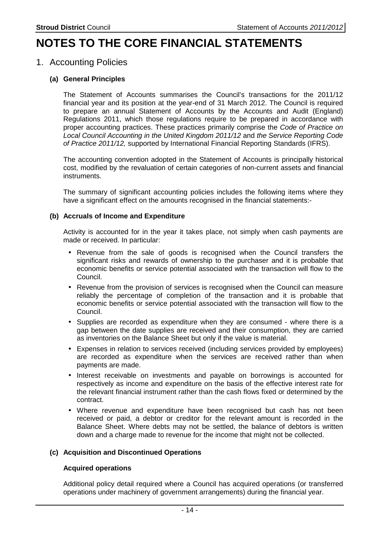## **NOTES TO THE CORE FINANCIAL STATEMENTS**

### 1. Accounting Policies

#### **(a) General Principles**

The Statement of Accounts summarises the Council's transactions for the 2011/12 financial year and its position at the year-end of 31 March 2012. The Council is required to prepare an annual Statement of Accounts by the Accounts and Audit (England) Regulations 2011, which those regulations require to be prepared in accordance with proper accounting practices. These practices primarily comprise the Code of Practice on Local Council Accounting in the United Kingdom 2011/12 and the Service Reporting Code of Practice 2011/12, supported by International Financial Reporting Standards (IFRS).

The accounting convention adopted in the Statement of Accounts is principally historical cost, modified by the revaluation of certain categories of non-current assets and financial instruments.

The summary of significant accounting policies includes the following items where they have a significant effect on the amounts recognised in the financial statements:-

#### **(b) Accruals of Income and Expenditure**

Activity is accounted for in the year it takes place, not simply when cash payments are made or received. In particular:

- Revenue from the sale of goods is recognised when the Council transfers the significant risks and rewards of ownership to the purchaser and it is probable that economic benefits or service potential associated with the transaction will flow to the Council.
- Revenue from the provision of services is recognised when the Council can measure reliably the percentage of completion of the transaction and it is probable that economic benefits or service potential associated with the transaction will flow to the Council.
- Supplies are recorded as expenditure when they are consumed where there is a gap between the date supplies are received and their consumption, they are carried as inventories on the Balance Sheet but only if the value is material.
- Expenses in relation to services received (including services provided by employees) are recorded as expenditure when the services are received rather than when payments are made.
- Interest receivable on investments and payable on borrowings is accounted for respectively as income and expenditure on the basis of the effective interest rate for the relevant financial instrument rather than the cash flows fixed or determined by the contract.
- Where revenue and expenditure have been recognised but cash has not been received or paid, a debtor or creditor for the relevant amount is recorded in the Balance Sheet. Where debts may not be settled, the balance of debtors is written down and a charge made to revenue for the income that might not be collected.

#### **(c) Acquisition and Discontinued Operations**

#### **Acquired operations**

Additional policy detail required where a Council has acquired operations (or transferred operations under machinery of government arrangements) during the financial year.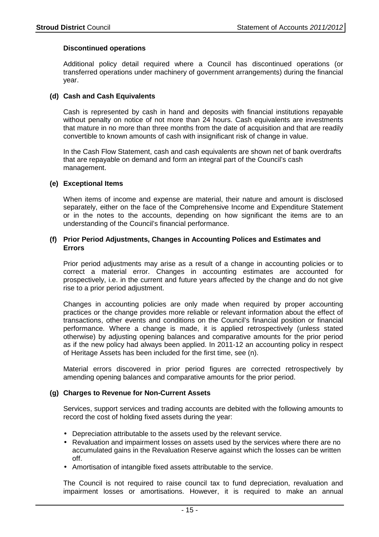#### **Discontinued operations**

Additional policy detail required where a Council has discontinued operations (or transferred operations under machinery of government arrangements) during the financial year.

#### **(d) Cash and Cash Equivalents**

Cash is represented by cash in hand and deposits with financial institutions repayable without penalty on notice of not more than 24 hours. Cash equivalents are investments that mature in no more than three months from the date of acquisition and that are readily convertible to known amounts of cash with insignificant risk of change in value.

In the Cash Flow Statement, cash and cash equivalents are shown net of bank overdrafts that are repayable on demand and form an integral part of the Council's cash management.

#### **(e) Exceptional Items**

When items of income and expense are material, their nature and amount is disclosed separately, either on the face of the Comprehensive Income and Expenditure Statement or in the notes to the accounts, depending on how significant the items are to an understanding of the Council's financial performance.

#### **(f) Prior Period Adjustments, Changes in Accounting Polices and Estimates and Errors**

Prior period adjustments may arise as a result of a change in accounting policies or to correct a material error. Changes in accounting estimates are accounted for prospectively, i.e. in the current and future years affected by the change and do not give rise to a prior period adjustment.

Changes in accounting policies are only made when required by proper accounting practices or the change provides more reliable or relevant information about the effect of transactions, other events and conditions on the Council's financial position or financial performance. Where a change is made, it is applied retrospectively (unless stated otherwise) by adjusting opening balances and comparative amounts for the prior period as if the new policy had always been applied. In 2011-12 an accounting policy in respect of Heritage Assets has been included for the first time, see (n).

Material errors discovered in prior period figures are corrected retrospectively by amending opening balances and comparative amounts for the prior period.

#### **(g) Charges to Revenue for Non-Current Assets**

Services, support services and trading accounts are debited with the following amounts to record the cost of holding fixed assets during the year:

- Depreciation attributable to the assets used by the relevant service.
- Revaluation and impairment losses on assets used by the services where there are no accumulated gains in the Revaluation Reserve against which the losses can be written off.
- Amortisation of intangible fixed assets attributable to the service.

The Council is not required to raise council tax to fund depreciation, revaluation and impairment losses or amortisations. However, it is required to make an annual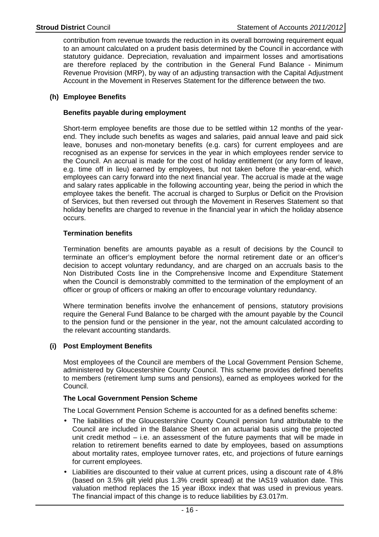contribution from revenue towards the reduction in its overall borrowing requirement equal to an amount calculated on a prudent basis determined by the Council in accordance with statutory guidance. Depreciation, revaluation and impairment losses and amortisations are therefore replaced by the contribution in the General Fund Balance - Minimum Revenue Provision (MRP), by way of an adjusting transaction with the Capital Adjustment Account in the Movement in Reserves Statement for the difference between the two.

#### **(h) Employee Benefits**

#### **Benefits payable during employment**

Short-term employee benefits are those due to be settled within 12 months of the yearend. They include such benefits as wages and salaries, paid annual leave and paid sick leave, bonuses and non-monetary benefits (e.g. cars) for current employees and are recognised as an expense for services in the year in which employees render service to the Council. An accrual is made for the cost of holiday entitlement (or any form of leave, e.g. time off in lieu) earned by employees, but not taken before the year-end, which employees can carry forward into the next financial year. The accrual is made at the wage and salary rates applicable in the following accounting year, being the period in which the employee takes the benefit. The accrual is charged to Surplus or Deficit on the Provision of Services, but then reversed out through the Movement in Reserves Statement so that holiday benefits are charged to revenue in the financial year in which the holiday absence occurs.

#### **Termination benefits**

Termination benefits are amounts payable as a result of decisions by the Council to terminate an officer's employment before the normal retirement date or an officer's decision to accept voluntary redundancy, and are charged on an accruals basis to the Non Distributed Costs line in the Comprehensive Income and Expenditure Statement when the Council is demonstrably committed to the termination of the employment of an officer or group of officers or making an offer to encourage voluntary redundancy.

Where termination benefits involve the enhancement of pensions, statutory provisions require the General Fund Balance to be charged with the amount payable by the Council to the pension fund or the pensioner in the year, not the amount calculated according to the relevant accounting standards.

#### **(i) Post Employment Benefits**

Most employees of the Council are members of the Local Government Pension Scheme, administered by Gloucestershire County Council. This scheme provides defined benefits to members (retirement lump sums and pensions), earned as employees worked for the Council.

#### **The Local Government Pension Scheme**

The Local Government Pension Scheme is accounted for as a defined benefits scheme:

- The liabilities of the Gloucestershire County Council pension fund attributable to the Council are included in the Balance Sheet on an actuarial basis using the projected unit credit method – i.e. an assessment of the future payments that will be made in relation to retirement benefits earned to date by employees, based on assumptions about mortality rates, employee turnover rates, etc, and projections of future earnings for current employees.
- Liabilities are discounted to their value at current prices, using a discount rate of 4.8% (based on 3.5% gilt yield plus 1.3% credit spread) at the IAS19 valuation date. This valuation method replaces the 15 year iBoxx index that was used in previous years. The financial impact of this change is to reduce liabilities by £3.017m.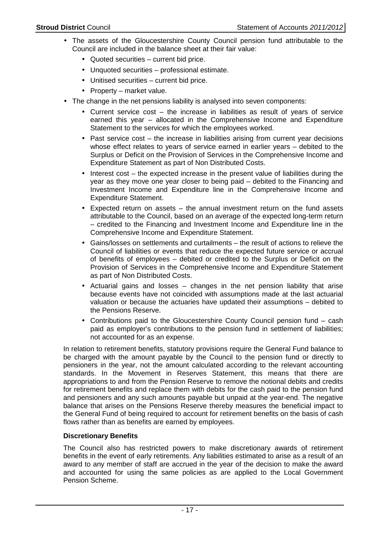- The assets of the Gloucestershire County Council pension fund attributable to the Council are included in the balance sheet at their fair value:
	- Quoted securities current bid price.
	- Unquoted securities professional estimate.
	- Unitised securities current bid price.
	- Property market value.
- The change in the net pensions liability is analysed into seven components:
	- Current service cost the increase in liabilities as result of years of service earned this year – allocated in the Comprehensive Income and Expenditure Statement to the services for which the employees worked.
	- Past service cost the increase in liabilities arising from current year decisions whose effect relates to years of service earned in earlier years – debited to the Surplus or Deficit on the Provision of Services in the Comprehensive Income and Expenditure Statement as part of Non Distributed Costs.
	- Interest cost the expected increase in the present value of liabilities during the year as they move one year closer to being paid – debited to the Financing and Investment Income and Expenditure line in the Comprehensive Income and Expenditure Statement.
	- Expected return on assets  $-$  the annual investment return on the fund assets attributable to the Council, based on an average of the expected long-term return – credited to the Financing and Investment Income and Expenditure line in the Comprehensive Income and Expenditure Statement.
	- Gains/losses on settlements and curtailments the result of actions to relieve the Council of liabilities or events that reduce the expected future service or accrual of benefits of employees – debited or credited to the Surplus or Deficit on the Provision of Services in the Comprehensive Income and Expenditure Statement as part of Non Distributed Costs.
	- Actuarial gains and losses changes in the net pension liability that arise because events have not coincided with assumptions made at the last actuarial valuation or because the actuaries have updated their assumptions – debited to the Pensions Reserve.
	- Contributions paid to the Gloucestershire County Council pension fund cash paid as employer's contributions to the pension fund in settlement of liabilities; not accounted for as an expense.

In relation to retirement benefits, statutory provisions require the General Fund balance to be charged with the amount payable by the Council to the pension fund or directly to pensioners in the year, not the amount calculated according to the relevant accounting standards. In the Movement in Reserves Statement, this means that there are appropriations to and from the Pension Reserve to remove the notional debits and credits for retirement benefits and replace them with debits for the cash paid to the pension fund and pensioners and any such amounts payable but unpaid at the year-end. The negative balance that arises on the Pensions Reserve thereby measures the beneficial impact to the General Fund of being required to account for retirement benefits on the basis of cash flows rather than as benefits are earned by employees.

#### **Discretionary Benefits**

The Council also has restricted powers to make discretionary awards of retirement benefits in the event of early retirements. Any liabilities estimated to arise as a result of an award to any member of staff are accrued in the year of the decision to make the award and accounted for using the same policies as are applied to the Local Government Pension Scheme.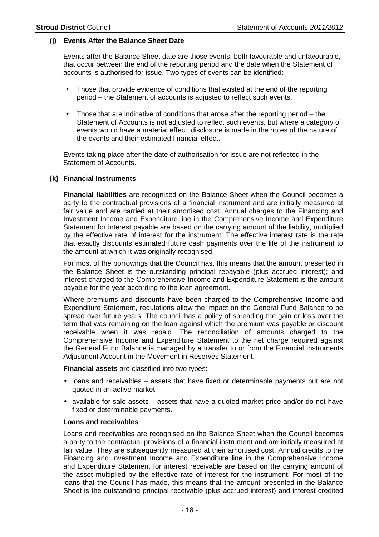#### **(j) Events After the Balance Sheet Date**

Events after the Balance Sheet date are those events, both favourable and unfavourable, that occur between the end of the reporting period and the date when the Statement of accounts is authorised for issue. Two types of events can be identified:

- Those that provide evidence of conditions that existed at the end of the reporting period – the Statement of accounts is adjusted to reflect such events.
- Those that are indicative of conditions that arose after the reporting period  $-$  the Statement of Accounts is not adjusted to reflect such events, but where a category of events would have a material effect, disclosure is made in the notes of the nature of the events and their estimated financial effect.

Events taking place after the date of authorisation for issue are not reflected in the Statement of Accounts.

#### **(k) Financial Instruments**

**Financial liabilities** are recognised on the Balance Sheet when the Council becomes a party to the contractual provisions of a financial instrument and are initially measured at fair value and are carried at their amortised cost. Annual charges to the Financing and Investment Income and Expenditure line in the Comprehensive Income and Expenditure Statement for interest payable are based on the carrying amount of the liability, multiplied by the effective rate of interest for the instrument. The effective interest rate is the rate that exactly discounts estimated future cash payments over the life of the instrument to the amount at which it was originally recognised.

For most of the borrowings that the Council has, this means that the amount presented in the Balance Sheet is the outstanding principal repayable (plus accrued interest); and interest charged to the Comprehensive Income and Expenditure Statement is the amount payable for the year according to the loan agreement.

Where premiums and discounts have been charged to the Comprehensive Income and Expenditure Statement, regulations allow the impact on the General Fund Balance to be spread over future years. The council has a policy of spreading the gain or loss over the term that was remaining on the loan against which the premium was payable or discount receivable when it was repaid. The reconciliation of amounts charged to the Comprehensive Income and Expenditure Statement to the net charge required against the General Fund Balance is managed by a transfer to or from the Financial Instruments Adjustment Account in the Movement in Reserves Statement.

**Financial assets** are classified into two types:

- loans and receivables assets that have fixed or determinable payments but are not quoted in an active market
- available-for-sale assets assets that have a quoted market price and/or do not have fixed or determinable payments.

#### **Loans and receivables**

Loans and receivables are recognised on the Balance Sheet when the Council becomes a party to the contractual provisions of a financial instrument and are initially measured at fair value. They are subsequently measured at their amortised cost. Annual credits to the Financing and Investment Income and Expenditure line in the Comprehensive Income and Expenditure Statement for interest receivable are based on the carrying amount of the asset multiplied by the effective rate of interest for the instrument. For most of the loans that the Council has made, this means that the amount presented in the Balance Sheet is the outstanding principal receivable (plus accrued interest) and interest credited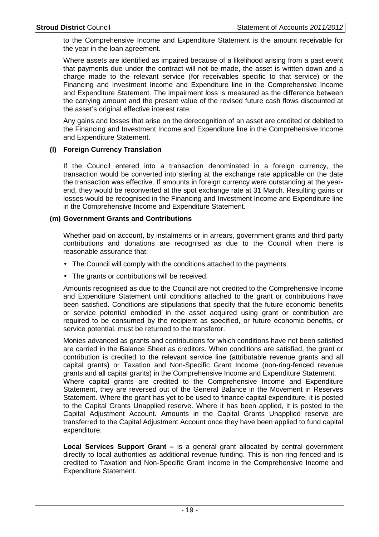to the Comprehensive Income and Expenditure Statement is the amount receivable for the year in the loan agreement.

Where assets are identified as impaired because of a likelihood arising from a past event that payments due under the contract will not be made, the asset is written down and a charge made to the relevant service (for receivables specific to that service) or the Financing and Investment Income and Expenditure line in the Comprehensive Income and Expenditure Statement. The impairment loss is measured as the difference between the carrying amount and the present value of the revised future cash flows discounted at the asset's original effective interest rate.

Any gains and losses that arise on the derecognition of an asset are credited or debited to the Financing and Investment Income and Expenditure line in the Comprehensive Income and Expenditure Statement.

#### **(l) Foreign Currency Translation**

If the Council entered into a transaction denominated in a foreign currency, the transaction would be converted into sterling at the exchange rate applicable on the date the transaction was effective. If amounts in foreign currency were outstanding at the yearend, they would be reconverted at the spot exchange rate at 31 March. Resulting gains or losses would be recognised in the Financing and Investment Income and Expenditure line in the Comprehensive Income and Expenditure Statement.

#### **(m) Government Grants and Contributions**

Whether paid on account, by instalments or in arrears, government grants and third party contributions and donations are recognised as due to the Council when there is reasonable assurance that:

- The Council will comply with the conditions attached to the payments.
- The grants or contributions will be received.

Amounts recognised as due to the Council are not credited to the Comprehensive Income and Expenditure Statement until conditions attached to the grant or contributions have been satisfied. Conditions are stipulations that specify that the future economic benefits or service potential embodied in the asset acquired using grant or contribution are required to be consumed by the recipient as specified, or future economic benefits, or service potential, must be returned to the transferor.

Monies advanced as grants and contributions for which conditions have not been satisfied are carried in the Balance Sheet as creditors. When conditions are satisfied, the grant or contribution is credited to the relevant service line (attributable revenue grants and all capital grants) or Taxation and Non-Specific Grant Income (non-ring-fenced revenue grants and all capital grants) in the Comprehensive Income and Expenditure Statement. Where capital grants are credited to the Comprehensive Income and Expenditure Statement, they are reversed out of the General Balance in the Movement in Reserves Statement. Where the grant has yet to be used to finance capital expenditure, it is posted to the Capital Grants Unapplied reserve. Where it has been applied, it is posted to the Capital Adjustment Account. Amounts in the Capital Grants Unapplied reserve are transferred to the Capital Adjustment Account once they have been applied to fund capital expenditure.

**Local Services Support Grant –** is a general grant allocated by central government directly to local authorities as additional revenue funding. This is non-ring fenced and is credited to Taxation and Non-Specific Grant Income in the Comprehensive Income and Expenditure Statement.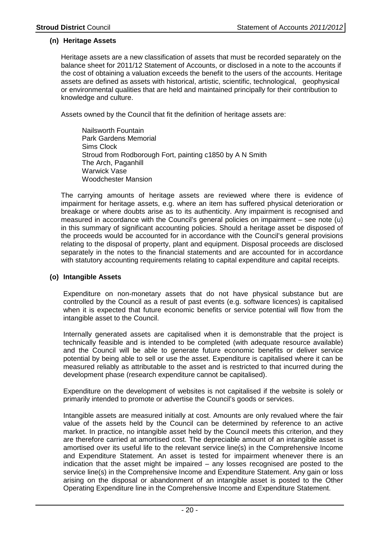#### **(n) Heritage Assets**

Heritage assets are a new classification of assets that must be recorded separately on the balance sheet for 2011/12 Statement of Accounts, or disclosed in a note to the accounts if the cost of obtaining a valuation exceeds the benefit to the users of the accounts. Heritage assets are defined as assets with historical, artistic, scientific, technological, geophysical or environmental qualities that are held and maintained principally for their contribution to knowledge and culture.

Assets owned by the Council that fit the definition of heritage assets are:

 Nailsworth Fountain Park Gardens Memorial Sims Clock Stroud from Rodborough Fort, painting c1850 by A N Smith The Arch, Paganhill Warwick Vase Woodchester Mansion

The carrying amounts of heritage assets are reviewed where there is evidence of impairment for heritage assets, e.g. where an item has suffered physical deterioration or breakage or where doubts arise as to its authenticity. Any impairment is recognised and measured in accordance with the Council's general policies on impairment – see note (u) in this summary of significant accounting policies. Should a heritage asset be disposed of the proceeds would be accounted for in accordance with the Council's general provisions relating to the disposal of property, plant and equipment. Disposal proceeds are disclosed separately in the notes to the financial statements and are accounted for in accordance with statutory accounting requirements relating to capital expenditure and capital receipts.

#### **(o) Intangible Assets**

Expenditure on non-monetary assets that do not have physical substance but are controlled by the Council as a result of past events (e.g. software licences) is capitalised when it is expected that future economic benefits or service potential will flow from the intangible asset to the Council.

Internally generated assets are capitalised when it is demonstrable that the project is technically feasible and is intended to be completed (with adequate resource available) and the Council will be able to generate future economic benefits or deliver service potential by being able to sell or use the asset. Expenditure is capitalised where it can be measured reliably as attributable to the asset and is restricted to that incurred during the development phase (research expenditure cannot be capitalised).

Expenditure on the development of websites is not capitalised if the website is solely or primarily intended to promote or advertise the Council's goods or services.

Intangible assets are measured initially at cost. Amounts are only revalued where the fair value of the assets held by the Council can be determined by reference to an active market. In practice, no intangible asset held by the Council meets this criterion, and they are therefore carried at amortised cost. The depreciable amount of an intangible asset is amortised over its useful life to the relevant service line(s) in the Comprehensive Income and Expenditure Statement. An asset is tested for impairment whenever there is an indication that the asset might be impaired – any losses recognised are posted to the service line(s) in the Comprehensive Income and Expenditure Statement. Any gain or loss arising on the disposal or abandonment of an intangible asset is posted to the Other Operating Expenditure line in the Comprehensive Income and Expenditure Statement.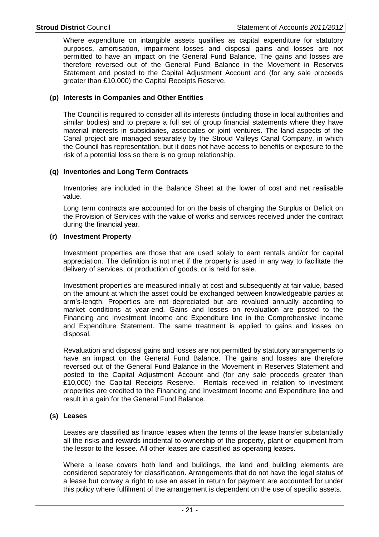Where expenditure on intangible assets qualifies as capital expenditure for statutory purposes, amortisation, impairment losses and disposal gains and losses are not permitted to have an impact on the General Fund Balance. The gains and losses are therefore reversed out of the General Fund Balance in the Movement in Reserves Statement and posted to the Capital Adjustment Account and (for any sale proceeds greater than £10,000) the Capital Receipts Reserve.

#### **(p) Interests in Companies and Other Entities**

The Council is required to consider all its interests (including those in local authorities and similar bodies) and to prepare a full set of group financial statements where they have material interests in subsidiaries, associates or joint ventures. The land aspects of the Canal project are managed separately by the Stroud Valleys Canal Company, in which the Council has representation, but it does not have access to benefits or exposure to the risk of a potential loss so there is no group relationship.

#### **(q) Inventories and Long Term Contracts**

Inventories are included in the Balance Sheet at the lower of cost and net realisable value.

Long term contracts are accounted for on the basis of charging the Surplus or Deficit on the Provision of Services with the value of works and services received under the contract during the financial year.

#### **(r) Investment Property**

Investment properties are those that are used solely to earn rentals and/or for capital appreciation. The definition is not met if the property is used in any way to facilitate the delivery of services, or production of goods, or is held for sale.

Investment properties are measured initially at cost and subsequently at fair value, based on the amount at which the asset could be exchanged between knowledgeable parties at arm's-length. Properties are not depreciated but are revalued annually according to market conditions at year-end. Gains and losses on revaluation are posted to the Financing and Investment Income and Expenditure line in the Comprehensive Income and Expenditure Statement. The same treatment is applied to gains and losses on disposal.

Revaluation and disposal gains and losses are not permitted by statutory arrangements to have an impact on the General Fund Balance. The gains and losses are therefore reversed out of the General Fund Balance in the Movement in Reserves Statement and posted to the Capital Adjustment Account and (for any sale proceeds greater than £10,000) the Capital Receipts Reserve. Rentals received in relation to investment properties are credited to the Financing and Investment Income and Expenditure line and result in a gain for the General Fund Balance.

#### **(s) Leases**

Leases are classified as finance leases when the terms of the lease transfer substantially all the risks and rewards incidental to ownership of the property, plant or equipment from the lessor to the lessee. All other leases are classified as operating leases.

Where a lease covers both land and buildings, the land and building elements are considered separately for classification. Arrangements that do not have the legal status of a lease but convey a right to use an asset in return for payment are accounted for under this policy where fulfilment of the arrangement is dependent on the use of specific assets.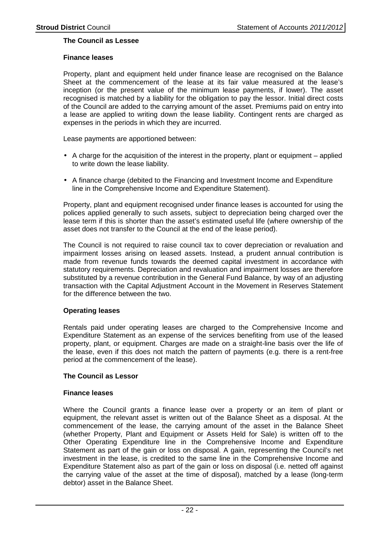#### **The Council as Lessee**

#### **Finance leases**

Property, plant and equipment held under finance lease are recognised on the Balance Sheet at the commencement of the lease at its fair value measured at the lease's inception (or the present value of the minimum lease payments, if lower). The asset recognised is matched by a liability for the obligation to pay the lessor. Initial direct costs of the Council are added to the carrying amount of the asset. Premiums paid on entry into a lease are applied to writing down the lease liability. Contingent rents are charged as expenses in the periods in which they are incurred.

Lease payments are apportioned between:

- A charge for the acquisition of the interest in the property, plant or equipment applied to write down the lease liability.
- A finance charge (debited to the Financing and Investment Income and Expenditure line in the Comprehensive Income and Expenditure Statement).

Property, plant and equipment recognised under finance leases is accounted for using the polices applied generally to such assets, subject to depreciation being charged over the lease term if this is shorter than the asset's estimated useful life (where ownership of the asset does not transfer to the Council at the end of the lease period).

The Council is not required to raise council tax to cover depreciation or revaluation and impairment losses arising on leased assets. Instead, a prudent annual contribution is made from revenue funds towards the deemed capital investment in accordance with statutory requirements. Depreciation and revaluation and impairment losses are therefore substituted by a revenue contribution in the General Fund Balance, by way of an adjusting transaction with the Capital Adjustment Account in the Movement in Reserves Statement for the difference between the two.

#### **Operating leases**

Rentals paid under operating leases are charged to the Comprehensive Income and Expenditure Statement as an expense of the services benefiting from use of the leased property, plant, or equipment. Charges are made on a straight-line basis over the life of the lease, even if this does not match the pattern of payments (e.g. there is a rent-free period at the commencement of the lease).

#### **The Council as Lessor**

#### **Finance leases**

Where the Council grants a finance lease over a property or an item of plant or equipment, the relevant asset is written out of the Balance Sheet as a disposal. At the commencement of the lease, the carrying amount of the asset in the Balance Sheet (whether Property, Plant and Equipment or Assets Held for Sale) is written off to the Other Operating Expenditure line in the Comprehensive Income and Expenditure Statement as part of the gain or loss on disposal. A gain, representing the Council's net investment in the lease, is credited to the same line in the Comprehensive Income and Expenditure Statement also as part of the gain or loss on disposal (i.e. netted off against the carrying value of the asset at the time of disposal), matched by a lease (long-term debtor) asset in the Balance Sheet.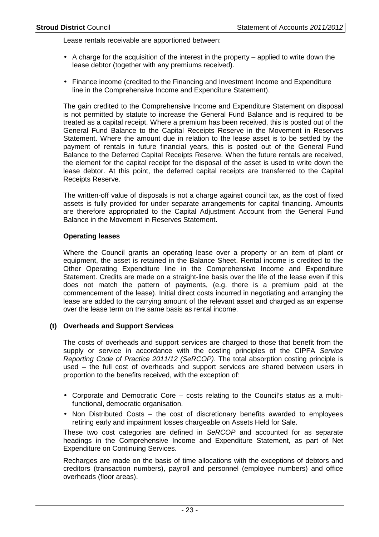Lease rentals receivable are apportioned between:

- $\bullet$  A charge for the acquisition of the interest in the property applied to write down the lease debtor (together with any premiums received).
- Finance income (credited to the Financing and Investment Income and Expenditure line in the Comprehensive Income and Expenditure Statement).

The gain credited to the Comprehensive Income and Expenditure Statement on disposal is not permitted by statute to increase the General Fund Balance and is required to be treated as a capital receipt. Where a premium has been received, this is posted out of the General Fund Balance to the Capital Receipts Reserve in the Movement in Reserves Statement. Where the amount due in relation to the lease asset is to be settled by the payment of rentals in future financial years, this is posted out of the General Fund Balance to the Deferred Capital Receipts Reserve. When the future rentals are received, the element for the capital receipt for the disposal of the asset is used to write down the lease debtor. At this point, the deferred capital receipts are transferred to the Capital Receipts Reserve.

The written-off value of disposals is not a charge against council tax, as the cost of fixed assets is fully provided for under separate arrangements for capital financing. Amounts are therefore appropriated to the Capital Adjustment Account from the General Fund Balance in the Movement in Reserves Statement.

#### **Operating leases**

Where the Council grants an operating lease over a property or an item of plant or equipment, the asset is retained in the Balance Sheet. Rental income is credited to the Other Operating Expenditure line in the Comprehensive Income and Expenditure Statement. Credits are made on a straight-line basis over the life of the lease even if this does not match the pattern of payments, (e.g. there is a premium paid at the commencement of the lease). Initial direct costs incurred in negotiating and arranging the lease are added to the carrying amount of the relevant asset and charged as an expense over the lease term on the same basis as rental income.

#### **(t) Overheads and Support Services**

The costs of overheads and support services are charged to those that benefit from the supply or service in accordance with the costing principles of the CIPFA Service Reporting Code of Practice 2011/12 (SeRCOP). The total absorption costing principle is used – the full cost of overheads and support services are shared between users in proportion to the benefits received, with the exception of:

- Corporate and Democratic Core costs relating to the Council's status as a multifunctional, democratic organisation.
- Non Distributed Costs the cost of discretionary benefits awarded to employees retiring early and impairment losses chargeable on Assets Held for Sale.

These two cost categories are defined in SeRCOP and accounted for as separate headings in the Comprehensive Income and Expenditure Statement, as part of Net Expenditure on Continuing Services.

Recharges are made on the basis of time allocations with the exceptions of debtors and creditors (transaction numbers), payroll and personnel (employee numbers) and office overheads (floor areas).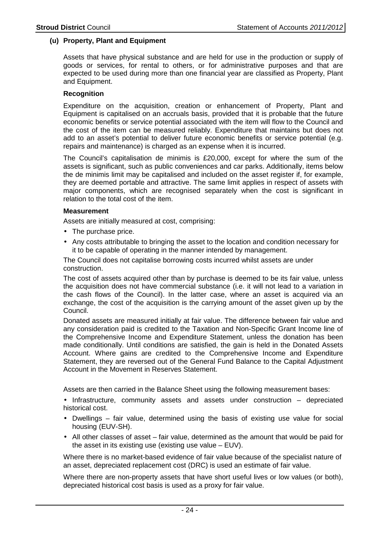#### **(u) Property, Plant and Equipment**

Assets that have physical substance and are held for use in the production or supply of goods or services, for rental to others, or for administrative purposes and that are expected to be used during more than one financial year are classified as Property, Plant and Equipment.

#### **Recognition**

Expenditure on the acquisition, creation or enhancement of Property, Plant and Equipment is capitalised on an accruals basis, provided that it is probable that the future economic benefits or service potential associated with the item will flow to the Council and the cost of the item can be measured reliably. Expenditure that maintains but does not add to an asset's potential to deliver future economic benefits or service potential (e.g. repairs and maintenance) is charged as an expense when it is incurred.

The Council's capitalisation de minimis is £20,000, except for where the sum of the assets is significant, such as public conveniences and car parks. Additionally, items below the de minimis limit may be capitalised and included on the asset register if, for example, they are deemed portable and attractive. The same limit applies in respect of assets with major components, which are recognised separately when the cost is significant in relation to the total cost of the item.

#### **Measurement**

Assets are initially measured at cost, comprising:

- The purchase price.
- Any costs attributable to bringing the asset to the location and condition necessary for it to be capable of operating in the manner intended by management.

The Council does not capitalise borrowing costs incurred whilst assets are under construction.

The cost of assets acquired other than by purchase is deemed to be its fair value, unless the acquisition does not have commercial substance (i.e. it will not lead to a variation in the cash flows of the Council). In the latter case, where an asset is acquired via an exchange, the cost of the acquisition is the carrying amount of the asset given up by the Council.

Donated assets are measured initially at fair value. The difference between fair value and any consideration paid is credited to the Taxation and Non-Specific Grant Income line of the Comprehensive Income and Expenditure Statement, unless the donation has been made conditionally. Until conditions are satisfied, the gain is held in the Donated Assets Account. Where gains are credited to the Comprehensive Income and Expenditure Statement, they are reversed out of the General Fund Balance to the Capital Adjustment Account in the Movement in Reserves Statement.

Assets are then carried in the Balance Sheet using the following measurement bases:

• Infrastructure, community assets and assets under construction – depreciated historical cost.

- Dwellings fair value, determined using the basis of existing use value for social housing (EUV-SH).
- All other classes of asset fair value, determined as the amount that would be paid for the asset in its existing use (existing use value – EUV).

Where there is no market-based evidence of fair value because of the specialist nature of an asset, depreciated replacement cost (DRC) is used an estimate of fair value.

Where there are non-property assets that have short useful lives or low values (or both), depreciated historical cost basis is used as a proxy for fair value.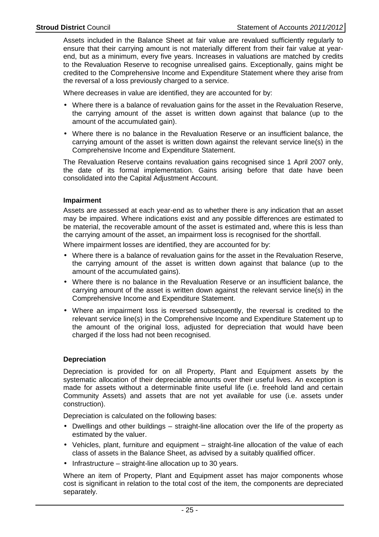Assets included in the Balance Sheet at fair value are revalued sufficiently regularly to ensure that their carrying amount is not materially different from their fair value at yearend, but as a minimum, every five years. Increases in valuations are matched by credits to the Revaluation Reserve to recognise unrealised gains. Exceptionally, gains might be credited to the Comprehensive Income and Expenditure Statement where they arise from the reversal of a loss previously charged to a service.

Where decreases in value are identified, they are accounted for by:

- Where there is a balance of revaluation gains for the asset in the Revaluation Reserve, the carrying amount of the asset is written down against that balance (up to the amount of the accumulated gain).
- Where there is no balance in the Revaluation Reserve or an insufficient balance, the carrying amount of the asset is written down against the relevant service line(s) in the Comprehensive Income and Expenditure Statement.

The Revaluation Reserve contains revaluation gains recognised since 1 April 2007 only, the date of its formal implementation. Gains arising before that date have been consolidated into the Capital Adjustment Account.

#### **Impairment**

Assets are assessed at each year-end as to whether there is any indication that an asset may be impaired. Where indications exist and any possible differences are estimated to be material, the recoverable amount of the asset is estimated and, where this is less than the carrying amount of the asset, an impairment loss is recognised for the shortfall.

Where impairment losses are identified, they are accounted for by:

- Where there is a balance of revaluation gains for the asset in the Revaluation Reserve, the carrying amount of the asset is written down against that balance (up to the amount of the accumulated gains).
- Where there is no balance in the Revaluation Reserve or an insufficient balance, the carrying amount of the asset is written down against the relevant service line(s) in the Comprehensive Income and Expenditure Statement.
- Where an impairment loss is reversed subsequently, the reversal is credited to the relevant service line(s) in the Comprehensive Income and Expenditure Statement up to the amount of the original loss, adjusted for depreciation that would have been charged if the loss had not been recognised.

#### **Depreciation**

Depreciation is provided for on all Property, Plant and Equipment assets by the systematic allocation of their depreciable amounts over their useful lives. An exception is made for assets without a determinable finite useful life (i.e. freehold land and certain Community Assets) and assets that are not yet available for use (i.e. assets under construction).

Depreciation is calculated on the following bases:

- Dwellings and other buildings straight-line allocation over the life of the property as estimated by the valuer.
- Vehicles, plant, furniture and equipment straight-line allocation of the value of each class of assets in the Balance Sheet, as advised by a suitably qualified officer.
- Infrastructure straight-line allocation up to 30 years.

Where an item of Property, Plant and Equipment asset has major components whose cost is significant in relation to the total cost of the item, the components are depreciated separately.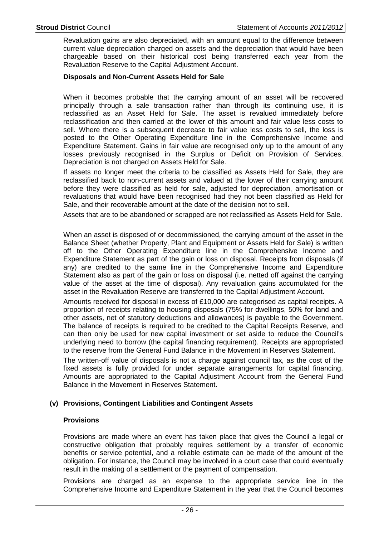Revaluation gains are also depreciated, with an amount equal to the difference between current value depreciation charged on assets and the depreciation that would have been chargeable based on their historical cost being transferred each year from the Revaluation Reserve to the Capital Adjustment Account.

#### **Disposals and Non-Current Assets Held for Sale**

When it becomes probable that the carrying amount of an asset will be recovered principally through a sale transaction rather than through its continuing use, it is reclassified as an Asset Held for Sale. The asset is revalued immediately before reclassification and then carried at the lower of this amount and fair value less costs to sell. Where there is a subsequent decrease to fair value less costs to sell, the loss is posted to the Other Operating Expenditure line in the Comprehensive Income and Expenditure Statement. Gains in fair value are recognised only up to the amount of any losses previously recognised in the Surplus or Deficit on Provision of Services. Depreciation is not charged on Assets Held for Sale.

If assets no longer meet the criteria to be classified as Assets Held for Sale, they are reclassified back to non-current assets and valued at the lower of their carrying amount before they were classified as held for sale, adjusted for depreciation, amortisation or revaluations that would have been recognised had they not been classified as Held for Sale, and their recoverable amount at the date of the decision not to sell.

Assets that are to be abandoned or scrapped are not reclassified as Assets Held for Sale.

When an asset is disposed of or decommissioned, the carrying amount of the asset in the Balance Sheet (whether Property, Plant and Equipment or Assets Held for Sale) is written off to the Other Operating Expenditure line in the Comprehensive Income and Expenditure Statement as part of the gain or loss on disposal. Receipts from disposals (if any) are credited to the same line in the Comprehensive Income and Expenditure Statement also as part of the gain or loss on disposal (i.e. netted off against the carrying value of the asset at the time of disposal). Any revaluation gains accumulated for the asset in the Revaluation Reserve are transferred to the Capital Adjustment Account.

Amounts received for disposal in excess of £10,000 are categorised as capital receipts. A proportion of receipts relating to housing disposals (75% for dwellings, 50% for land and other assets, net of statutory deductions and allowances) is payable to the Government. The balance of receipts is required to be credited to the Capital Receipts Reserve, and can then only be used for new capital investment or set aside to reduce the Council's underlying need to borrow (the capital financing requirement). Receipts are appropriated to the reserve from the General Fund Balance in the Movement in Reserves Statement.

The written-off value of disposals is not a charge against council tax, as the cost of the fixed assets is fully provided for under separate arrangements for capital financing. Amounts are appropriated to the Capital Adjustment Account from the General Fund Balance in the Movement in Reserves Statement.

#### **(v) Provisions, Contingent Liabilities and Contingent Assets**

#### **Provisions**

Provisions are made where an event has taken place that gives the Council a legal or constructive obligation that probably requires settlement by a transfer of economic benefits or service potential, and a reliable estimate can be made of the amount of the obligation. For instance, the Council may be involved in a court case that could eventually result in the making of a settlement or the payment of compensation.

Provisions are charged as an expense to the appropriate service line in the Comprehensive Income and Expenditure Statement in the year that the Council becomes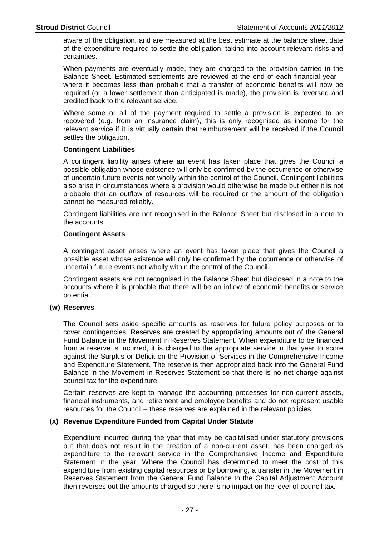aware of the obligation, and are measured at the best estimate at the balance sheet date of the expenditure required to settle the obligation, taking into account relevant risks and certainties.

When payments are eventually made, they are charged to the provision carried in the Balance Sheet. Estimated settlements are reviewed at the end of each financial year – where it becomes less than probable that a transfer of economic benefits will now be required (or a lower settlement than anticipated is made), the provision is reversed and credited back to the relevant service.

Where some or all of the payment required to settle a provision is expected to be recovered (e.g. from an insurance claim), this is only recognised as income for the relevant service if it is virtually certain that reimbursement will be received if the Council settles the obligation.

#### **Contingent Liabilities**

A contingent liability arises where an event has taken place that gives the Council a possible obligation whose existence will only be confirmed by the occurrence or otherwise of uncertain future events not wholly within the control of the Council. Contingent liabilities also arise in circumstances where a provision would otherwise be made but either it is not probable that an outflow of resources will be required or the amount of the obligation cannot be measured reliably.

Contingent liabilities are not recognised in the Balance Sheet but disclosed in a note to the accounts.

#### **Contingent Assets**

A contingent asset arises where an event has taken place that gives the Council a possible asset whose existence will only be confirmed by the occurrence or otherwise of uncertain future events not wholly within the control of the Council.

Contingent assets are not recognised in the Balance Sheet but disclosed in a note to the accounts where it is probable that there will be an inflow of economic benefits or service potential.

#### **(w) Reserves**

The Council sets aside specific amounts as reserves for future policy purposes or to cover contingencies. Reserves are created by appropriating amounts out of the General Fund Balance in the Movement in Reserves Statement. When expenditure to be financed from a reserve is incurred, it is charged to the appropriate service in that year to score against the Surplus or Deficit on the Provision of Services in the Comprehensive Income and Expenditure Statement. The reserve is then appropriated back into the General Fund Balance in the Movement in Reserves Statement so that there is no net charge against council tax for the expenditure.

Certain reserves are kept to manage the accounting processes for non-current assets, financial instruments, and retirement and employee benefits and do not represent usable resources for the Council – these reserves are explained in the relevant policies.

#### **(x) Revenue Expenditure Funded from Capital Under Statute**

Expenditure incurred during the year that may be capitalised under statutory provisions but that does not result in the creation of a non-current asset, has been charged as expenditure to the relevant service in the Comprehensive Income and Expenditure Statement in the year. Where the Council has determined to meet the cost of this expenditure from existing capital resources or by borrowing, a transfer in the Movement in Reserves Statement from the General Fund Balance to the Capital Adjustment Account then reverses out the amounts charged so there is no impact on the level of council tax.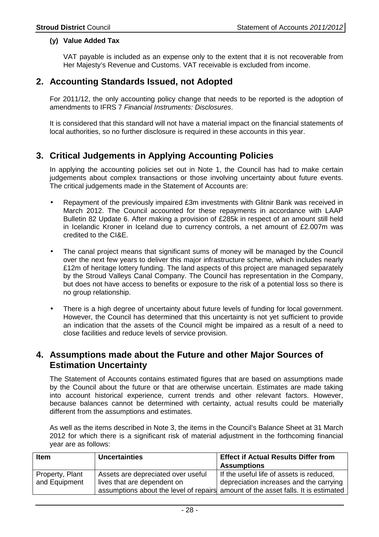#### **(y) Value Added Tax**

VAT payable is included as an expense only to the extent that it is not recoverable from Her Majesty's Revenue and Customs. VAT receivable is excluded from income.

### **2. Accounting Standards Issued, not Adopted**

For 2011/12, the only accounting policy change that needs to be reported is the adoption of amendments to IFRS 7 Financial Instruments: Disclosures.

It is considered that this standard will not have a material impact on the financial statements of local authorities, so no further disclosure is required in these accounts in this year.

### **3. Critical Judgements in Applying Accounting Policies**

In applying the accounting policies set out in Note 1, the Council has had to make certain judgements about complex transactions or those involving uncertainty about future events. The critical judgements made in the Statement of Accounts are:

- Repayment of the previously impaired £3m investments with Glitnir Bank was received in March 2012. The Council accounted for these repayments in accordance with LAAP Bulletin 82 Update 6. After making a provision of £285k in respect of an amount still held in Icelandic Kroner in Iceland due to currency controls, a net amount of £2.007m was credited to the CI&E.
- The canal project means that significant sums of money will be managed by the Council over the next few years to deliver this major infrastructure scheme, which includes nearly £12m of heritage lottery funding. The land aspects of this project are managed separately by the Stroud Valleys Canal Company. The Council has representation in the Company, but does not have access to benefits or exposure to the risk of a potential loss so there is no group relationship.
- There is a high degree of uncertainty about future levels of funding for local government. However, the Council has determined that this uncertainty is not yet sufficient to provide an indication that the assets of the Council might be impaired as a result of a need to close facilities and reduce levels of service provision.

### **4. Assumptions made about the Future and other Major Sources of Estimation Uncertainty**

The Statement of Accounts contains estimated figures that are based on assumptions made by the Council about the future or that are otherwise uncertain. Estimates are made taking into account historical experience, current trends and other relevant factors. However, because balances cannot be determined with certainty, actual results could be materially different from the assumptions and estimates.

As well as the items described in Note 3, the items in the Council's Balance Sheet at 31 March 2012 for which there is a significant risk of material adjustment in the forthcoming financial year are as follows:

| <b>Item</b>     | <b>Uncertainties</b>               | <b>Effect if Actual Results Differ from</b>                                       |
|-----------------|------------------------------------|-----------------------------------------------------------------------------------|
|                 |                                    | <b>Assumptions</b>                                                                |
| Property, Plant | Assets are depreciated over useful | If the useful life of assets is reduced,                                          |
| and Equipment   | lives that are dependent on        | depreciation increases and the carrying                                           |
|                 |                                    | assumptions about the level of repairs amount of the asset falls. It is estimated |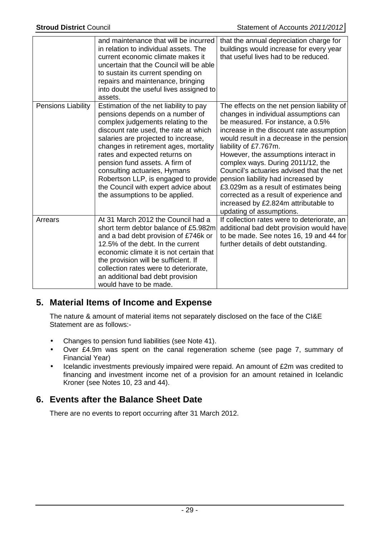|                    | and maintenance that will be incurred<br>in relation to individual assets. The<br>current economic climate makes it<br>uncertain that the Council will be able<br>to sustain its current spending on<br>repairs and maintenance, bringing<br>into doubt the useful lives assigned to<br>assets.                                                                                                                                                               | that the annual depreciation charge for<br>buildings would increase for every year<br>that useful lives had to be reduced.                                                                                                                                                                                                                                                                                                                                                                                                                                          |
|--------------------|---------------------------------------------------------------------------------------------------------------------------------------------------------------------------------------------------------------------------------------------------------------------------------------------------------------------------------------------------------------------------------------------------------------------------------------------------------------|---------------------------------------------------------------------------------------------------------------------------------------------------------------------------------------------------------------------------------------------------------------------------------------------------------------------------------------------------------------------------------------------------------------------------------------------------------------------------------------------------------------------------------------------------------------------|
| Pensions Liability | Estimation of the net liability to pay<br>pensions depends on a number of<br>complex judgements relating to the<br>discount rate used, the rate at which<br>salaries are projected to increase,<br>changes in retirement ages, mortality<br>rates and expected returns on<br>pension fund assets. A firm of<br>consulting actuaries, Hymans<br>Robertson LLP, is engaged to provide<br>the Council with expert advice about<br>the assumptions to be applied. | The effects on the net pension liability of<br>changes in individual assumptions can<br>be measured. For instance, a 0.5%<br>increase in the discount rate assumption<br>would result in a decrease in the pension<br>liability of £7.767m.<br>However, the assumptions interact in<br>complex ways. During 2011/12, the<br>Council's actuaries advised that the net<br>pension liability had increased by<br>£3.029m as a result of estimates being<br>corrected as a result of experience and<br>increased by £2.824m attributable to<br>updating of assumptions. |
| Arrears            | At 31 March 2012 the Council had a<br>short term debtor balance of £5.982m<br>and a bad debt provision of £746k or<br>12.5% of the debt. In the current<br>economic climate it is not certain that<br>the provision will be sufficient. If<br>collection rates were to deteriorate,<br>an additional bad debt provision<br>would have to be made.                                                                                                             | If collection rates were to deteriorate, an<br>additional bad debt provision would have<br>to be made. See notes 16, 19 and 44 for<br>further details of debt outstanding.                                                                                                                                                                                                                                                                                                                                                                                          |

### **5. Material Items of Income and Expense**

The nature & amount of material items not separately disclosed on the face of the CI&E Statement are as follows:-

- Changes to pension fund liabilities (see Note 41).
- Over £4.9m was spent on the canal regeneration scheme (see page 7, summary of Financial Year)
- Icelandic investments previously impaired were repaid. An amount of £2m was credited to financing and investment income net of a provision for an amount retained in Icelandic Kroner (see Notes 10, 23 and 44).

### **6. Events after the Balance Sheet Date**

There are no events to report occurring after 31 March 2012.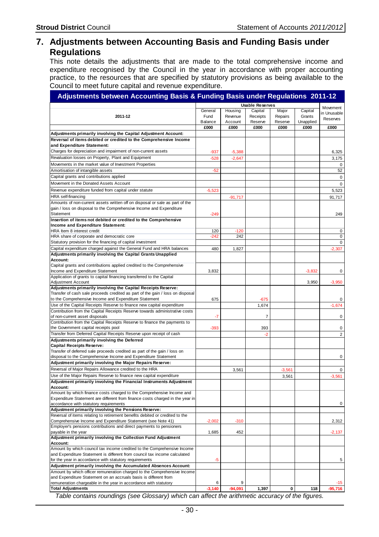### **7. Adjustments between Accounting Basis and Funding Basis under Regulations**

This note details the adjustments that are made to the total comprehensive income and expenditure recognised by the Council in the year in accordance with proper accounting practice, to the resources that are specified by statutory provisions as being available to the Council to meet future capital and revenue expenditure.

**Adjustments between Accounting Basis & Funding Basis under Regulations 2011-12**

|                                                                                              |          |           | <b>Usable Reserves</b> |          |           | Movement       |
|----------------------------------------------------------------------------------------------|----------|-----------|------------------------|----------|-----------|----------------|
|                                                                                              | General  | Housing   | Capital                | Major    | Capital   | in Unusable    |
| 2011-12                                                                                      | Fund     | Revenue   | Receipts               | Repairs  | Grants    | Reserves       |
|                                                                                              | Balance  | Account   | Reserve                | Reserve  | Unapplied |                |
|                                                                                              | £000     | £000      | £000                   | £000     | £000      | £000           |
| Adjustments primarily involving the Capital Adjustment Account:                              |          |           |                        |          |           |                |
| Reversal of items debited or credited to the Comprehensive Income                            |          |           |                        |          |           |                |
| and Expenditure Statement:                                                                   |          |           |                        |          |           |                |
| Charges for depreciation and impairment of non-current assets                                | $-937$   | $-5,388$  |                        |          |           | 6,325          |
| Revaluation losses on Property, Plant and Equipment                                          | $-528$   | $-2,647$  |                        |          |           | 3,175          |
| Movements in the market value of Investment Properties                                       |          |           |                        |          |           | $\mathbf 0$    |
| Amortisation of intangible assets                                                            | $-52$    |           |                        |          |           | 52             |
| Capital grants and contributions applied                                                     |          |           |                        |          |           | 0              |
|                                                                                              |          |           |                        |          |           |                |
| Movement in the Donated Assets Account                                                       |          |           |                        |          |           | 0              |
| Revenue expenditure funded from capital under statute                                        | $-5,523$ |           |                        |          |           | 5,523          |
| HRA self-financing                                                                           |          | $-91,717$ |                        |          |           | 91,717         |
| Amounts of non-current assets written off on disposal or sale as part of the                 |          |           |                        |          |           |                |
| gain / loss on disposal to the Comprehensive Income and Expenditure                          |          |           |                        |          |           |                |
| Statement                                                                                    | $-249$   |           |                        |          |           | 249            |
| Insertion of items not debited or credited to the Comprehensive                              |          |           |                        |          |           |                |
| Income and Expenditure Statement:                                                            |          |           |                        |          |           |                |
| HRA Item 8 interest credit                                                                   | 120      | $-120$    |                        |          |           | $\mathbf 0$    |
| HRA share of corporate and democratic core                                                   | $-242$   | 242       |                        |          |           | $\mathbf 0$    |
| Statutory provision for the financing of capital investment                                  |          |           |                        |          |           | 0              |
| Capital expenditure charged against the General Fund and HRA balances                        | 480      | 1,827     |                        |          |           | $-2,307$       |
| Adjustments primarily involving the Capital Grants Unapplied                                 |          |           |                        |          |           |                |
| Account:                                                                                     |          |           |                        |          |           |                |
| Capital grants and contributions applied credited to the Comprehensive                       |          |           |                        |          |           |                |
| Income and Expenditure Statement                                                             | 3,832    |           |                        |          | $-3,832$  | 0              |
| Application of grants to capital financing transferred to the Capital                        |          |           |                        |          |           |                |
| <b>Adjustment Account</b>                                                                    |          |           |                        |          | 3,950     | $-3,950$       |
| Adjustments primarily involving the Capital Receipts Reserve:                                |          |           |                        |          |           |                |
| Transfer of cash sale proceeds credited as part of the gain / loss on disposal               |          |           |                        |          |           |                |
| to the Comprehensive Income and Expenditure Statement                                        | 675      |           | -675                   |          |           | 0              |
| Use of the Capital Receipts Reserve to finance new capital expenditure                       |          |           | 1,674                  |          |           | $-1,674$       |
| Contribution from the Capital Receipts Reserve towards administrative costs                  |          |           |                        |          |           |                |
| of non-current asset disposals                                                               | $-7$     |           | $\overline{7}$         |          |           | 0              |
| Contribution from the Capital Receipts Reserve to finance the payments to                    |          |           |                        |          |           |                |
| the Government capital receipts pool                                                         | $-393$   |           | 393                    |          |           | 0              |
| Transfer from Deferred Capital Receipts Reserve upon receipt of cash                         |          |           | $-2$                   |          |           | $\overline{2}$ |
| Adjustments primarily involving the Deferred                                                 |          |           |                        |          |           |                |
| <b>Capital Receipts Reserve:</b>                                                             |          |           |                        |          |           |                |
| Transfer of deferred sale proceeds credited as part of the gain / loss on                    |          |           |                        |          |           |                |
| disposal to the Comprehensive Income and Expenditure Statement                               |          |           |                        |          |           | 0              |
| Adjustment primarily involving the Major Repairs Reserve:                                    |          |           |                        |          |           |                |
| Reversal of Major Repairs Allowance credited to the HRA                                      |          | 3,561     |                        | $-3,561$ |           | 0              |
| Use of the Major Repairs Reserve to finance new capital expenditure                          |          |           |                        | 3,561    |           | $-3,561$       |
| Adjustment primarily involving the Financial Instruments Adjustment                          |          |           |                        |          |           |                |
| Account:                                                                                     |          |           |                        |          |           |                |
| Amount by which finance costs charged to the Comprehensive Income and                        |          |           |                        |          |           |                |
| Expenditure Statement are different from finance costs charged in the year in                |          |           |                        |          |           |                |
| accordance with statutory requirements                                                       |          |           |                        |          |           | 0              |
| Adjustment primarily involving the Pensions Reserve:                                         |          |           |                        |          |           |                |
| Reversal of items relating to retirement benefits debited or credited to the                 |          |           |                        |          |           |                |
| Comprehensive Income and Expenditure Statement (see Note 41)                                 | $-2,002$ | $-310$    |                        |          |           | 2,312          |
| Employer's pensions contributions and direct payments to pensioners                          |          |           |                        |          |           |                |
| payable in the year                                                                          | 1,685    | 452       |                        |          |           | $-2,137$       |
| Adjustment primarily involving the Collection Fund Adjustment                                |          |           |                        |          |           |                |
| Account:<br>Amount by which council tax income credited to the Comprehensive Income          |          |           |                        |          |           |                |
|                                                                                              |          |           |                        |          |           |                |
| and Expenditure Statement is different from council tax income calculated                    |          |           |                        |          |           |                |
| for the year in accordance with statutory requirements                                       | $-5$     |           |                        |          |           | 5              |
| Adjustment primarily involving the Accumulated Absences Account:                             |          |           |                        |          |           |                |
| Amount by which officer remuneration charged to the Comprehensive Income                     |          |           |                        |          |           |                |
| and Expenditure Statement on an accruals basis is different from                             | 6        | 9         |                        |          |           | $-15$          |
| remuneration chargeable in the year in accordance with statutory<br><b>Total Adjustments</b> | $-3,140$ | -94,091   | 1,397                  | 0        | 118       | $-95,716$      |
|                                                                                              |          |           |                        |          |           |                |

Table contains roundings (see Glossary) which can affect the arithmetic accuracy of the figures.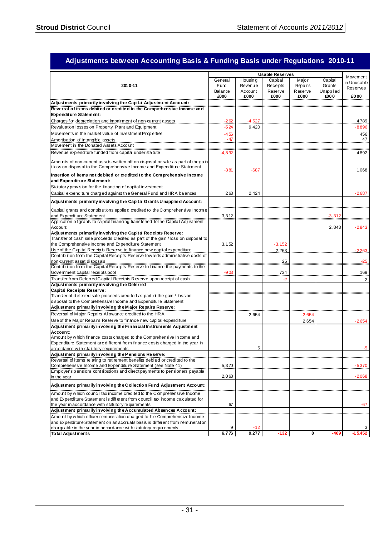|                                                                                                                                                            |          |                | <b>Usable Reserves</b> |          |                  |             |
|------------------------------------------------------------------------------------------------------------------------------------------------------------|----------|----------------|------------------------|----------|------------------|-------------|
|                                                                                                                                                            | Genera I | Housing        | Capital                | Majo r   | Capital          | Movement    |
| 2010-11                                                                                                                                                    | Fund     | <b>Revenue</b> | Receipts               | Repairs  | Grants           | in Unusable |
|                                                                                                                                                            | Balance  | Account        | Reserve                | Reserve  | <b>Unapplied</b> | Reserves    |
|                                                                                                                                                            | £000     | £000           | £000                   | £000     | £000             | £000        |
| Adjustments primarily in volving the Capital Adjustment Account:                                                                                           |          |                |                        |          |                  |             |
| Reversal of items debited or credited to the Comprehensive Income and                                                                                      |          |                |                        |          |                  |             |
| Expenditure Statement:                                                                                                                                     |          |                |                        |          |                  |             |
| Charges for depreciation and impairment of non-current assets                                                                                              | $-262$   | $-4.527$       |                        |          |                  | 4,789       |
| Revaluation losses on Property, Plant and Equipment                                                                                                        | $-524$   | 9,420          |                        |          |                  | -8,896      |
| Movements in the market value of Investment Properties                                                                                                     | $-456$   |                |                        |          |                  | 456         |
| Amortisation of intangible assets                                                                                                                          | - 47     |                |                        |          |                  | 47          |
| Movement in the Donated Assets Account                                                                                                                     |          |                |                        |          |                  |             |
| Revenue expenditure funded from capital under statute                                                                                                      | -4.892   |                |                        |          |                  | 4,892       |
| Amounts of non-current assets written off on disposal or sale as part of the gain<br>bss on disposal to the Comprehensive Income and Expenditure Statement | $-381$   | $-687$         |                        |          |                  | 1,068       |
| Insertion of items not de bited or credited to the Comprehensive Income<br>and Expenditure Statement:                                                      |          |                |                        |          |                  |             |
| Statutory provision for the financing of capital investment                                                                                                |          |                |                        |          |                  |             |
| Capital expenditure charged against the General Fund and HRA balances                                                                                      | 263      | 2,424          |                        |          |                  | -2,687      |
| Adjustments primarily in volving the Capital Grants Unapplied Account:                                                                                     |          |                |                        |          |                  |             |
| Capital grants and contributions applied credited to the Comprehensive Income                                                                              |          |                |                        |          |                  |             |
| and Expenditure Statement                                                                                                                                  | 3,312    |                |                        |          | -3,312           |             |
| Application of grants to capital financing transferred to the Capital Adjustment<br>Account                                                                |          |                |                        |          | 2,843            | $-2,843$    |
| Adjustments primarily in volving the Capital Receipts Reserve:                                                                                             |          |                |                        |          |                  |             |
| Transfer of cash sale proceeds credited as part of the gain / loss on disposal to                                                                          |          |                |                        |          |                  |             |
| the Comprehensive Income and Expenditure Statement                                                                                                         | 3,152    |                | $-3,152$               |          |                  |             |
| Use of the Capital Receipts Reserve to finance new capital expenditure                                                                                     |          |                | 2.263                  |          |                  | -2263.      |
| Contribution from the Capital Receipts Reserve tow ards administrative costs of                                                                            |          |                |                        |          |                  |             |
| non-current asset disposals                                                                                                                                |          |                | 25                     |          |                  | $-25$       |
| Contribution from the Capital Receipts Reserve to finance the payments to the                                                                              |          |                |                        |          |                  |             |
| Government capital receipts pool                                                                                                                           | -903     |                | 734                    |          |                  | 169         |
| Transfer from Deferred Capital Receipts Reserve upon receipt of cash<br>Adjustments primarily in volving the Deferred                                      |          |                |                        |          |                  | 2           |
| <b>Capital Rece ipts Reserve:</b>                                                                                                                          |          |                |                        |          |                  |             |
| Transfer of deferred sale proceeds credited as part of the gain / loss on                                                                                  |          |                |                        |          |                  |             |
| disposal to the Comprehensive Income and Expenditure Statement                                                                                             |          |                |                        |          |                  |             |
| Adjustment primarily in volving the Major Repairs Reserve:                                                                                                 |          |                |                        |          |                  |             |
| Reversal of Major Repairs Allowance credited to the HRA                                                                                                    |          | 2,654          |                        | $-2,654$ |                  |             |
| Use of the Major Repairs Reserve to finance new capital expenditure                                                                                        |          |                |                        | 2,654    |                  | $-2,654$    |
| Adjustment primarily in volving the Financial Instruments Adjustment                                                                                       |          |                |                        |          |                  |             |
| Account:                                                                                                                                                   |          |                |                        |          |                  |             |
| Amount by which finance costs charged to the Comprehensive Income and                                                                                      |          |                |                        |          |                  |             |
| Expenditure Statement are different from finance costs charged in the year in                                                                              |          |                |                        |          |                  |             |
| accordance with statutory requirements                                                                                                                     |          | 5              |                        |          |                  | -5          |
| Adjustment primarily in volving the Pensions Reserve:                                                                                                      |          |                |                        |          |                  |             |
| Reversal of items relating to retirement benefits debited or credited to the<br>Comprehensive Income and Expenditure Statement (see Note 41)               |          |                |                        |          |                  |             |
| Employer's pensions contributions and direct payments to pensioners payable                                                                                | 5,370    |                |                        |          |                  | -5,370      |
| in the year                                                                                                                                                | 2,068    |                |                        |          |                  | $-2,068$    |
| Adjustment primarily in volving the Collection Fund Adjustment Account:                                                                                    |          |                |                        |          |                  |             |
|                                                                                                                                                            |          |                |                        |          |                  |             |
| Amount by which council tax income credited to the Comprehensive Income                                                                                    |          |                |                        |          |                  |             |
| and Expenditure Statement is different from council tax income calculated for<br>the year in accordance with statutory requirements                        | 67       |                |                        |          |                  | -67         |
| Adjustment primarily in volving the Accumulated Absences Account:                                                                                          |          |                |                        |          |                  |             |
| Amount by which officer remuneration charged to the Comprehensive Income                                                                                   |          |                |                        |          |                  |             |
| and Expenditure Statement on an accruals basis is different from remuneration                                                                              |          |                |                        |          |                  |             |
| chargeable in the year in accordance with statutory requirements                                                                                           | 9        | -12            |                        |          |                  |             |
| <b>Total Adjustments</b>                                                                                                                                   | 6,776    | 9,277          | $-132$                 | 0        | $-469$           | $-15.452$   |

#### **Adjustments between Accounting Basis & Funding Basis under Regulations 2010-11**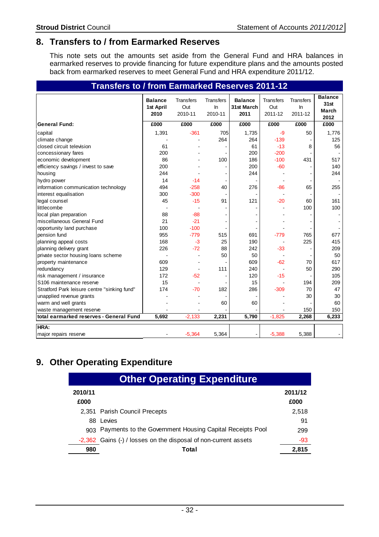### **8. Transfers to / from Earmarked Reserves**

This note sets out the amounts set aside from the General Fund and HRA balances in earmarked reserves to provide financing for future expenditure plans and the amounts posted back from earmarked reserves to meet General Fund and HRA expenditure 2011/12.

| Transfers to / from Earmarked Reserves 2011-12 |                                     |                                    |                                   |                                      |                                    |                                      |                                                |
|------------------------------------------------|-------------------------------------|------------------------------------|-----------------------------------|--------------------------------------|------------------------------------|--------------------------------------|------------------------------------------------|
|                                                | <b>Balance</b><br>1st April<br>2010 | <b>Transfers</b><br>Out<br>2010-11 | <b>Transfers</b><br>ln<br>2010-11 | <b>Balance</b><br>31st March<br>2011 | <b>Transfers</b><br>Out<br>2011-12 | <b>Transfers</b><br>$\ln$<br>2011-12 | <b>Balance</b><br>31st<br><b>March</b><br>2012 |
| <b>General Fund:</b>                           | £000                                | £000                               | £000                              | £000                                 | £000                               | £000                                 | £000                                           |
| capital                                        | 1,391                               | $-361$                             | 705                               | 1,735                                | $-9$                               | 50                                   | 1,776                                          |
| climate change                                 |                                     |                                    | 264                               | 264                                  | $-139$                             |                                      | 125                                            |
| closed circuit television                      | 61                                  |                                    |                                   | 61                                   | $-13$                              | 8                                    | 56                                             |
| concessionary fares                            | 200                                 |                                    |                                   | 200                                  | $-200$                             |                                      |                                                |
| economic development                           | 86                                  |                                    | 100                               | 186                                  | $-100$                             | 431                                  | 517                                            |
| efficiency savings / invest to save            | 200                                 |                                    |                                   | 200                                  | $-60$                              |                                      | 140                                            |
| housing                                        | 244                                 |                                    |                                   | 244                                  |                                    |                                      | 244                                            |
| hydro power                                    | 14                                  | $-14$                              |                                   |                                      |                                    |                                      |                                                |
| information communication technology           | 494                                 | $-258$                             | 40                                | 276                                  | $-86$                              | 65                                   | 255                                            |
| interest equalisation                          | 300                                 | $-300$                             |                                   |                                      |                                    |                                      |                                                |
| legal counsel                                  | 45                                  | $-15$                              | 91                                | 121                                  | $-20$                              | 60                                   | 161                                            |
| littlecombe                                    |                                     |                                    |                                   |                                      |                                    | 100                                  | 100                                            |
| local plan preparation                         | 88                                  | $-88$                              |                                   |                                      |                                    |                                      |                                                |
| miscellaneous General Fund                     | 21                                  | $-21$                              | $\sim$                            |                                      |                                    |                                      |                                                |
| opportunity land purchase                      | 100                                 | $-100$                             |                                   |                                      |                                    |                                      |                                                |
| pension fund                                   | 955                                 | $-779$                             | 515                               | 691                                  | $-779$                             | 765                                  | 677                                            |
| planning appeal costs                          | 168                                 | $-3$                               | 25                                | 190                                  | $\blacksquare$                     | 225                                  | 415                                            |
| planning delivery grant                        | 226                                 | $-72$                              | 88                                | 242                                  | $-33$                              |                                      | 209                                            |
| private sector housing loans scheme            |                                     |                                    | 50                                | 50                                   |                                    |                                      | 50                                             |
| property maintenance                           | 609                                 |                                    |                                   | 609                                  | $-62$                              | 70                                   | 617                                            |
| redundancy                                     | 129                                 |                                    | 111                               | 240                                  |                                    | 50                                   | 290                                            |
| risk management / insurance                    | 172                                 | $-52$                              |                                   | 120                                  | $-15$                              |                                      | 105                                            |
| S106 maintenance reserve                       | 15                                  |                                    |                                   | 15                                   |                                    | 194                                  | 209                                            |
| Stratford Park leisure centre "sinking fund"   | 174                                 | $-70$                              | 182                               | 286                                  | $-309$                             | 70                                   | 47                                             |
| unapplied revenue grants                       |                                     |                                    |                                   |                                      |                                    | 30                                   | 30                                             |
| warm and well grants                           |                                     |                                    | 60                                | 60                                   |                                    |                                      | 60                                             |
| waste management reserve                       |                                     |                                    |                                   |                                      |                                    | 150                                  | 150                                            |
| total earmarked reserves - General Fund        | 5,692                               | $-2,133$                           | 2,231                             | 5,790                                | $-1,825$                           | 2,268                                | 6,233                                          |
| HRA:                                           |                                     |                                    |                                   |                                      |                                    |                                      |                                                |
| major repairs reserve                          |                                     | $-5,364$                           | 5,364                             |                                      | $-5,388$                           | 5,388                                |                                                |

### **9. Other Operating Expenditure**

| <b>Other Operating Expenditure</b> |                                                                 |                 |  |  |  |
|------------------------------------|-----------------------------------------------------------------|-----------------|--|--|--|
| 2010/11<br>£000                    |                                                                 | 2011/12<br>£000 |  |  |  |
|                                    | 2,351 Parish Council Precepts                                   | 2,518           |  |  |  |
|                                    | 88 Levies                                                       | 91              |  |  |  |
|                                    | 903 Payments to the Government Housing Capital Receipts Pool    | 299             |  |  |  |
|                                    | -2,362 Gains (-) / losses on the disposal of non-current assets | -93             |  |  |  |
| 980                                | Total                                                           | 2.815           |  |  |  |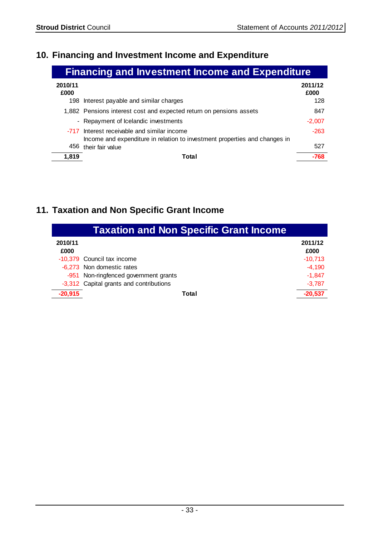### **10. Financing and Investment Income and Expenditure**

| <b>Financing and Investment Income and Expenditure</b> |                                                                                                                           |                 |  |  |
|--------------------------------------------------------|---------------------------------------------------------------------------------------------------------------------------|-----------------|--|--|
| 2010/11<br>£000                                        |                                                                                                                           | 2011/12<br>£000 |  |  |
|                                                        | 198 Interest payable and similar charges                                                                                  | 128             |  |  |
|                                                        | 1,882 Pensions interest cost and expected return on pensions assets                                                       | 847             |  |  |
|                                                        | - Repayment of Icelandic investments                                                                                      | $-2,007$        |  |  |
|                                                        | -717 Interest receivable and similar income<br>Income and expenditure in relation to investment properties and changes in | $-263$          |  |  |
| 456                                                    | their fair value                                                                                                          | 527             |  |  |
| 1.819                                                  | Total                                                                                                                     | -768            |  |  |

### **11. Taxation and Non Specific Grant Income**

| <b>Taxation and Non Specific Grant Income</b> |                                         |                 |  |  |
|-----------------------------------------------|-----------------------------------------|-----------------|--|--|
| 2010/11<br>£000                               |                                         | 2011/12<br>£000 |  |  |
|                                               | -10,379 Council tax income              | $-10.713$       |  |  |
|                                               | -6,273 Non domestic rates               | $-4,190$        |  |  |
|                                               | -951 Non-ringfenced government grants   | $-1.847$        |  |  |
|                                               | -3,312 Capital grants and contributions | $-3,787$        |  |  |
| $-20,915$                                     | Total                                   | $-20,537$       |  |  |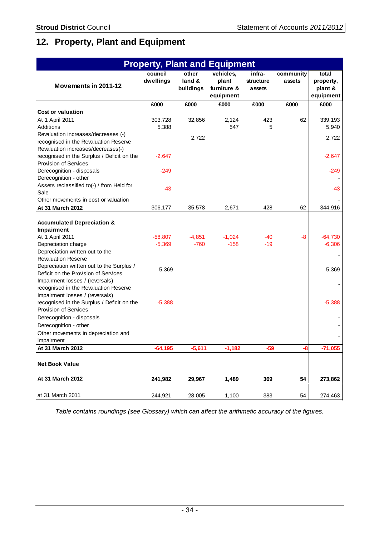### **12. Property, Plant and Equipment**

| <b>Property, Plant and Equipment</b>                                                                                                                                                                                                                                                                                                                               |                                |                              |                                                |                               |                     |                                            |  |
|--------------------------------------------------------------------------------------------------------------------------------------------------------------------------------------------------------------------------------------------------------------------------------------------------------------------------------------------------------------------|--------------------------------|------------------------------|------------------------------------------------|-------------------------------|---------------------|--------------------------------------------|--|
| Movements in 2011-12                                                                                                                                                                                                                                                                                                                                               | council<br>dwellings           | other<br>land &<br>buildings | vehicles,<br>plant<br>furniture &<br>equipment | infra-<br>structure<br>assets | community<br>assets | total<br>property,<br>plant &<br>equipment |  |
|                                                                                                                                                                                                                                                                                                                                                                    | £000                           | £000                         | £000                                           | £000                          | £000                | £000                                       |  |
| <b>Cost or valuation</b>                                                                                                                                                                                                                                                                                                                                           |                                |                              |                                                |                               |                     |                                            |  |
| At 1 April 2011                                                                                                                                                                                                                                                                                                                                                    | 303,728                        | 32,856                       | 2,124                                          | 423                           | 62                  | 339,193                                    |  |
| Additions                                                                                                                                                                                                                                                                                                                                                          | 5,388                          |                              | 547                                            | 5                             |                     | 5,940                                      |  |
| Revaluation increases/decreases (-)                                                                                                                                                                                                                                                                                                                                |                                | 2,722                        |                                                |                               |                     | 2,722                                      |  |
| recognised in the Revaluation Reserve                                                                                                                                                                                                                                                                                                                              |                                |                              |                                                |                               |                     |                                            |  |
| Revaluation increases/decreases(-)                                                                                                                                                                                                                                                                                                                                 |                                |                              |                                                |                               |                     |                                            |  |
| recognised in the Surplus / Deficit on the                                                                                                                                                                                                                                                                                                                         | $-2,647$                       |                              |                                                |                               |                     | $-2,647$                                   |  |
| <b>Provision of Services</b>                                                                                                                                                                                                                                                                                                                                       |                                |                              |                                                |                               |                     |                                            |  |
| Derecognition - disposals                                                                                                                                                                                                                                                                                                                                          | $-249$                         |                              |                                                |                               |                     | $-249$                                     |  |
| Derecognition - other                                                                                                                                                                                                                                                                                                                                              |                                |                              |                                                |                               |                     |                                            |  |
| Assets reclassified to(-) / from Held for                                                                                                                                                                                                                                                                                                                          | $-43$                          |                              |                                                |                               |                     | $-43$                                      |  |
| Sale                                                                                                                                                                                                                                                                                                                                                               |                                |                              |                                                |                               |                     |                                            |  |
| Other movements in cost or valuation                                                                                                                                                                                                                                                                                                                               |                                |                              |                                                |                               |                     |                                            |  |
| At 31 March 2012                                                                                                                                                                                                                                                                                                                                                   | 306,177                        | 35,578                       | 2,671                                          | 428                           | 62                  | 344,916                                    |  |
| <b>Accumulated Depreciation &amp;</b><br>Impairment<br>At 1 April 2011<br>Depreciation charge<br>Depreciation written out to the<br><b>Revaluation Reserve</b><br>Depreciation written out to the Surplus /<br>Deficit on the Provision of Services<br>Impairment losses / (reversals)<br>recognised in the Revaluation Reserve<br>Impairment losses / (reversals) | $-58,807$<br>$-5,369$<br>5,369 | $-4,851$<br>$-760$           | $-1,024$<br>$-158$                             | -40<br>$-19$                  | -8                  | $-64,730$<br>$-6,306$<br>5,369             |  |
| recognised in the Surplus / Deficit on the<br><b>Provision of Services</b><br>Derecognition - disposals                                                                                                                                                                                                                                                            | $-5,388$                       |                              |                                                |                               |                     | $-5,388$                                   |  |
| Derecognition - other                                                                                                                                                                                                                                                                                                                                              |                                |                              |                                                |                               |                     |                                            |  |
| Other movements in depreciation and                                                                                                                                                                                                                                                                                                                                |                                |                              |                                                |                               |                     |                                            |  |
| impairment                                                                                                                                                                                                                                                                                                                                                         |                                |                              |                                                |                               |                     |                                            |  |
| At 31 March 2012                                                                                                                                                                                                                                                                                                                                                   | $-64, 195$                     | $-5,611$                     | $-1,182$                                       | $-59$                         | -8                  | $-71,055$                                  |  |
| <b>Net Book Value</b>                                                                                                                                                                                                                                                                                                                                              |                                |                              |                                                |                               |                     |                                            |  |
| At 31 March 2012                                                                                                                                                                                                                                                                                                                                                   | 241,982                        | 29,967                       | 1,489                                          | 369                           | 54                  | 273,862                                    |  |
| at 31 March 2011                                                                                                                                                                                                                                                                                                                                                   | 244,921                        | 28,005                       | 1,100                                          | 383                           | 54                  | 274,463                                    |  |

Table contains roundings (see Glossary) which can affect the arithmetic accuracy of the figures.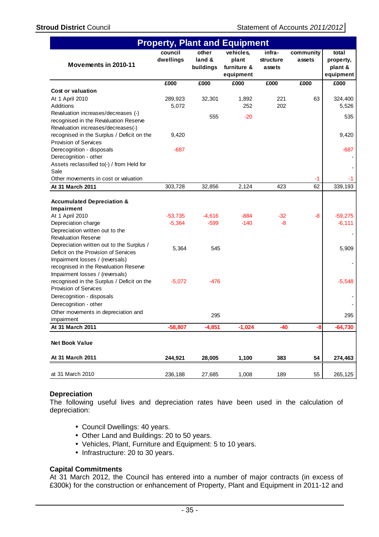| <b>Property, Plant and Equipment</b>                                              |                      |                              |                                                |                               |                     |                                            |
|-----------------------------------------------------------------------------------|----------------------|------------------------------|------------------------------------------------|-------------------------------|---------------------|--------------------------------------------|
| Movements in 2010-11                                                              | council<br>dwellings | other<br>land &<br>buildings | vehicles,<br>plant<br>furniture &<br>equipment | infra-<br>structure<br>assets | community<br>assets | total<br>property,<br>plant &<br>equipment |
|                                                                                   | £000                 | £000                         | £000                                           | £000                          | £000                | £000                                       |
| Cost or valuation                                                                 |                      |                              |                                                |                               |                     |                                            |
| At 1 April 2010                                                                   | 289,923              | 32,301                       | 1,892                                          | 221                           | 63                  | 324,400                                    |
| Additions                                                                         | 5,072                |                              | 252                                            | 202                           |                     | 5,526                                      |
| Revaluation increases/decreases (-)                                               |                      | 555                          | $-20$                                          |                               |                     | 535                                        |
| recognised in the Revaluation Reserve                                             |                      |                              |                                                |                               |                     |                                            |
| Revaluation increases/decreases(-)                                                |                      |                              |                                                |                               |                     |                                            |
| recognised in the Surplus / Deficit on the                                        | 9,420                |                              |                                                |                               |                     | 9,420                                      |
| <b>Provision of Services</b>                                                      |                      |                              |                                                |                               |                     |                                            |
| Derecognition - disposals                                                         | $-687$               |                              |                                                |                               |                     | $-687$                                     |
| Derecognition - other                                                             |                      |                              |                                                |                               |                     |                                            |
| Assets reclassified to(-) / from Held for                                         |                      |                              |                                                |                               |                     |                                            |
| Sale                                                                              |                      |                              |                                                |                               |                     |                                            |
| Other movements in cost or valuation                                              |                      |                              |                                                |                               | -1                  |                                            |
| At 31 March 2011                                                                  | 303,728              | 32,856                       | 2,124                                          | 423                           | 62                  | 339,193                                    |
| <b>Accumulated Depreciation &amp;</b><br>Impairment                               | $-53,735$            | $-4,616$                     | $-884$                                         | $-32$                         | -8                  | $-59,275$                                  |
| At 1 April 2010                                                                   |                      | $-599$                       |                                                |                               |                     |                                            |
| Depreciation charge                                                               | $-5,364$             |                              | $-140$                                         | -8                            |                     | $-6,111$                                   |
| Depreciation written out to the<br><b>Revaluation Reserve</b>                     |                      |                              |                                                |                               |                     |                                            |
|                                                                                   |                      |                              |                                                |                               |                     |                                            |
| Depreciation written out to the Surplus /<br>Deficit on the Provision of Services | 5,364                | 545                          |                                                |                               |                     | 5,909                                      |
| Impairment losses / (reversals)<br>recognised in the Revaluation Reserve          |                      |                              |                                                |                               |                     |                                            |
| Impairment losses / (reversals)                                                   |                      |                              |                                                |                               |                     |                                            |
| recognised in the Surplus / Deficit on the<br><b>Provision of Services</b>        | $-5,072$             | -476                         |                                                |                               |                     | $-5,548$                                   |
| Derecognition - disposals                                                         |                      |                              |                                                |                               |                     |                                            |
| Derecognition - other                                                             |                      |                              |                                                |                               |                     |                                            |
| Other movements in depreciation and                                               |                      | 295                          |                                                |                               |                     | 295                                        |
| impairment                                                                        |                      |                              |                                                |                               |                     |                                            |
| At 31 March 2011                                                                  | $-58,807$            | $-4,851$                     | $-1,024$                                       | $-40$                         | -8                  | $-64,730$                                  |
| <b>Net Book Value</b>                                                             |                      |                              |                                                |                               |                     |                                            |
| At 31 March 2011                                                                  | 244,921              | 28,005                       | 1,100                                          | 383                           | 54                  | 274,463                                    |
| at 31 March 2010                                                                  | 236,188              | 27,685                       | 1,008                                          | 189                           | 55                  | 265,125                                    |

## **Depreciation**

The following useful lives and depreciation rates have been used in the calculation of depreciation:

- Council Dwellings: 40 years.
- Other Land and Buildings: 20 to 50 years.
- Vehicles, Plant, Furniture and Equipment: 5 to 10 years.
- Infrastructure: 20 to 30 years.

## **Capital Commitments**

At 31 March 2012, the Council has entered into a number of major contracts (in excess of £300k) for the construction or enhancement of Property, Plant and Equipment in 2011-12 and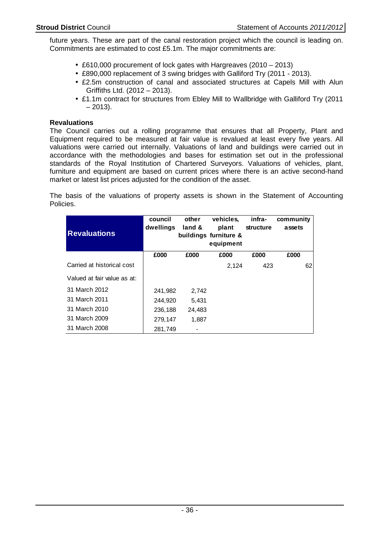future years. These are part of the canal restoration project which the council is leading on. Commitments are estimated to cost £5.1m. The major commitments are:

- £610,000 procurement of lock gates with Hargreaves (2010 2013)
- £890,000 replacement of 3 swing bridges with Galliford Try (2011 2013).
- £2.5m construction of canal and associated structures at Capels Mill with Alun Griffiths Ltd. (2012 – 2013).
- £1.1m contract for structures from Ebley Mill to Wallbridge with Galliford Try (2011  $-2013$ ).

## **Revaluations**

The Council carries out a rolling programme that ensures that all Property, Plant and Equipment required to be measured at fair value is revalued at least every five years. All valuations were carried out internally. Valuations of land and buildings were carried out in accordance with the methodologies and bases for estimation set out in the professional standards of the Royal Institution of Chartered Surveyors. Valuations of vehicles, plant, furniture and equipment are based on current prices where there is an active second-hand market or latest list prices adjusted for the condition of the asset.

The basis of the valuations of property assets is shown in the Statement of Accounting Policies.

| <b>Revaluations</b>         | council<br>dwellings | other<br>land & | vehicles,<br>plant<br>buildings furniture &<br>equipment | infra-<br><b>structure</b> | community<br>assets |  |
|-----------------------------|----------------------|-----------------|----------------------------------------------------------|----------------------------|---------------------|--|
|                             | £000                 | £000            | £000                                                     | £000                       | £000                |  |
| Carried at historical cost  |                      |                 | 2,124                                                    | 423                        | 62                  |  |
| Valued at fair value as at: |                      |                 |                                                          |                            |                     |  |
| 31 March 2012               | 241,982              | 2,742           |                                                          |                            |                     |  |
| 31 March 2011               | 244,920              | 5,431           |                                                          |                            |                     |  |
| 31 March 2010               | 236,188              | 24.483          |                                                          |                            |                     |  |
| 31 March 2009               | 279,147              | 1,887           |                                                          |                            |                     |  |
| 31 March 2008               | 281,749              |                 |                                                          |                            |                     |  |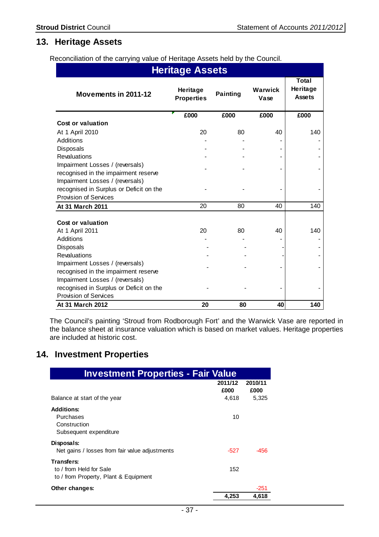# **13. Heritage Assets**

Reconciliation of the carrying value of Heritage Assets held by the Council.

| <b>Heritage Assets</b>                  |                               |                 |                 |                                           |  |  |  |
|-----------------------------------------|-------------------------------|-----------------|-----------------|-------------------------------------------|--|--|--|
| Movements in 2011-12                    | Heritage<br><b>Properties</b> | <b>Painting</b> | Warwick<br>Vase | <b>Total</b><br>Heritage<br><b>Assets</b> |  |  |  |
|                                         | £000                          | £000            | £000            | £000                                      |  |  |  |
| <b>Cost or valuation</b>                |                               |                 |                 |                                           |  |  |  |
| At 1 April 2010                         | 20                            | 80              | 40              | 140                                       |  |  |  |
| Additions                               |                               |                 |                 |                                           |  |  |  |
| Disposals                               |                               |                 |                 |                                           |  |  |  |
| <b>Revaluations</b>                     |                               |                 |                 |                                           |  |  |  |
| Impairment Losses / (reversals)         |                               |                 |                 |                                           |  |  |  |
| recognised in the impairment reserve    |                               |                 |                 |                                           |  |  |  |
| Impairment Losses / (reversals)         |                               |                 |                 |                                           |  |  |  |
| recognised in Surplus or Deficit on the |                               |                 |                 |                                           |  |  |  |
| <b>Provision of Services</b>            |                               |                 |                 |                                           |  |  |  |
| At 31 March 2011                        | 20                            | 80              | 40              | 140                                       |  |  |  |
| <b>Cost or valuation</b>                |                               |                 |                 |                                           |  |  |  |
| At 1 April 2011                         | 20                            | 80              | 40              | 140                                       |  |  |  |
| Additions                               |                               |                 |                 |                                           |  |  |  |
| Disposals                               |                               |                 |                 |                                           |  |  |  |
| <b>Revaluations</b>                     |                               |                 |                 |                                           |  |  |  |
| Impairment Losses / (reversals)         |                               |                 |                 |                                           |  |  |  |
| recognised in the impairment reserve    |                               |                 |                 |                                           |  |  |  |
| Impairment Losses / (reversals)         |                               |                 |                 |                                           |  |  |  |
| recognised in Surplus or Deficit on the |                               |                 |                 |                                           |  |  |  |
| <b>Provision of Services</b>            |                               |                 |                 |                                           |  |  |  |
| At 31 March 2012                        | 20                            | 80              | 40              | 140                                       |  |  |  |

The Council's painting 'Stroud from Rodborough Fort' and the Warwick Vase are reported in the balance sheet at insurance valuation which is based on market values. Heritage properties are included at historic cost.

# **14. Investment Properties**

| <b>Investment Properties - Fair Value</b>                                      |                          |                          |
|--------------------------------------------------------------------------------|--------------------------|--------------------------|
| Balance at start of the year                                                   | 2011/12<br>£000<br>4,618 | 2010/11<br>£000<br>5,325 |
| <b>Additions:</b><br>Purchases<br>Construction<br>Subsequent expenditure       | 10                       |                          |
| Disposals:<br>Net gains / losses from fair value adjustments                   | -527                     | -456                     |
| Transfers:<br>to / from Held for Sale<br>to / from Property, Plant & Equipment | 152                      |                          |
| Other changes:                                                                 |                          | $-251$                   |
|                                                                                | 4.253                    | 4.618                    |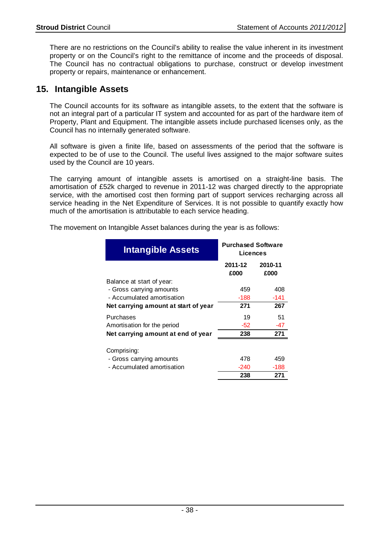There are no restrictions on the Council's ability to realise the value inherent in its investment property or on the Council's right to the remittance of income and the proceeds of disposal. The Council has no contractual obligations to purchase, construct or develop investment property or repairs, maintenance or enhancement.

# **15. Intangible Assets**

The Council accounts for its software as intangible assets, to the extent that the software is not an integral part of a particular IT system and accounted for as part of the hardware item of Property, Plant and Equipment. The intangible assets include purchased licenses only, as the Council has no internally generated software.

All software is given a finite life, based on assessments of the period that the software is expected to be of use to the Council. The useful lives assigned to the major software suites used by the Council are 10 years.

The carrying amount of intangible assets is amortised on a straight-line basis. The amortisation of £52k charged to revenue in 2011-12 was charged directly to the appropriate service, with the amortised cost then forming part of support services recharging across all service heading in the Net Expenditure of Services. It is not possible to quantify exactly how much of the amortisation is attributable to each service heading.

| The movement on Intangible Asset balances during the year is as follows: |  |
|--------------------------------------------------------------------------|--|
|                                                                          |  |

| <b>Intangible Assets</b>             | <b>Purchased Software</b><br>Licences |                 |  |
|--------------------------------------|---------------------------------------|-----------------|--|
|                                      | 2011-12<br>£000                       | 2010-11<br>£000 |  |
| Balance at start of year:            |                                       |                 |  |
| - Gross carrying amounts             | 459                                   | 408             |  |
| - Accumulated amortisation           | $-188$                                | -141            |  |
| Net carrying amount at start of year | 271                                   | 267             |  |
| Purchases                            | 19                                    | 51              |  |
| Amortisation for the period          | $-52$                                 | -47             |  |
| Net carrying amount at end of year   | 238                                   | 271             |  |
| Comprising:                          |                                       |                 |  |
| - Gross carrying amounts             | 478                                   | 459             |  |
| - Accumulated amortisation           | $-240$                                | $-188$          |  |
|                                      | 238                                   | 271             |  |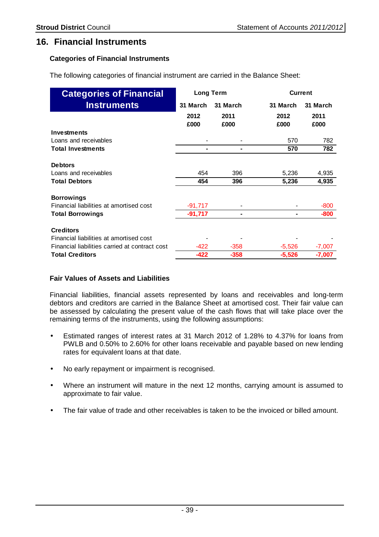## **16. Financial Instruments**

## **Categories of Financial Instruments**

The following categories of financial instrument are carried in the Balance Sheet:

| <b>Categories of Financial</b>                 | <b>Long Term</b> |                | <b>Current</b> |              |  |
|------------------------------------------------|------------------|----------------|----------------|--------------|--|
| <b>Instruments</b>                             | 31 March         | 31 March       | 31 March       | 31 March     |  |
|                                                | 2012<br>£000     | 2011<br>£000   | 2012<br>£000   | 2011<br>£000 |  |
| <b>Investments</b>                             |                  |                |                |              |  |
| Loans and receivables                          |                  |                | 570            | 782          |  |
| <b>Total Investments</b>                       |                  |                | 570            | 782          |  |
| <b>Debtors</b>                                 |                  |                |                |              |  |
| Loans and receivables                          | 454              | 396            | 5,236          | 4,935        |  |
| <b>Total Debtors</b>                           | 454              | 396            | 5,236          | 4,935        |  |
| <b>Borrowings</b>                              |                  |                |                |              |  |
| Financial liabilities at amortised cost        | $-91,717$        |                |                | $-800$       |  |
| <b>Total Borrowings</b>                        | $-91,717$        | $\blacksquare$ | ۰              | $-800$       |  |
| <b>Creditors</b>                               |                  |                |                |              |  |
| Financial liabilities at amortised cost        |                  |                |                |              |  |
| Financial liabilities carried at contract cost | -422             | $-358$         | $-5,526$       | $-7,007$     |  |
| <b>Total Creditors</b>                         | $-422$           | $-358$         | $-5,526$       | $-7,007$     |  |

## **Fair Values of Assets and Liabilities**

Financial liabilities, financial assets represented by loans and receivables and long-term debtors and creditors are carried in the Balance Sheet at amortised cost. Their fair value can be assessed by calculating the present value of the cash flows that will take place over the remaining terms of the instruments, using the following assumptions:

- Estimated ranges of interest rates at 31 March 2012 of 1.28% to 4.37% for loans from PWLB and 0.50% to 2.60% for other loans receivable and payable based on new lending rates for equivalent loans at that date.
- No early repayment or impairment is recognised.
- Where an instrument will mature in the next 12 months, carrying amount is assumed to approximate to fair value.
- The fair value of trade and other receivables is taken to be the invoiced or billed amount.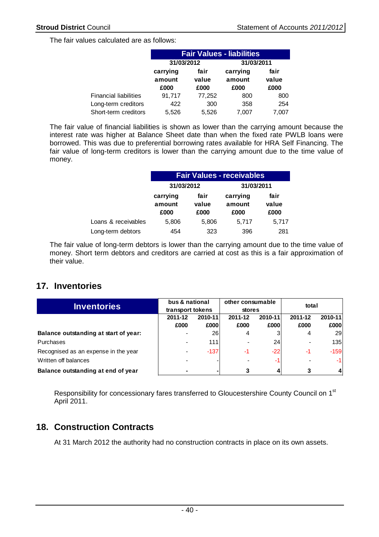The fair values calculated are as follows:

|                              | <b>Fair Values - liabilities</b> |                       |                            |                       |  |  |  |
|------------------------------|----------------------------------|-----------------------|----------------------------|-----------------------|--|--|--|
|                              | 31/03/2012                       |                       | 31/03/2011                 |                       |  |  |  |
|                              | carrying<br>amount<br>£000       | fair<br>value<br>£000 | carrying<br>amount<br>£000 | fair<br>value<br>£000 |  |  |  |
| <b>Financial liabilities</b> | 91,717                           | 77,252                | 800                        | 800                   |  |  |  |
| Long-term creditors          | 422                              | 300                   | 358                        | 254                   |  |  |  |
| Short-term creditors         | 5.526                            | 5,526                 | 7.007                      | 7.007                 |  |  |  |

The fair value of financial liabilities is shown as lower than the carrying amount because the interest rate was higher at Balance Sheet date than when the fixed rate PWLB loans were borrowed. This was due to preferential borrowing rates available for HRA Self Financing. The fair value of long-term creditors is lower than the carrying amount due to the time value of money.

|                     | <b>Fair Values - receivables</b> |                       |                            |                       |  |  |  |
|---------------------|----------------------------------|-----------------------|----------------------------|-----------------------|--|--|--|
|                     | 31/03/2012                       |                       | 31/03/2011                 |                       |  |  |  |
|                     | carrying<br>amount<br>£000       | fair<br>value<br>£000 | carrying<br>amount<br>£000 | fair<br>value<br>£000 |  |  |  |
| Loans & receivables | 5,806                            | 5,806                 | 5,717                      | 5,717                 |  |  |  |
| Long-term debtors   | 454                              | 323                   | 396                        | 281                   |  |  |  |

The fair value of long-term debtors is lower than the carrying amount due to the time value of money. Short term debtors and creditors are carried at cost as this is a fair approximation of their value.

# **17. Inventories**

|                                       | bus & national |                  |         | other consumable<br>total |         |            |  |
|---------------------------------------|----------------|------------------|---------|---------------------------|---------|------------|--|
| <b>Inventories</b>                    |                | transport tokens |         | stores                    |         |            |  |
|                                       | 2011-12        | 2010-11          | 2011-12 | 2010-11                   | 2011-12 | 2010-11    |  |
|                                       | £000           | £000             | £000    | £000                      | £000    | £000       |  |
| Balance outstanding at start of year: |                | 26               | 4       |                           | 4       | <b>291</b> |  |
| Purchases                             |                | 111              |         | 24                        |         | 135        |  |
| Recognised as an expense in the year  | $\blacksquare$ | $-137$           | -1      | $-22$                     | $-1$    | $-159$     |  |
| Written off balances                  |                |                  |         | -1                        |         | $-1$       |  |
| Balance outstanding at end of year    |                |                  |         |                           | 3       | 41         |  |

Responsibility for concessionary fares transferred to Gloucestershire County Council on 1<sup>st</sup> April 2011.

# **18. Construction Contracts**

At 31 March 2012 the authority had no construction contracts in place on its own assets.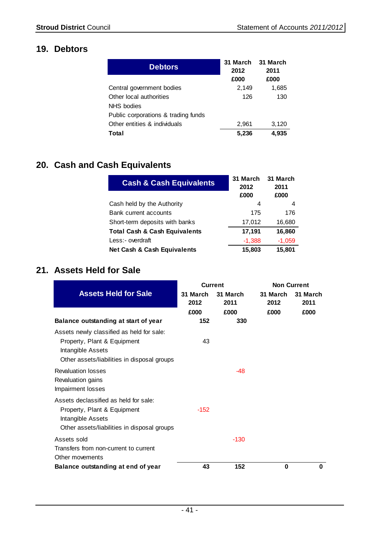# **19. Debtors**

| <b>Debtors</b>                      | 31 March<br>2012 | 31 March<br>2011 |
|-------------------------------------|------------------|------------------|
|                                     | £000             | £000             |
| Central government bodies           | 2,149            | 1,685            |
| Other local authorities             | 126              | 130              |
| NHS bodies                          |                  |                  |
| Public corporations & trading funds |                  |                  |
| Other entities & individuals        | 2,961            | 3,120            |
| Total                               | 5,236            | 4,935            |

# **20. Cash and Cash Equivalents**

| <b>Cash &amp; Cash Equivalents</b>       | 31 March<br>2012 | 31 March<br>2011 |
|------------------------------------------|------------------|------------------|
|                                          | £000             | £000             |
| Cash held by the Authority               | 4                | 4                |
| Bank current accounts                    | 175              | 176              |
| Short-term deposits with banks           | 17,012           | 16,680           |
| <b>Total Cash &amp; Cash Equivalents</b> | 17,191           | 16,860           |
| Less:- overdraft                         | $-1,388$         | $-1,059$         |
| Net Cash & Cash Equivalents              | 15,803           | 15,801           |

# **21. Assets Held for Sale**

|                                                                                                                                              | <b>Current</b>   |                  |                  | <b>Non Current</b> |
|----------------------------------------------------------------------------------------------------------------------------------------------|------------------|------------------|------------------|--------------------|
| <b>Assets Held for Sale</b>                                                                                                                  | 31 March<br>2012 | 31 March<br>2011 | 31 March<br>2012 | 31 March<br>2011   |
|                                                                                                                                              | £000             | £000             | £000             | £000               |
| Balance outstanding at start of year                                                                                                         | 152              | 330              |                  |                    |
| Assets newly classified as held for sale:<br>Property, Plant & Equipment<br>Intangible Assets<br>Other assets/liabilities in disposal groups | 43               |                  |                  |                    |
| <b>Revaluation losses</b><br>Revaluation gains<br>Impairment losses                                                                          |                  | $-48$            |                  |                    |
| Assets declassified as held for sale:<br>Property, Plant & Equipment<br>Intangible Assets<br>Other assets/liabilities in disposal groups     | $-152$           |                  |                  |                    |
| Assets sold<br>Transfers from non-current to current<br>Other movements                                                                      |                  | $-130$           |                  |                    |
| Balance outstanding at end of year                                                                                                           | 43               | 152              | 0                | 0                  |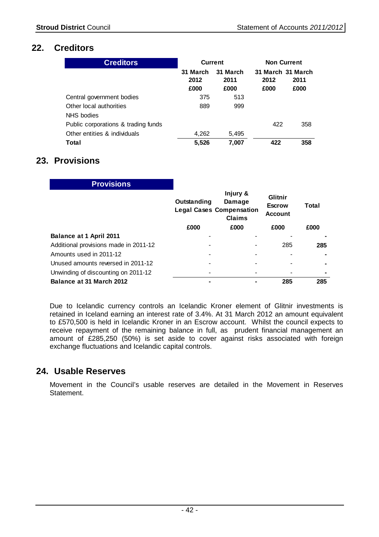# **22. Creditors**

| <b>Creditors</b>                      | <b>Current</b>           |                          | <b>Non Current</b>                |              |
|---------------------------------------|--------------------------|--------------------------|-----------------------------------|--------------|
|                                       | 31 March<br>2012<br>£000 | 31 March<br>2011<br>£000 | 31 March 31 March<br>2012<br>£000 | 2011<br>£000 |
| Central government bodies             | 375                      | 513                      |                                   |              |
| Other local authorities<br>NHS bodies | 889                      | 999                      |                                   |              |
| Public corporations & trading funds   |                          |                          | 422                               | 358          |
| Other entities & individuals          | 4,262                    | 5,495                    |                                   |              |
| Total                                 | 5,526                    | 7.007                    | 422                               | 358          |

# **23. Provisions**

| <b>Provisions</b>                     |             |                                                                        |                                            |       |
|---------------------------------------|-------------|------------------------------------------------------------------------|--------------------------------------------|-------|
|                                       | Outstanding | Injury &<br>Damage<br><b>Legal Cases Compensation</b><br><b>Claims</b> | Glitnir<br><b>Escrow</b><br><b>Account</b> | Total |
|                                       | £000        | £000                                                                   | £000                                       | £000  |
| Balance at 1 April 2011               |             |                                                                        |                                            |       |
| Additional provisions made in 2011-12 |             |                                                                        | 285                                        | 285   |
| Amounts used in 2011-12               |             |                                                                        |                                            |       |
| Unused amounts reversed in 2011-12    |             |                                                                        |                                            | ٠     |
| Unwinding of discounting on 2011-12   |             |                                                                        |                                            | ۰     |
| Balance at 31 March 2012              |             |                                                                        | 285                                        | 285   |

Due to Icelandic currency controls an Icelandic Kroner element of Glitnir investments is retained in Iceland earning an interest rate of 3.4%. At 31 March 2012 an amount equivalent to £570,500 is held in Icelandic Kroner in an Escrow account. Whilst the council expects to receive repayment of the remaining balance in full, as prudent financial management an amount of £285,250 (50%) is set aside to cover against risks associated with foreign exchange fluctuations and Icelandic capital controls.

## **24. Usable Reserves**

Movement in the Council's usable reserves are detailed in the Movement in Reserves Statement.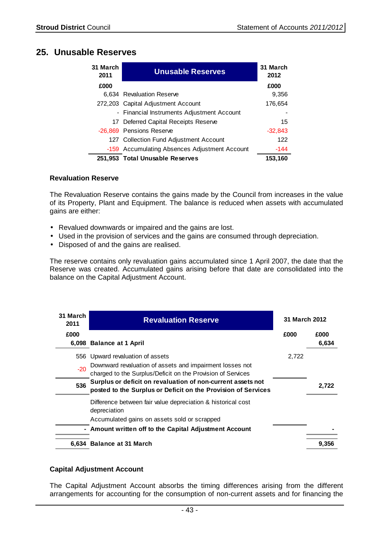# **25. Unusable Reserves**

| 31 March<br>2011 | <b>Unusable Reserves</b>                      | 31 March<br>2012 |
|------------------|-----------------------------------------------|------------------|
| £000             |                                               | £000             |
|                  | 6,634 Revaluation Reserve                     | 9,356            |
|                  | 272,203 Capital Adjustment Account            | 176,654          |
|                  | - Financial Instruments Adjustment Account    |                  |
|                  | 17 Deferred Capital Receipts Reserve          | 15               |
|                  | -26,869 Pensions Reserve                      | $-32,843$        |
|                  | 127 Collection Fund Adjustment Account        | 122              |
|                  | -159 Accumulating Absences Adjustment Account | $-144$           |
|                  | 251,953 Total Unusable Reserves               | 153,160          |

## **Revaluation Reserve**

The Revaluation Reserve contains the gains made by the Council from increases in the value of its Property, Plant and Equipment. The balance is reduced when assets with accumulated gains are either:

- Revalued downwards or impaired and the gains are lost.
- Used in the provision of services and the gains are consumed through depreciation.
- Disposed of and the gains are realised.

The reserve contains only revaluation gains accumulated since 1 April 2007, the date that the Reserve was created. Accumulated gains arising before that date are consolidated into the balance on the Capital Adjustment Account.

| 31 March<br>2011 | <b>Revaluation Reserve</b>                                                                                              | 31 March 2012 |       |
|------------------|-------------------------------------------------------------------------------------------------------------------------|---------------|-------|
| £000             |                                                                                                                         | £000          | £000  |
|                  | 6,098 Balance at 1 April                                                                                                |               | 6,634 |
|                  | 556 Upward revaluation of assets                                                                                        | 2,722         |       |
| $-20$            | Downward revaluation of assets and impairment losses not<br>charged to the Surplus/Deficit on the Provision of Services |               |       |
|                  | Surplus or deficit on revaluation of non-current assets not                                                             |               |       |
| 536              | posted to the Surplus or Deficit on the Provision of Services                                                           |               | 2.722 |
|                  | Difference between fair value depreciation & historical cost                                                            |               |       |
|                  | depreciation                                                                                                            |               |       |
|                  | Accumulated gains on assets sold or scrapped                                                                            |               |       |
|                  | - Amount written off to the Capital Adjustment Account                                                                  |               |       |
|                  | 6,634 Balance at 31 March                                                                                               |               | 9.356 |

## **Capital Adjustment Account**

The Capital Adjustment Account absorbs the timing differences arising from the different arrangements for accounting for the consumption of non-current assets and for financing the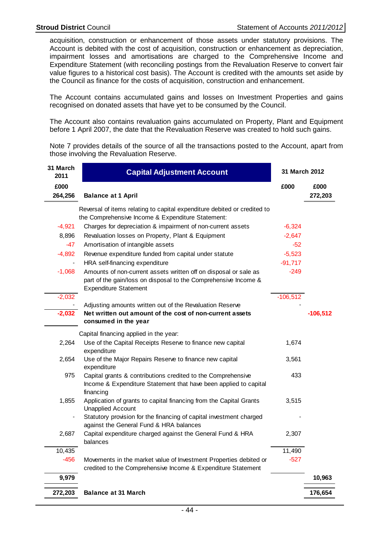acquisition, construction or enhancement of those assets under statutory provisions. The Account is debited with the cost of acquisition, construction or enhancement as depreciation, impairment losses and amortisations are charged to the Comprehensive Income and Expenditure Statement (with reconciling postings from the Revaluation Reserve to convert fair value figures to a historical cost basis). The Account is credited with the amounts set aside by the Council as finance for the costs of acquisition, construction and enhancement.

The Account contains accumulated gains and losses on Investment Properties and gains recognised on donated assets that have yet to be consumed by the Council.

The Account also contains revaluation gains accumulated on Property, Plant and Equipment before 1 April 2007, the date that the Revaluation Reserve was created to hold such gains.

Note 7 provides details of the source of all the transactions posted to the Account, apart from those involving the Revaluation Reserve.

| 31 March<br>2011 | <b>Capital Adjustment Account</b>                                                                                                                                   | 31 March 2012 |                 |
|------------------|---------------------------------------------------------------------------------------------------------------------------------------------------------------------|---------------|-----------------|
| £000<br>264,256  | <b>Balance at 1 April</b>                                                                                                                                           | £000          | £000<br>272,203 |
|                  | Reversal of items relating to capital expenditure debited or credited to<br>the Comprehensive Income & Expenditure Statement:                                       |               |                 |
| $-4,921$         | Charges for depreciation & impairment of non-current assets                                                                                                         | $-6,324$      |                 |
| 8,896            | Revaluation losses on Property, Plant & Equipment                                                                                                                   | $-2,647$      |                 |
| $-47$            | Amortisation of intangible assets                                                                                                                                   | $-52$         |                 |
| $-4,892$         | Revenue expenditure funded from capital under statute                                                                                                               | $-5,523$      |                 |
|                  | HRA self-financing expenditure                                                                                                                                      | $-91,717$     |                 |
| $-1,068$         | Amounts of non-current assets written off on disposal or sale as<br>part of the gain/loss on disposal to the Comprehensive Income &<br><b>Expenditure Statement</b> | $-249$        |                 |
| $-2,032$         |                                                                                                                                                                     | $-106,512$    |                 |
|                  | Adjusting amounts written out of the Revaluation Reserve                                                                                                            |               |                 |
| $-2,032$         | Net written out amount of the cost of non-current assets<br>consumed in the year                                                                                    |               | $-106,512$      |
|                  | Capital financing applied in the year:                                                                                                                              |               |                 |
| 2,264            | Use of the Capital Receipts Reserve to finance new capital<br>expenditure                                                                                           | 1,674         |                 |
| 2,654            | Use of the Major Repairs Reserve to finance new capital<br>expenditure                                                                                              | 3,561         |                 |
| 975              | Capital grants & contributions credited to the Comprehensive<br>Income & Expenditure Statement that have been applied to capital<br>financing                       | 433           |                 |
| 1,855            | Application of grants to capital financing from the Capital Grants<br><b>Unapplied Account</b>                                                                      | 3,515         |                 |
|                  | Statutory provision for the financing of capital investment charged<br>against the General Fund & HRA balances                                                      |               |                 |
| 2,687            | Capital expenditure charged against the General Fund & HRA<br>balances                                                                                              | 2,307         |                 |
| 10,435           |                                                                                                                                                                     | 11,490        |                 |
| $-456$           | Movements in the market value of Investment Properties debited or<br>credited to the Comprehensive Income & Expenditure Statement                                   | $-527$        |                 |
| 9,979            |                                                                                                                                                                     |               | 10,963          |
| 272,203          | <b>Balance at 31 March</b>                                                                                                                                          |               | 176,654         |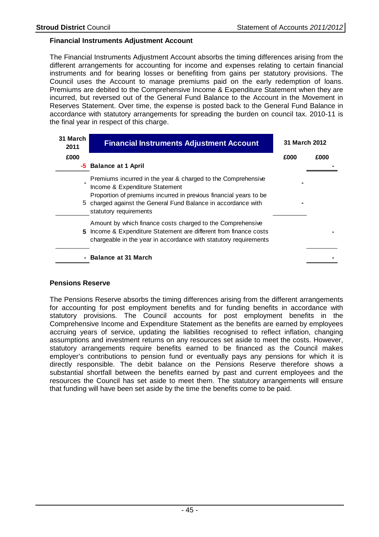## **Financial Instruments Adjustment Account**

The Financial Instruments Adjustment Account absorbs the timing differences arising from the different arrangements for accounting for income and expenses relating to certain financial instruments and for bearing losses or benefiting from gains per statutory provisions. The Council uses the Account to manage premiums paid on the early redemption of loans. Premiums are debited to the Comprehensive Income & Expenditure Statement when they are incurred, but reversed out of the General Fund Balance to the Account in the Movement in Reserves Statement. Over time, the expense is posted back to the General Fund Balance in accordance with statutory arrangements for spreading the burden on council tax. 2010-11 is the final year in respect of this charge.

| 31 March<br>2011 | <b>Financial Instruments Adjustment Account</b>                                                                                                                                                                                                                | 31 March 2012 |      |
|------------------|----------------------------------------------------------------------------------------------------------------------------------------------------------------------------------------------------------------------------------------------------------------|---------------|------|
| £000             |                                                                                                                                                                                                                                                                | £000          | £000 |
|                  | -5 Balance at 1 April                                                                                                                                                                                                                                          |               |      |
|                  | Premiums incurred in the year & charged to the Comprehensive<br>Income & Expenditure Statement<br>Proportion of premiums incurred in previous financial years to be<br>5 charged against the General Fund Balance in accordance with<br>statutory requirements |               |      |
|                  | Amount by which finance costs charged to the Comprehensive<br>5 Income & Expenditure Statement are different from finance costs<br>chargeable in the year in accordance with statutory requirements                                                            |               |      |
|                  | - Balance at 31 March                                                                                                                                                                                                                                          |               |      |

## **Pensions Reserve**

The Pensions Reserve absorbs the timing differences arising from the different arrangements for accounting for post employment benefits and for funding benefits in accordance with statutory provisions. The Council accounts for post employment benefits in the Comprehensive Income and Expenditure Statement as the benefits are earned by employees accruing years of service, updating the liabilities recognised to reflect inflation, changing assumptions and investment returns on any resources set aside to meet the costs. However, statutory arrangements require benefits earned to be financed as the Council makes employer's contributions to pension fund or eventually pays any pensions for which it is directly responsible. The debit balance on the Pensions Reserve therefore shows a substantial shortfall between the benefits earned by past and current employees and the resources the Council has set aside to meet them. The statutory arrangements will ensure that funding will have been set aside by the time the benefits come to be paid.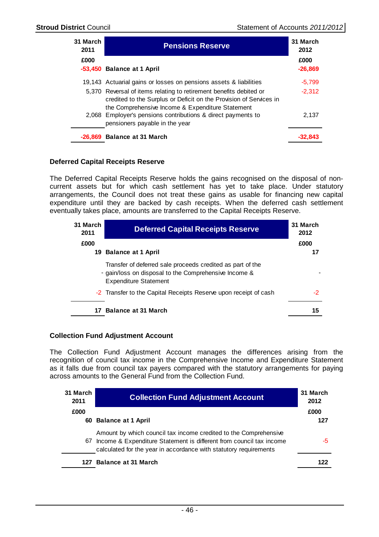| 31 March<br>2011 | <b>Pensions Reserve</b>                                                                                                                                                                      | 31 March<br>2012 |
|------------------|----------------------------------------------------------------------------------------------------------------------------------------------------------------------------------------------|------------------|
| £000             |                                                                                                                                                                                              | £000             |
|                  | -53,450 Balance at 1 April                                                                                                                                                                   | $-26,869$        |
|                  | 19,143 Actuarial gains or losses on pensions assets & liabilities                                                                                                                            | $-5.799$         |
|                  | 5,370 Reversal of items relating to retirement benefits debited or<br>credited to the Surplus or Deficit on the Provision of Services in<br>the Comprehensive Income & Expenditure Statement | $-2.312$         |
|                  | 2,068 Employer's pensions contributions & direct payments to<br>pensioners payable in the year                                                                                               | 2.137            |
|                  | -26,869 Balance at 31 March                                                                                                                                                                  |                  |

## **Deferred Capital Receipts Reserve**

The Deferred Capital Receipts Reserve holds the gains recognised on the disposal of noncurrent assets but for which cash settlement has yet to take place. Under statutory arrangements, the Council does not treat these gains as usable for financing new capital expenditure until they are backed by cash receipts. When the deferred cash settlement eventually takes place, amounts are transferred to the Capital Receipts Reserve.

| 31 March<br>2011 | <b>Deferred Capital Receipts Reserve</b>                                                                                                            | 31 March<br>2012 |
|------------------|-----------------------------------------------------------------------------------------------------------------------------------------------------|------------------|
| £000             |                                                                                                                                                     | £000             |
|                  | 19 Balance at 1 April                                                                                                                               | 17               |
|                  | Transfer of deferred sale proceeds credited as part of the<br>- gain/loss on disposal to the Comprehensive Income &<br><b>Expenditure Statement</b> |                  |
|                  | -2 Transfer to the Capital Receipts Reserve upon receipt of cash                                                                                    | -2               |
| 17               | <b>Balance at 31 March</b>                                                                                                                          | 15               |

## **Collection Fund Adjustment Account**

The Collection Fund Adjustment Account manages the differences arising from the recognition of council tax income in the Comprehensive Income and Expenditure Statement as it falls due from council tax payers compared with the statutory arrangements for paying across amounts to the General Fund from the Collection Fund.

| 31 March<br>2011 | <b>Collection Fund Adjustment Account</b>                                                                                                                                                                    | 31 March<br>2012 |
|------------------|--------------------------------------------------------------------------------------------------------------------------------------------------------------------------------------------------------------|------------------|
| £000             |                                                                                                                                                                                                              | £000             |
|                  | 60 Balance at 1 April                                                                                                                                                                                        | 127              |
| 67               | Amount by which council tax income credited to the Comprehensive<br>Income & Expenditure Statement is different from council tax income<br>calculated for the year in accordance with statutory requirements | -5               |
|                  | 127 Balance at 31 March                                                                                                                                                                                      | 122              |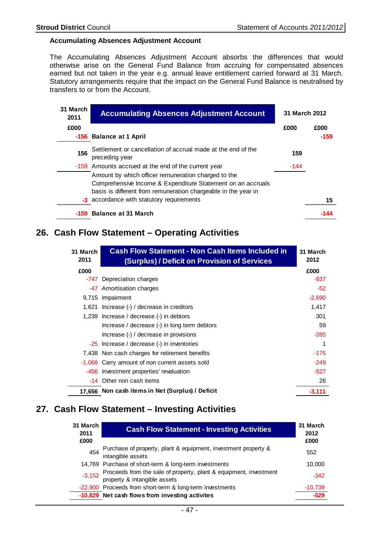## **Accumulating Absences Adjustment Account**

The Accumulating Absences Adjustment Account absorbs the differences that would otherwise arise on the General Fund Balance from accruing for compensated absences earned but not taken in the year e.g. annual leave entitlement carried forward at 31 March. Statutory arrangements require that the impact on the General Fund Balance is neutralised by transfers to or from the Account.

| 31 March<br>2011 | <b>Accumulating Absences Adjustment Account</b>                                | 31 March 2012 |        |
|------------------|--------------------------------------------------------------------------------|---------------|--------|
| £000             |                                                                                | £000          | £000   |
|                  | -156 Balance at 1 April                                                        |               | $-159$ |
| 156              | Settlement or cancellation of accrual made at the end of the<br>preceding year | 159           |        |
|                  | -159 Amounts accrued at the end of the current year                            | $-144$        |        |
|                  | Amount by which officer remuneration charged to the                            |               |        |
|                  | Comprehensive Income & Expenditure Statement on an accruals                    |               |        |
|                  | basis is different from remuneration chargeable in the year in                 |               |        |
|                  | -3 accordance with statutory requirements                                      |               | 15     |
|                  | -159 Balance at 31 March                                                       |               |        |

## **26. Cash Flow Statement – Operating Activities**

| 31 March<br>2011 | <b>Cash Flow Statement - Non Cash Items Included in</b><br>(Surplus) / Deficit on Provision of Services | 31 March<br>2012 |
|------------------|---------------------------------------------------------------------------------------------------------|------------------|
| £000             |                                                                                                         | £000             |
| -747             | Depreciation charges                                                                                    | $-937$           |
| -47              | Amortisation charges                                                                                    | $-52$            |
| 9,715            | Impairment                                                                                              | $-2,690$         |
| 1.621            | Increase (-) / decrease in creditors                                                                    | 1,417            |
| 1,239            | Increase / decrease (-) in debtors                                                                      | 301              |
|                  | Increase / decrease (-) in long term debtors                                                            | 59               |
|                  | Increase (-) / decrease in provisions                                                                   | $-285$           |
|                  | -25 Increase / decrease (-) in inventories                                                              | 1                |
|                  | 7,438 Non cash charges for retirement benefits                                                          | $-175$           |
|                  | -1,068 Carry amount of non current assets sold                                                          | $-249$           |
| -456             | Investment properties' revaluation                                                                      | $-527$           |
|                  | -14 Other non cash items                                                                                | 26               |
|                  | 17,656 Non cash items in Net (Surplus) / Deficit                                                        | -3,111           |

## **27. Cash Flow Statement – Investing Activities**

| 31 March<br>2011 | <b>Cash Flow Statement - Investing Activities</b>                                                 | 31 March<br>2012 |
|------------------|---------------------------------------------------------------------------------------------------|------------------|
| £000             |                                                                                                   | £000             |
| 454              | Purchase of property, plant & equipment, investment property &<br>intangible assets               | 552              |
|                  | 14,769 Purchase of short-term & long-term investments                                             | 10,000           |
| $-3,152$         | Proceeds from the sale of property, plant & equipment, investment<br>property & intangible assets | $-342$           |
|                  | -22,900 Proceeds from short-term & long-term investments                                          | $-10,739$        |
|                  | -10,829 Net cash flows from investing activites                                                   | -529             |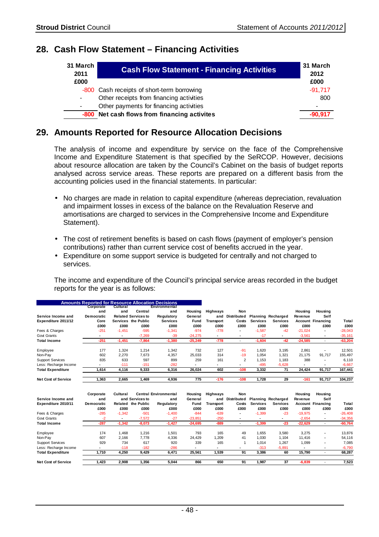# **28. Cash Flow Statement – Financing Activities**

| 31 March<br>2011 | <b>Cash Flow Statement - Financing Activities</b> | 31 March<br>2012         |
|------------------|---------------------------------------------------|--------------------------|
| £000             |                                                   | £000                     |
|                  | -800 Cash receipts of short-term borrowing        | $-91.717$                |
| $\blacksquare$   | Other receipts from financing activities          | 800                      |
| $\blacksquare$   | Other payments for financing activities           | $\overline{\phantom{0}}$ |
|                  | -800 Net cash flows from financing activites      | $-90.917$                |

## **29. Amounts Reported for Resource Allocation Decisions**

The analysis of income and expenditure by service on the face of the Comprehensive Income and Expenditure Statement is that specified by the SeRCOP. However, decisions about resource allocation are taken by the Council's Cabinet on the basis of budget reports analysed across service areas. These reports are prepared on a different basis from the accounting policies used in the financial statements. In particular:

- No charges are made in relation to capital expenditure (whereas depreciation, revaluation and impairment losses in excess of the balance on the Revaluation Reserve and amortisations are charged to services in the Comprehensive Income and Expenditure Statement).
- The cost of retirement benefits is based on cash flows (payment of employer's pension contributions) rather than current service cost of benefits accrued in the year.
- Expenditure on some support service is budgeted for centrally and not charged to services.

The income and expenditure of the Council's principal service areas recorded in the budget reports for the year is as follows:

|                            | <b>Amounts Reported for Resource Allocation Decisions</b> |                 |                            |                 |           |           |                          |                 |                           |           |                          |              |
|----------------------------|-----------------------------------------------------------|-----------------|----------------------------|-----------------|-----------|-----------|--------------------------|-----------------|---------------------------|-----------|--------------------------|--------------|
|                            | Corporate                                                 | <b>Cultural</b> |                            | Environmental   |           |           |                          |                 |                           |           |                          |              |
|                            | and                                                       | and             | Central                    | and             | Housing   | Highways  | Non                      |                 |                           | Housing   | Housing                  |              |
| Service Income and         | <b>Democratic</b>                                         |                 | <b>Related Services to</b> | Regulatory      | General   | and       | Distributed              |                 | <b>Planning Recharged</b> | Revenue   | Self                     |              |
| Expenditure 2011/12        | Core                                                      |                 | Services the Public        | <b>Services</b> | Fund      | Transport | Costs                    | <b>Services</b> | <b>Services</b>           |           | Account Financing        | <b>Total</b> |
|                            | £000                                                      | £000            | £000                       | £000            | £000      | £000      | £000                     | £000            | £000                      | £000      | £000                     | £000         |
| Fees & Charges             | $-251$                                                    | $-1,451$        | $-595$                     | $-1,341$        | $-974$    | $-778$    | $\blacksquare$           | $-1,587$        | $-42$                     | $-21,024$ |                          | $-28,043$    |
| <b>Govt Grants</b>         |                                                           | ٠               | $-7,269$                   | $-39$           | $-24,275$ |           | $\overline{\phantom{a}}$ | $-17$           |                           | $-3,561$  |                          | $-35,161$    |
| <b>Total Income</b>        | $-251$                                                    | $-1,451$        | $-7,864$                   | $-1,380$        | $-25,249$ | $-778$    | $\overline{\phantom{a}}$ | $-1,604$        | $-42$                     | $-24,585$ | $\sim$                   | $-63,204$    |
| Employee                   | 177                                                       | 1,324           | 1,214                      | 1,342           | 732       | 127       | $-91$                    | 1,620           | 3,195                     | 2,861     | $\overline{\phantom{a}}$ | 12,501       |
| Non-Pay                    | 602                                                       | 2,270           | 7,673                      | 4,357           | 25,033    | 314       | $-19$                    | 1,054           | 1,321                     | 21.175    | 91.717                   | 155,497      |
| <b>Support Services</b>    | 835                                                       | 633             | 597                        | 899             | 259       | 161       | 2                        | 1,153           | 1,183                     | 388       | $\overline{\phantom{a}}$ | 6,110        |
| Less: Recharge Income      |                                                           | $-111$          | $-151$                     | $-282$          |           |           | $\blacksquare$           | $-495$          | $-5,628$                  |           | $\overline{\phantom{a}}$ | $-6,667$     |
| <b>Total Expenditure</b>   | 1,614                                                     | 4,116           | 9,333                      | 6,316           | 26,024    | 602       | $-108$                   | 3,332           | 71                        | 24,424    | 91,717                   | 167,441      |
| <b>Net Cost of Service</b> | 1,363                                                     | 2,665           | 1,469                      | 4,936           | 775       | $-176$    | $-108$                   | 1,728           | 29                        | $-161$    | 91,717                   | 104,237      |

|                            | Corporate         | Cultural |                    | <b>Central Environmental</b> | Housing                  | <b>Highways</b>          | <b>Non</b>     |                 |                           | Housing        | Housing                  |           |
|----------------------------|-------------------|----------|--------------------|------------------------------|--------------------------|--------------------------|----------------|-----------------|---------------------------|----------------|--------------------------|-----------|
| Service Income and         | and               |          | and Services to    | and                          | General                  | and                      | Distributed    |                 | <b>Planning Recharged</b> | Revenue        | Self                     |           |
| Expenditure 2010/11        | <b>Democratic</b> |          | Related the Public | Regulatory                   | Fund                     | Transport                | Costs          | <b>Services</b> | <b>Services</b>           |                | Account Financing        | Total     |
|                            | £000              | £000     | £000               | £000                         | £000                     | £000                     | £000           | £000            | £000                      | £000           | £000                     | £000      |
| Fees & Charges             | $-285$            | $-1.342$ | $-501$             | $-1,400$                     | $-844$                   | $-639$                   |                | $-1,399$        | $-23$                     | $-19,975$      |                          | $-26,408$ |
| Govt Grants                | $-2$              | ۰        | $-7,572$           | $-27$                        | $-23.851$                | $-250$                   |                |                 | -                         | $-2,654$       | ۰                        | $-34,356$ |
| <b>Total Income</b>        | $-287$            | $-1.342$ | $-8,073$           | $-1,427$                     | $-24.695$                | -889                     |                | $-1,399$        | -23                       | $-22,629$      |                          | $-60,764$ |
| Employee                   | 174               | 1.468    | 1.216              | 1.501                        | 793                      | 165                      | 49             | 1.655           | 3.580                     | 3,275          | $\blacksquare$           | 13,876    |
| Non-Pav                    | 607               | 2.166    | 7.778              | 4,336                        | 24.429                   | .209                     | 41             | 1.030           | 1.104                     | 11.416         | $\blacksquare$           | 54,116    |
| <b>Support Services</b>    | 929               | 734      | 617                | 920                          | 339                      | 165                      |                | 1.014           | 1.267                     | 1,099          | $\blacksquare$           | 7.085     |
| Less: Recharge Income      |                   | $-118$   | $-182$             | $-286$                       | $\overline{\phantom{0}}$ | $\overline{\phantom{a}}$ | $\blacksquare$ | $-313$          | $-5.891$                  | $\blacksquare$ | $\overline{\phantom{a}}$ | $-6,790$  |
| <b>Total Expenditure</b>   | 1.710             | 4.250    | 9.429              | 6.471                        | 25.561                   | 1,539                    | 91             | 3.386           | 60                        | 15.790         |                          | 68,287    |
| <b>Net Cost of Service</b> | 1.423             | 2.908    | 1.356              | 5.044                        | 866                      | 650                      | 91             | 1.987           | 37                        | $-6,839$       |                          | 7,523     |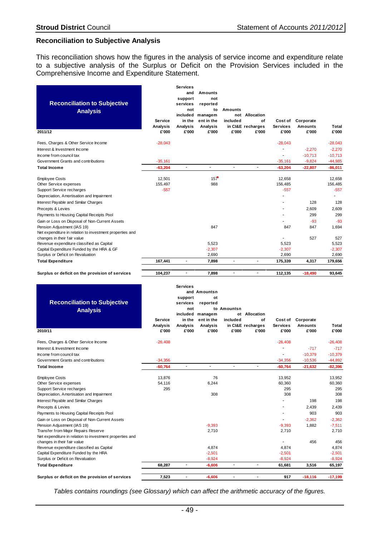## **Reconciliation to Subjective Analysis**

This reconciliation shows how the figures in the analysis of service income and expenditure relate to a subjective analysis of the Surplus or Deficit on the Provision Services included in the Comprehensive Income and Expenditure Statement.

| <b>Reconciliation to Subjective</b><br><b>Analysis</b>   | Service<br>Analysis | <b>Services</b><br>and<br>support<br>services<br>not<br>included<br>in the<br>Analysis | Amounts<br>not<br>reported<br>to<br>managem<br>ent in the<br>Analysis | Amounts<br>included      | not Allocation<br>of<br>in CI&E recharges | Cost of<br><b>Services</b> | Corporate<br>Amounts | Total     |
|----------------------------------------------------------|---------------------|----------------------------------------------------------------------------------------|-----------------------------------------------------------------------|--------------------------|-------------------------------------------|----------------------------|----------------------|-----------|
| 2011/12                                                  | £'000               | £'000                                                                                  | £'000                                                                 | £'000                    | £'000                                     | £'000                      | £'000                | £'000     |
| Fees, Charges & Other Service Income                     | $-28,043$           |                                                                                        |                                                                       |                          |                                           | $-28,043$                  |                      | $-28,043$ |
| Interest & Investment Income                             |                     |                                                                                        |                                                                       |                          |                                           |                            | $-2.270$             | $-2,270$  |
| Income from council tax                                  |                     |                                                                                        |                                                                       |                          |                                           | $\overline{\phantom{a}}$   | $-10.713$            | $-10.713$ |
| Government Grants and contributions                      | $-35,161$           |                                                                                        |                                                                       |                          |                                           | $-35,161$                  | $-9,824$             | $-44,985$ |
| <b>Total Income</b>                                      | $-63,204$           | $\blacksquare$                                                                         | $\blacksquare$                                                        | ٠                        | $\overline{\phantom{a}}$                  | $-63,204$                  | $-22,807$            | $-86,011$ |
| <b>Employee Costs</b>                                    | 12,501              |                                                                                        | 157                                                                   |                          |                                           | 12,658                     |                      | 12,658    |
| Other Service expenses                                   | 155,497             |                                                                                        | 988                                                                   |                          |                                           | 156,485                    |                      | 156,485   |
| <b>Support Service recharges</b>                         | $-557$              |                                                                                        |                                                                       |                          |                                           | $-557$                     |                      | $-557$    |
| Depreciation, Amortisation and Impairment                |                     |                                                                                        |                                                                       |                          |                                           | $\overline{\phantom{0}}$   |                      |           |
| Interest Payable and Similar Charges                     |                     |                                                                                        |                                                                       |                          |                                           | $\blacksquare$             | 128                  | 128       |
| Precepts & Levies                                        |                     |                                                                                        |                                                                       |                          |                                           | $\overline{\phantom{a}}$   | 2,609                | 2,609     |
| Payments to Housing Capital Receipts Pool                |                     |                                                                                        |                                                                       |                          |                                           |                            | 299                  | 299       |
| Gain or Loss on Disposal of Non-Current Assets           |                     |                                                                                        |                                                                       |                          |                                           |                            | $-93$                | $-93$     |
| Pension Adjustment (IAS 19)                              |                     |                                                                                        | 847                                                                   |                          |                                           | 847                        | 847                  | 1.694     |
| Net expenditure in relation to investment properties and |                     |                                                                                        |                                                                       |                          |                                           |                            |                      |           |
| changes in their fair value                              |                     |                                                                                        |                                                                       |                          |                                           |                            | 527                  | 527       |
| Revenue expenditure classified as Capital                |                     |                                                                                        | 5,523                                                                 |                          |                                           | 5,523                      |                      | 5,523     |
| Capital Expenditure Funded by the HRA & GF               |                     |                                                                                        | $-2,307$                                                              |                          |                                           | $-2,307$                   |                      | $-2,307$  |
| Surplus or Deficit on Revaluation                        |                     |                                                                                        | 2,690                                                                 |                          |                                           | 2,690                      |                      | 2,690     |
| <b>Total Expenditure</b>                                 | 167,441             |                                                                                        | 7,898                                                                 | $\overline{\phantom{a}}$ | $\overline{\phantom{a}}$                  | 175,339                    | 4,317                | 179,656   |

**Surplus or deficit on the provision of services 104,237** - **7,898** - - **112,135 -18,490 93,645**

| <b>Reconciliation to Subjective</b><br><b>Analysis</b><br>2010/11 | Service<br>Analysis<br>£'000 | <b>Services</b><br>support<br>services<br>not<br>included<br>in the<br>Analysis<br>£'000 | and Amountsn<br>0t<br>reported<br>managem<br>ent in the<br>Analysis<br>£'000 | to Amountsn<br>included<br>£'000 | ot Allocation<br>οf<br>in CI&E recharges<br>£'000 | Cost of<br><b>Services</b><br>£'000 | Corporate<br><b>Amounts</b><br>£'000 | Total<br>£'000 |
|-------------------------------------------------------------------|------------------------------|------------------------------------------------------------------------------------------|------------------------------------------------------------------------------|----------------------------------|---------------------------------------------------|-------------------------------------|--------------------------------------|----------------|
|                                                                   |                              |                                                                                          |                                                                              |                                  |                                                   |                                     |                                      |                |
| Fees, Charges & Other Service Income                              | $-26,408$                    |                                                                                          |                                                                              |                                  |                                                   | $-26,408$                           |                                      | $-26,408$      |
| Interest & Investment Income                                      |                              |                                                                                          |                                                                              |                                  |                                                   |                                     | $-717$                               | $-717$         |
| Income from council tax                                           |                              |                                                                                          |                                                                              |                                  |                                                   |                                     | $-10,379$                            | $-10,379$      |
| Government Grants and contributions                               | $-34,356$                    |                                                                                          |                                                                              |                                  |                                                   | $-34,356$                           | $-10,536$                            | $-44,892$      |
| <b>Total Income</b>                                               | $-60,764$                    | $\overline{\phantom{a}}$                                                                 | $\blacksquare$                                                               | ٠                                | $\blacksquare$                                    | $-60,764$                           | $-21,632$                            | $-82,396$      |
| <b>Employee Costs</b>                                             | 13,876                       |                                                                                          | 76                                                                           |                                  |                                                   | 13,952                              |                                      | 13,952         |
| Other Service expenses                                            | 54,116                       |                                                                                          | 6,244                                                                        |                                  |                                                   | 60,360                              |                                      | 60,360         |
| Support Service recharges                                         | 295                          |                                                                                          |                                                                              |                                  |                                                   | 295                                 |                                      | 295            |
| Depreciation, Amortisation and Impairment                         |                              |                                                                                          | 308                                                                          |                                  |                                                   | 308                                 |                                      | 308            |
| Interest Payable and Similar Charges                              |                              |                                                                                          |                                                                              |                                  |                                                   |                                     | 198                                  | 198            |
| Precepts & Levies                                                 |                              |                                                                                          |                                                                              |                                  |                                                   |                                     | 2.439                                | 2,439          |
| Payments to Housing Capital Receipts Pool                         |                              |                                                                                          |                                                                              |                                  |                                                   | $\blacksquare$                      | 903                                  | 903            |
| Gain or Loss on Disposal of Non-Current Assets                    |                              |                                                                                          |                                                                              |                                  |                                                   |                                     | $-2,362$                             | $-2,362$       |
| Pension Adjustment (IAS 19)                                       |                              |                                                                                          | $-9,393$                                                                     |                                  |                                                   | $-9,393$                            | 1,882                                | $-7,511$       |
| Transfer from Major Repairs Reserve                               |                              |                                                                                          | 2,710                                                                        |                                  |                                                   | 2,710                               |                                      | 2,710          |
| Net expenditure in relation to investment properties and          |                              |                                                                                          |                                                                              |                                  |                                                   |                                     |                                      |                |
| changes in their fair value                                       |                              |                                                                                          |                                                                              |                                  |                                                   |                                     | 456                                  | 456            |
| Revenue expenditure classified as Capital                         |                              |                                                                                          | 4,874                                                                        |                                  |                                                   | 4,874                               |                                      | 4,874          |
| Capital Expenditure Funded by the HRA                             |                              |                                                                                          | $-2,501$                                                                     |                                  |                                                   | $-2,501$                            |                                      | $-2,501$       |
| Surplus or Deficit on Revaluation                                 |                              |                                                                                          | $-8,924$                                                                     |                                  |                                                   | $-8,924$                            |                                      | $-8,924$       |
| <b>Total Expenditure</b>                                          | 68,287                       | ٠                                                                                        | $-6,606$                                                                     | $\overline{a}$                   |                                                   | 61,681                              | 3,516                                | 65,197         |
| Surplus or deficit on the provision of services                   | 7,523                        | ٠                                                                                        | $-6,606$                                                                     |                                  |                                                   | 917                                 | $-18,116$                            | $-17,199$      |

Tables contains roundings (see Glossary) which can affect the arithmetic accuracy of the figures.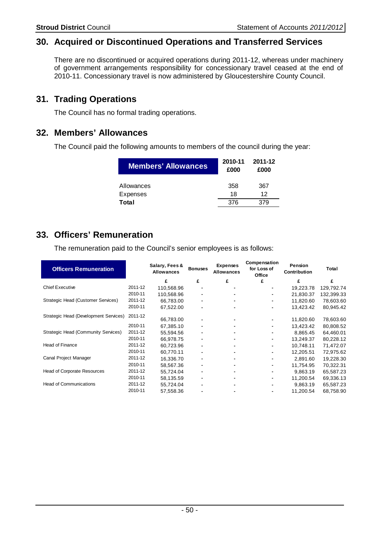# **30. Acquired or Discontinued Operations and Transferred Services**

There are no discontinued or acquired operations during 2011-12, whereas under machinery of government arrangements responsibility for concessionary travel ceased at the end of 2010-11. Concessionary travel is now administered by Gloucestershire County Council.

# **31. Trading Operations**

The Council has no formal trading operations.

## **32. Members' Allowances**

The Council paid the following amounts to members of the council during the year:

| Members' Allowances | 2010-11<br>£000 | 2011-12<br>£000 |
|---------------------|-----------------|-----------------|
| Allowances          | 358             | 367             |
| Expenses            | 18              | 12              |
| Total               | 376             | 379             |

# **33. Officers' Remuneration**

The remuneration paid to the Council's senior employees is as follows:

| <b>Officers Remuneration</b>          |         | Salary, Fees &<br><b>Allowances</b> | <b>Bonuses</b> | <b>Expenses</b><br><b>Allowances</b> | Compensation<br>for Loss of<br>Office | Pension<br><b>Contribution</b> | Total      |
|---------------------------------------|---------|-------------------------------------|----------------|--------------------------------------|---------------------------------------|--------------------------------|------------|
|                                       |         | £                                   | £              | £                                    | £                                     | £                              | £          |
| <b>Chief Executive</b>                | 2011-12 | 110,568.96                          | ۰              | ۰                                    |                                       | 19,223.78                      | 129,792.74 |
|                                       | 2010-11 | 110.568.96                          |                |                                      |                                       | 21.830.37                      | 132,399.33 |
| Strategic Head (Customer Services)    | 2011-12 | 66,783.00                           | ۰              | ۰                                    | ۰                                     | 11,820.60                      | 78,603.60  |
|                                       | 2010-11 | 67,522.00                           |                |                                      |                                       | 13,423.42                      | 80,945.42  |
| Strategic Head (Development Services) | 2011-12 | 66,783.00                           |                |                                      |                                       | 11,820.60                      | 78,603.60  |
|                                       | 2010-11 | 67.385.10                           | ۰              | ۰                                    | ۰                                     | 13,423.42                      | 80,808.52  |
| Strategic Head (Community Services)   | 2011-12 | 55,594.56                           |                |                                      |                                       | 8,865.45                       | 64,460.01  |
|                                       | 2010-11 | 66,978.75                           | ۰              | ۰                                    | ٠                                     | 13,249.37                      | 80,228.12  |
| <b>Head of Finance</b>                | 2011-12 | 60,723.96                           | ٠              | ٠                                    | ٠                                     | 10,748.11                      | 71,472.07  |
|                                       | 2010-11 | 60.770.11                           |                |                                      |                                       | 12.205.51                      | 72,975.62  |
| Canal Project Manager                 | 2011-12 | 16,336.70                           | ۰              | ۰                                    |                                       | 2,891.60                       | 19,228.30  |
|                                       | 2010-11 | 58,567.36                           |                |                                      |                                       | 11,754.95                      | 70,322.31  |
| <b>Head of Corporate Resources</b>    | 2011-12 | 55,724.04                           | ۰              | ٠                                    |                                       | 9,863.19                       | 65,587.23  |
|                                       | 2010-11 | 58,135.59                           | ٠              |                                      | ٠                                     | 11,200.54                      | 69,336.13  |
| <b>Head of Communications</b>         | 2011-12 | 55,724.04                           |                |                                      |                                       | 9.863.19                       | 65,587.23  |
|                                       | 2010-11 | 57,558.36                           |                |                                      |                                       | 11,200.54                      | 68,758.90  |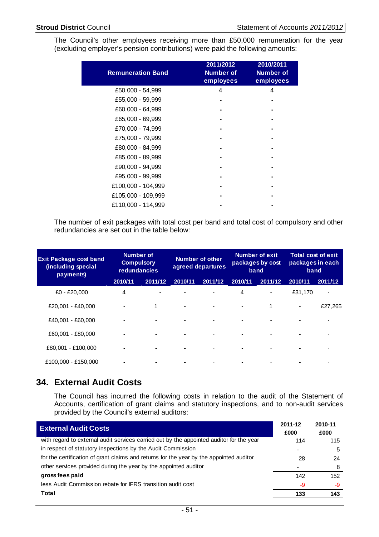The Council's other employees receiving more than £50,000 remuneration for the year (excluding employer's pension contributions) were paid the following amounts:

| <b>Remuneration Band</b> | 2011/2012<br><b>Number of</b><br>employees | 2010/2011<br><b>Number of</b><br>employees |
|--------------------------|--------------------------------------------|--------------------------------------------|
| £50,000 - 54,999         | 4                                          | 4                                          |
| £55,000 - 59,999         |                                            |                                            |
| £60,000 - 64,999         |                                            |                                            |
| £65,000 - 69,999         |                                            |                                            |
| £70,000 - 74,999         |                                            |                                            |
| £75,000 - 79,999         |                                            |                                            |
| £80,000 - 84,999         |                                            |                                            |
| £85,000 - 89,999         |                                            |                                            |
| £90,000 - 94,999         |                                            |                                            |
| £95,000 - 99,999         |                                            |                                            |
| £100,000 - 104,999       |                                            |                                            |
| £105,000 - 109,999       |                                            |                                            |
| £110,000 - 114,999       |                                            |                                            |

The number of exit packages with total cost per band and total cost of compulsory and other redundancies are set out in the table below:

| <b>Exit Package cost band</b><br>(including special<br>payments) | <b>Number of</b><br><b>Compulsory</b><br><b>redundancies</b> |                | <b>Number of other</b><br>agreed departures |                          |         | Number of exit<br>packages by cost<br>band | <b>Total cost of exit</b><br>packages in each<br>band |                |
|------------------------------------------------------------------|--------------------------------------------------------------|----------------|---------------------------------------------|--------------------------|---------|--------------------------------------------|-------------------------------------------------------|----------------|
|                                                                  | 2010/11                                                      | 2011/12        | 2010/11                                     | 2011/12                  | 2010/11 | 2011/12                                    | 2010/11                                               | 2011/12        |
| $£0 - £20,000$                                                   | 4                                                            | $\blacksquare$ |                                             |                          | 4       |                                            | £31,170                                               | $\blacksquare$ |
| £20.001 - £40.000                                                | $\blacksquare$                                               | $\mathbf 1$    | ۰                                           | $\blacksquare$           | ۰       | 1                                          | ۰                                                     | £27,265        |
| £40,001 - £60,000                                                | ۰                                                            | ۰              | ۰                                           | $\overline{\phantom{0}}$ |         |                                            | -                                                     |                |
| £60,001 - £80,000                                                | ۰                                                            | -              | ۰                                           |                          |         |                                            |                                                       |                |
| £80,001 - £100,000                                               | ۰                                                            | ۰              | ۰                                           |                          |         |                                            | ۰                                                     |                |
| £100.000 - £150.000                                              | ۰                                                            |                |                                             |                          |         |                                            |                                                       |                |

# **34. External Audit Costs**

The Council has incurred the following costs in relation to the audit of the Statement of Accounts, certification of grant claims and statutory inspections, and to non-audit services provided by the Council's external auditors:

| <b>External Audit Costs</b>                                                              | 2011-12<br>£000 | 2010-11<br>£000 |
|------------------------------------------------------------------------------------------|-----------------|-----------------|
| with regard to external audit services carried out by the appointed auditor for the year | 114             | 115             |
| in respect of statutory inspections by the Audit Commission                              | ٠               | 5               |
| for the certification of grant claims and returns for the year by the appointed auditor  | 28              | 24              |
| other services provided during the year by the appointed auditor                         |                 |                 |
| gross fees paid                                                                          | 142             | 152             |
| less Audit Commission rebate for IFRS transition audit cost                              | -9              | -9              |
| Total                                                                                    | 133             | 143             |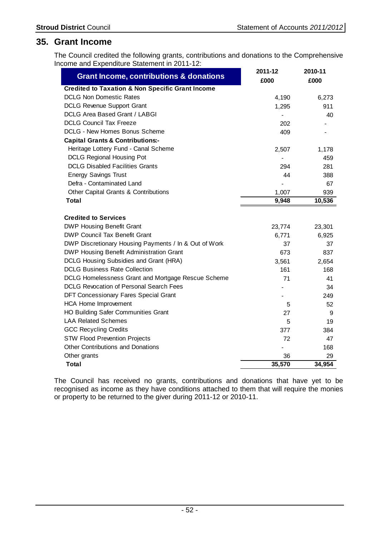## **35. Grant Income**

The Council credited the following grants, contributions and donations to the Comprehensive Income and Expenditure Statement in 2011-12:

| <b>Grant Income, contributions &amp; donations</b>          | 2011-12<br>£000 | 2010-11<br>£000 |
|-------------------------------------------------------------|-----------------|-----------------|
| <b>Credited to Taxation &amp; Non Specific Grant Income</b> |                 |                 |
| <b>DCLG Non Domestic Rates</b>                              | 4,190           | 6,273           |
| <b>DCLG Revenue Support Grant</b>                           | 1,295           | 911             |
| DCLG Area Based Grant / LABGI                               |                 | 40              |
| <b>DCLG Council Tax Freeze</b>                              | 202             |                 |
| DCLG - New Homes Bonus Scheme                               | 409             |                 |
| <b>Capital Grants &amp; Contributions:-</b>                 |                 |                 |
| Heritage Lottery Fund - Canal Scheme                        | 2,507           | 1,178           |
| <b>DCLG Regional Housing Pot</b>                            |                 | 459             |
| <b>DCLG Disabled Facilities Grants</b>                      | 294             | 281             |
| <b>Energy Savings Trust</b>                                 | 44              | 388             |
| Defra - Contaminated Land                                   |                 | 67              |
| Other Capital Grants & Contributions                        | 1,007           | 939             |
| <b>Total</b>                                                | 9,948           | 10,536          |
|                                                             |                 |                 |
| <b>Credited to Services</b>                                 |                 |                 |
| <b>DWP Housing Benefit Grant</b>                            | 23,774          | 23,301          |
| <b>DWP Council Tax Benefit Grant</b>                        | 6,771           | 6,925           |
| DWP Discretionary Housing Payments / In & Out of Work       | 37              | 37              |
| DWP Housing Benefit Administration Grant                    | 673             | 837             |
| DCLG Housing Subsidies and Grant (HRA)                      | 3,561           | 2,654           |
| <b>DCLG Business Rate Collection</b>                        | 161             | 168             |
| DCLG Homelessness Grant and Mortgage Rescue Scheme          | 71              | 41              |
| <b>DCLG Revocation of Personal Search Fees</b>              |                 | 34              |
| DFT Concessionary Fares Special Grant                       |                 | 249             |
| <b>HCA Home Improvement</b>                                 | 5               | 52              |
| <b>HO Building Safer Communities Grant</b>                  | 27              | 9               |
| <b>LAA Related Schemes</b>                                  | 5               | 19              |
| <b>GCC Recycling Credits</b>                                | 377             | 384             |
| <b>STW Flood Prevention Projects</b>                        | 72              | 47              |
| <b>Other Contributions and Donations</b>                    |                 | 168             |
| Other grants                                                | 36              | 29              |
| <b>Total</b>                                                | 35,570          | 34,954          |

The Council has received no grants, contributions and donations that have yet to be recognised as income as they have conditions attached to them that will require the monies or property to be returned to the giver during 2011-12 or 2010-11.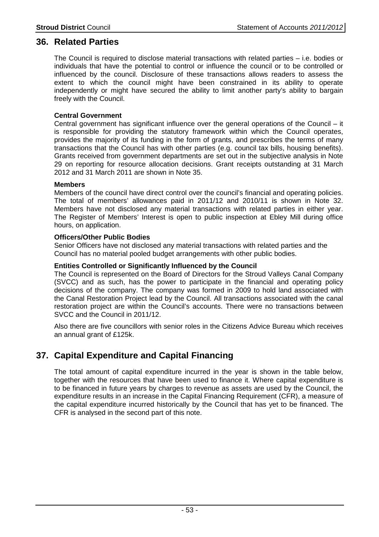## **36. Related Parties**

The Council is required to disclose material transactions with related parties – i.e. bodies or individuals that have the potential to control or influence the council or to be controlled or influenced by the council. Disclosure of these transactions allows readers to assess the extent to which the council might have been constrained in its ability to operate independently or might have secured the ability to limit another party's ability to bargain freely with the Council.

## **Central Government**

Central government has significant influence over the general operations of the Council – it is responsible for providing the statutory framework within which the Council operates, provides the majority of its funding in the form of grants, and prescribes the terms of many transactions that the Council has with other parties (e.g. council tax bills, housing benefits). Grants received from government departments are set out in the subjective analysis in Note 29 on reporting for resource allocation decisions. Grant receipts outstanding at 31 March 2012 and 31 March 2011 are shown in Note 35.

## **Members**

Members of the council have direct control over the council's financial and operating policies. The total of members' allowances paid in 2011/12 and 2010/11 is shown in Note 32. Members have not disclosed any material transactions with related parties in either year. The Register of Members' Interest is open to public inspection at Ebley Mill during office hours, on application.

## **Officers/Other Public Bodies**

Senior Officers have not disclosed any material transactions with related parties and the Council has no material pooled budget arrangements with other public bodies.

## **Entities Controlled or Significantly Influenced by the Council**

The Council is represented on the Board of Directors for the Stroud Valleys Canal Company (SVCC) and as such, has the power to participate in the financial and operating policy decisions of the company. The company was formed in 2009 to hold land associated with the Canal Restoration Project lead by the Council. All transactions associated with the canal restoration project are within the Council's accounts. There were no transactions between SVCC and the Council in 2011/12.

Also there are five councillors with senior roles in the Citizens Advice Bureau which receives an annual grant of £125k.

# **37. Capital Expenditure and Capital Financing**

The total amount of capital expenditure incurred in the year is shown in the table below, together with the resources that have been used to finance it. Where capital expenditure is to be financed in future years by charges to revenue as assets are used by the Council, the expenditure results in an increase in the Capital Financing Requirement (CFR), a measure of the capital expenditure incurred historically by the Council that has yet to be financed. The CFR is analysed in the second part of this note.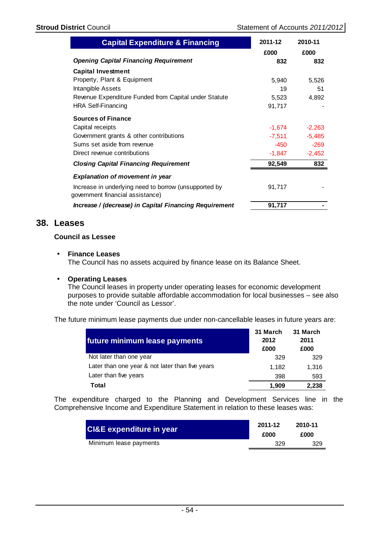| <b>Capital Expenditure &amp; Financing</b>                                                | 2011-12  | 2010-11  |
|-------------------------------------------------------------------------------------------|----------|----------|
|                                                                                           | £000     | £000     |
| <b>Opening Capital Financing Requirement</b>                                              | 832      | 832      |
| <b>Capital Investment</b>                                                                 |          |          |
| Property, Plant & Equipment                                                               | 5,940    | 5,526    |
| Intangible Assets                                                                         | 19       | 51       |
| Revenue Expenditure Funded from Capital under Statute                                     | 5,523    | 4,892    |
| <b>HRA Self-Financing</b>                                                                 | 91,717   |          |
| <b>Sources of Finance</b>                                                                 |          |          |
| Capital receipts                                                                          | $-1,674$ | $-2,263$ |
| Government grants & other contributions                                                   | $-7,511$ | $-5,485$ |
| Sums set aside from revenue                                                               | -450     | $-269$   |
| Direct revenue contributions                                                              | $-1,847$ | $-2,452$ |
| <b>Closing Capital Financing Requirement</b>                                              | 92,549   | 832      |
| <b>Explanation of movement in year</b>                                                    |          |          |
| Increase in underlying need to borrow (unsupported by<br>government financial assistance) | 91,717   |          |
| Increase / (decrease) in Capital Financing Requirement                                    | 91,717   |          |

# **38. Leases**

## **Council as Lessee**

## • **Finance Leases**

The Council has no assets acquired by finance lease on its Balance Sheet.

## • **Operating Leases**

The Council leases in property under operating leases for economic development purposes to provide suitable affordable accommodation for local businesses – see also the note under 'Council as Lessor'.

The future minimum lease payments due under non-cancellable leases in future years are:

| future minimum lease payments                   | 31 March<br>2012<br>£000 | 31 March<br>2011<br>£000 |
|-------------------------------------------------|--------------------------|--------------------------|
| Not later than one year                         | 329                      | 329                      |
| Later than one year & not later than five years | 1.182                    | 1.316                    |
| Later than five years                           | 398                      | 593                      |
| Total                                           | 1.909                    | 2,238                    |

The expenditure charged to the Planning and Development Services line in the Comprehensive Income and Expenditure Statement in relation to these leases was:

| <b>CI&amp;E expenditure in year</b> | 2011-12 | 2010-11 |
|-------------------------------------|---------|---------|
|                                     | £000    | £000    |
| Minimum lease payments              | 329     | 329     |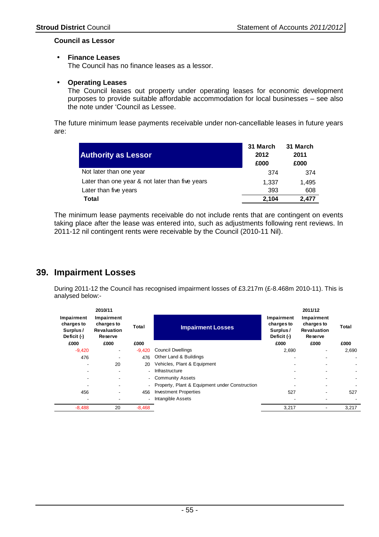## **Council as Lessor**

## • **Finance Leases**

The Council has no finance leases as a lessor.

## • **Operating Leases**

The Council leases out property under operating leases for economic development purposes to provide suitable affordable accommodation for local businesses – see also the note under 'Council as Lessee.

The future minimum lease payments receivable under non-cancellable leases in future years are:

| <b>Authority as Lessor</b>                      | 31 March<br>2012<br>£000 | 31 March<br>2011<br>£000 |
|-------------------------------------------------|--------------------------|--------------------------|
| Not later than one year                         | 374                      | 374                      |
| Later than one year & not later than five years | 1.337                    | 1.495                    |
| Later than five years                           | 393                      | 608                      |
| Total                                           | 2.104                    | 2.477                    |

The minimum lease payments receivable do not include rents that are contingent on events taking place after the lease was entered into, such as adjustments following rent reviews. In 2011-12 nil contingent rents were receivable by the Council (2010-11 Nil).

# **39. Impairment Losses**

During 2011-12 the Council has recognised impairment losses of £3.217m (£-8.468m 2010-11). This is analysed below:-

|                                                     | 2010/11                                                   |                          |                                                |                                                     | 2011/12                                                   |       |
|-----------------------------------------------------|-----------------------------------------------------------|--------------------------|------------------------------------------------|-----------------------------------------------------|-----------------------------------------------------------|-------|
| Impairment<br>charges to<br>Surplus/<br>Deficit (-) | Impairment<br>charges to<br><b>Revaluation</b><br>Reserve | Total                    | <b>Impairment Losses</b>                       | Impairment<br>charges to<br>Surplus/<br>Deficit (-) | Impairment<br>charges to<br><b>Revaluation</b><br>Reserve | Total |
| £000                                                | £000                                                      | £000                     |                                                | £000                                                | £000                                                      | £000  |
| $-9,420$                                            | ۰.                                                        | $-9.420$                 | <b>Council Dwellings</b>                       | 2,690                                               | ۰                                                         | 2,690 |
| 476                                                 |                                                           | 476                      | Other Land & Buildings                         | ٠                                                   |                                                           |       |
| $\blacksquare$                                      | 20                                                        | 20                       | Vehicles, Plant & Equipment                    |                                                     |                                                           |       |
|                                                     |                                                           | $\overline{\phantom{0}}$ | Infrastructure                                 |                                                     |                                                           |       |
| $\overline{\phantom{a}}$                            |                                                           | $\overline{\phantom{0}}$ | <b>Community Assets</b>                        |                                                     |                                                           |       |
|                                                     |                                                           |                          | Property, Plant & Equipment under Construction |                                                     |                                                           |       |
| 456                                                 |                                                           | 456                      | <b>Investment Properties</b>                   | 527                                                 | -                                                         | 527   |
|                                                     |                                                           |                          | Intangible Assets                              |                                                     |                                                           |       |
| $-8,488$                                            | 20                                                        | $-8,468$                 |                                                | 3,217                                               | ٠                                                         | 3,217 |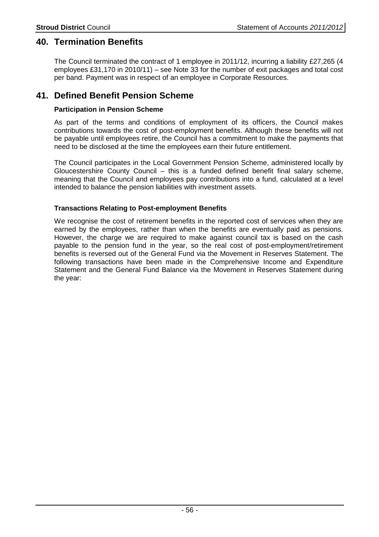# **40. Termination Benefits**

The Council terminated the contract of 1 employee in 2011/12, incurring a liability £27,265 (4 employees £31,170 in 2010/11) – see Note 33 for the number of exit packages and total cost per band. Payment was in respect of an employee in Corporate Resources.

# **41. Defined Benefit Pension Scheme**

## **Participation in Pension Scheme**

As part of the terms and conditions of employment of its officers, the Council makes contributions towards the cost of post-employment benefits. Although these benefits will not be payable until employees retire, the Council has a commitment to make the payments that need to be disclosed at the time the employees earn their future entitlement.

The Council participates in the Local Government Pension Scheme, administered locally by Gloucestershire County Council – this is a funded defined benefit final salary scheme, meaning that the Council and employees pay contributions into a fund, calculated at a level intended to balance the pension liabilities with investment assets.

## **Transactions Relating to Post-employment Benefits**

We recognise the cost of retirement benefits in the reported cost of services when they are earned by the employees, rather than when the benefits are eventually paid as pensions. However, the charge we are required to make against council tax is based on the cash payable to the pension fund in the year, so the real cost of post-employment/retirement benefits is reversed out of the General Fund via the Movement in Reserves Statement. The following transactions have been made in the Comprehensive Income and Expenditure Statement and the General Fund Balance via the Movement in Reserves Statement during the year: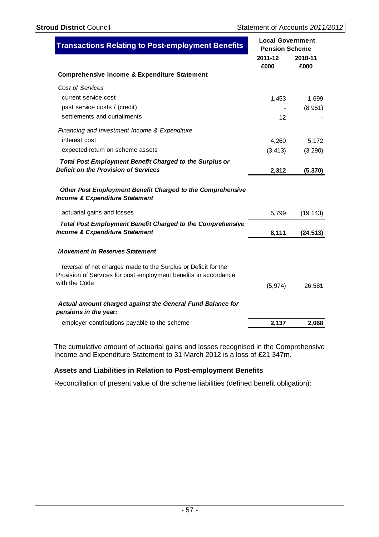| <b>Transactions Relating to Post-employment Benefits</b>                                                                                            | <b>Local Government</b><br><b>Pension Scheme</b> |                 |
|-----------------------------------------------------------------------------------------------------------------------------------------------------|--------------------------------------------------|-----------------|
|                                                                                                                                                     | 2011-12<br>£000                                  | 2010-11<br>£000 |
| <b>Comprehensive Income &amp; Expenditure Statement</b>                                                                                             |                                                  |                 |
| Cost of Services                                                                                                                                    |                                                  |                 |
| current service cost                                                                                                                                | 1,453                                            | 1,699           |
| past service costs / (credit)                                                                                                                       |                                                  | (8,951)         |
| settlements and curtailments                                                                                                                        | 12                                               |                 |
| Financing and Investment Income & Expenditure                                                                                                       |                                                  |                 |
| interest cost                                                                                                                                       | 4,260                                            | 5,172           |
| expected return on scheme assets                                                                                                                    | (3, 413)                                         | (3,290)         |
| <b>Total Post Employment Benefit Charged to the Surplus or</b>                                                                                      |                                                  |                 |
| Deficit on the Provision of Services                                                                                                                | 2,312                                            | (5, 370)        |
| Other Post Employment Benefit Charged to the Comprehensive<br><b>Income &amp; Expenditure Statement</b>                                             |                                                  |                 |
| actuarial gains and losses                                                                                                                          | 5,799                                            | (19, 143)       |
| <b>Total Post Employment Benefit Charged to the Comprehensive</b><br><b>Income &amp; Expenditure Statement</b>                                      | 8,111                                            | (24, 513)       |
| <b>Movement in Reserves Statement</b>                                                                                                               |                                                  |                 |
| reversal of net charges made to the Surplus or Deficit for the<br>Provision of Services for post employment benefits in accordance<br>with the Code |                                                  |                 |
|                                                                                                                                                     | (5, 974)                                         | 26,581          |
| Actual amount charged against the General Fund Balance for<br>pensions in the year:                                                                 |                                                  |                 |
| employer contributions payable to the scheme                                                                                                        | 2,137                                            | 2,068           |

The cumulative amount of actuarial gains and losses recognised in the Comprehensive Income and Expenditure Statement to 31 March 2012 is a loss of £21.347m.

## **Assets and Liabilities in Relation to Post-employment Benefits**

Reconciliation of present value of the scheme liabilities (defined benefit obligation):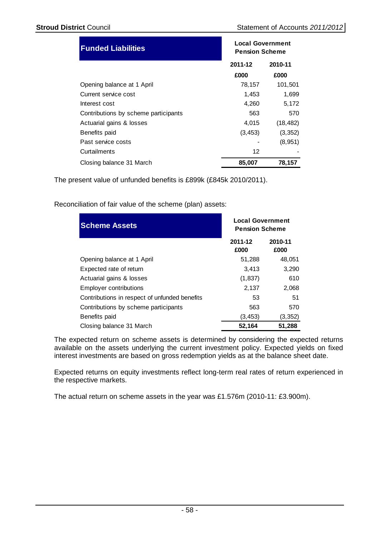| <b>Funded Liabilities</b>            | <b>Local Government</b><br><b>Pension Scheme</b> |           |  |
|--------------------------------------|--------------------------------------------------|-----------|--|
|                                      | 2011-12                                          | 2010-11   |  |
|                                      | £000                                             | £000      |  |
| Opening balance at 1 April           | 78,157                                           | 101,501   |  |
| Current service cost                 | 1,453                                            | 1,699     |  |
| Interest cost                        | 4,260                                            | 5,172     |  |
| Contributions by scheme participants | 563                                              | 570       |  |
| Actuarial gains & losses             | 4,015                                            | (18, 482) |  |
| Benefits paid                        | (3, 453)                                         | (3, 352)  |  |
| Past service costs                   |                                                  | (8,951)   |  |
| Curtailments                         | 12                                               |           |  |
| Closing balance 31 March             | 85,007<br>78,157                                 |           |  |

The present value of unfunded benefits is £899k (£845k 2010/2011).

Reconciliation of fair value of the scheme (plan) assets:

| <b>Scheme Assets</b>                          | <b>Local Government</b><br><b>Pension Scheme</b> |                 |
|-----------------------------------------------|--------------------------------------------------|-----------------|
|                                               | 2011-12<br>£000                                  | 2010-11<br>£000 |
| Opening balance at 1 April                    | 51,288                                           | 48,051          |
| Expected rate of return                       | 3,413                                            | 3,290           |
| Actuarial gains & losses                      | (1,837)                                          | 610             |
| <b>Employer contributions</b>                 | 2,137                                            | 2,068           |
| Contributions in respect of unfunded benefits | 53                                               | 51              |
| Contributions by scheme participants          | 563                                              | 570             |
| Benefits paid                                 | (3,453)                                          | (3,352)         |
| Closing balance 31 March                      | 52,164                                           | 51,288          |

The expected return on scheme assets is determined by considering the expected returns available on the assets underlying the current investment policy. Expected yields on fixed interest investments are based on gross redemption yields as at the balance sheet date.

Expected returns on equity investments reflect long-term real rates of return experienced in the respective markets.

The actual return on scheme assets in the year was £1.576m (2010-11: £3.900m).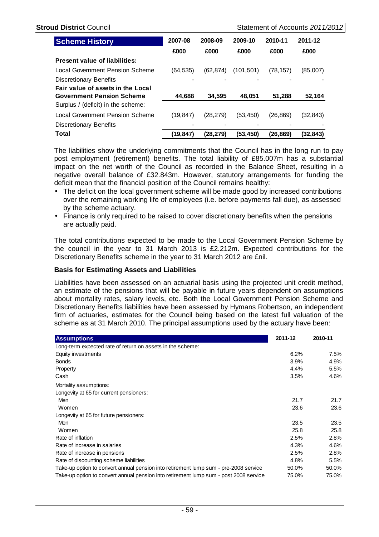| <b>Scheme History</b>                                       | 2007-08  | 2008-09   | 2009-10    | 2010-11   | 2011-12   |
|-------------------------------------------------------------|----------|-----------|------------|-----------|-----------|
|                                                             | £000     | £000      | £000       | £000      | £000      |
| Present value of liabilities:                               |          |           |            |           |           |
| Local Government Pension Scheme                             | (64,535) | (62, 874) | (101, 501) | (78, 157) | (85,007)  |
| Discretionary Benefits<br>Fair value of assets in the Local |          |           |            |           |           |
| <b>Government Pension Scheme</b>                            | 44,688   | 34.595    | 48.051     | 51,288    | 52,164    |
| Surplus / (deficit) in the scheme:                          |          |           |            |           |           |
| Local Government Pension Scheme                             | (19,847) | (28, 279) | (53, 450)  | (26, 869) | (32,843)  |
| <b>Discretionary Benefits</b>                               |          |           |            |           |           |
| Total                                                       | (19,847) | (28, 279) | (53, 450)  | (26, 869) | (32, 843) |

The liabilities show the underlying commitments that the Council has in the long run to pay post employment (retirement) benefits. The total liability of £85.007m has a substantial impact on the net worth of the Council as recorded in the Balance Sheet, resulting in a negative overall balance of £32.843m. However, statutory arrangements for funding the deficit mean that the financial position of the Council remains healthy:

- The deficit on the local government scheme will be made good by increased contributions over the remaining working life of employees (i.e. before payments fall due), as assessed by the scheme actuary.
- Finance is only required to be raised to cover discretionary benefits when the pensions are actually paid.

The total contributions expected to be made to the Local Government Pension Scheme by the council in the year to 31 March 2013 is £2.212m. Expected contributions for the Discretionary Benefits scheme in the year to 31 March 2012 are £nil.

#### **Basis for Estimating Assets and Liabilities**

Liabilities have been assessed on an actuarial basis using the projected unit credit method, an estimate of the pensions that will be payable in future years dependent on assumptions about mortality rates, salary levels, etc. Both the Local Government Pension Scheme and Discretionary Benefits liabilities have been assessed by Hymans Robertson, an independent firm of actuaries, estimates for the Council being based on the latest full valuation of the scheme as at 31 March 2010. The principal assumptions used by the actuary have been:

| <b>Assumptions</b>                                                                    | 2011-12 | 2010-11 |
|---------------------------------------------------------------------------------------|---------|---------|
| Long-term expected rate of return on assets in the scheme:                            |         |         |
| Equity investments                                                                    | 6.2%    | 7.5%    |
| <b>Bonds</b>                                                                          | 3.9%    | 4.9%    |
| Property                                                                              | 4.4%    | 5.5%    |
| Cash                                                                                  | 3.5%    | 4.6%    |
| Mortality assumptions:                                                                |         |         |
| Longevity at 65 for current pensioners:                                               |         |         |
| Men                                                                                   | 21.7    | 21.7    |
| Women                                                                                 | 23.6    | 23.6    |
| Longevity at 65 for future pensioners:                                                |         |         |
| Men                                                                                   | 23.5    | 23.5    |
| Women                                                                                 | 25.8    | 25.8    |
| Rate of inflation                                                                     | 2.5%    | 2.8%    |
| Rate of increase in salaries                                                          | 4.3%    | 4.6%    |
| Rate of increase in pensions                                                          | 2.5%    | 2.8%    |
| Rate of discounting scheme liabilities                                                | 4.8%    | 5.5%    |
| Take-up option to convert annual pension into retirement lump sum - pre-2008 service  | 50.0%   | 50.0%   |
| Take-up option to convert annual pension into retirement lump sum - post 2008 service | 75.0%   | 75.0%   |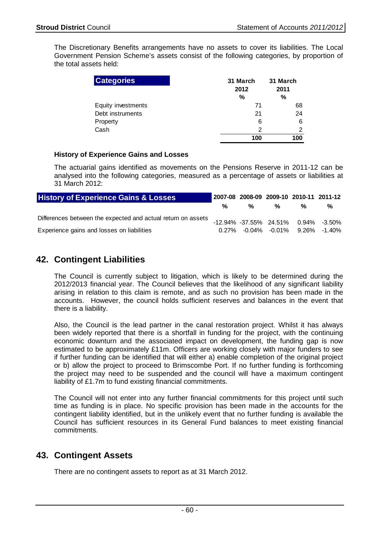The Discretionary Benefits arrangements have no assets to cover its liabilities. The Local Government Pension Scheme's assets consist of the following categories, by proportion of the total assets held:

| <b>Categories</b>  | 31 March<br>2012<br>% | 31 March<br>2011<br>% |
|--------------------|-----------------------|-----------------------|
| Equity investments | 71                    | 68                    |
| Debt instruments   | 21                    | 24                    |
| Property           | 6                     | 6                     |
| Cash               | 2                     | 2                     |
|                    | 100                   | 100                   |

## **History of Experience Gains and Losses**

The actuarial gains identified as movements on the Pensions Reserve in 2011-12 can be analysed into the following categories, measured as a percentage of assets or liabilities at 31 March 2012:

| <b>History of Experience Gains &amp; Losses</b>              |   | 2007-08 2008-09 2009-10 2010-11 2011-12 |   |   |                                     |
|--------------------------------------------------------------|---|-----------------------------------------|---|---|-------------------------------------|
|                                                              | % | %                                       | % | % | %                                   |
| Differences between the expected and actual return on assets |   |                                         |   |   | -12.94% -37.55% 24.51% 0.94% -3.50% |
| Experience gains and losses on liabilities                   |   |                                         |   |   | $0.27\%$ -0.04% -0.01% 9.26% -1.40% |

# **42. Contingent Liabilities**

The Council is currently subject to litigation, which is likely to be determined during the 2012/2013 financial year. The Council believes that the likelihood of any significant liability arising in relation to this claim is remote, and as such no provision has been made in the accounts. However, the council holds sufficient reserves and balances in the event that there is a liability.

Also, the Council is the lead partner in the canal restoration project. Whilst it has always been widely reported that there is a shortfall in funding for the project, with the continuing economic downturn and the associated impact on development, the funding gap is now estimated to be approximately £11m. Officers are working closely with major funders to see if further funding can be identified that will either a) enable completion of the original project or b) allow the project to proceed to Brimscombe Port. If no further funding is forthcoming the project may need to be suspended and the council will have a maximum contingent liability of £1.7m to fund existing financial commitments.

The Council will not enter into any further financial commitments for this project until such time as funding is in place. No specific provision has been made in the accounts for the contingent liability identified, but in the unlikely event that no further funding is available the Council has sufficient resources in its General Fund balances to meet existing financial commitments.

# **43. Contingent Assets**

There are no contingent assets to report as at 31 March 2012.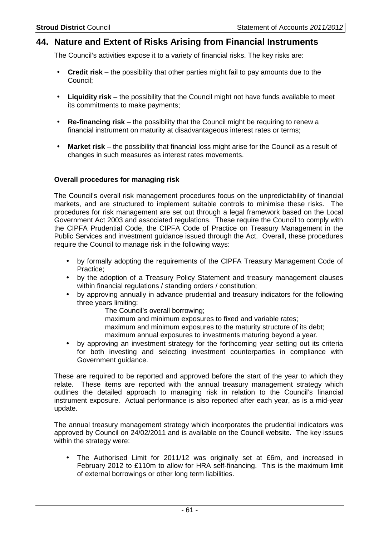# **44. Nature and Extent of Risks Arising from Financial Instruments**

The Council's activities expose it to a variety of financial risks. The key risks are:

- **Credit risk** the possibility that other parties might fail to pay amounts due to the Council;
- **Liquidity risk** the possibility that the Council might not have funds available to meet its commitments to make payments;
- **Re-financing risk** the possibility that the Council might be requiring to renew a financial instrument on maturity at disadvantageous interest rates or terms;
- **Market risk** the possibility that financial loss might arise for the Council as a result of changes in such measures as interest rates movements.

## **Overall procedures for managing risk**

The Council's overall risk management procedures focus on the unpredictability of financial markets, and are structured to implement suitable controls to minimise these risks. The procedures for risk management are set out through a legal framework based on the Local Government Act 2003 and associated regulations. These require the Council to comply with the CIPFA Prudential Code, the CIPFA Code of Practice on Treasury Management in the Public Services and investment guidance issued through the Act. Overall, these procedures require the Council to manage risk in the following ways:

- by formally adopting the requirements of the CIPFA Treasury Management Code of Practice;
- by the adoption of a Treasury Policy Statement and treasury management clauses within financial regulations / standing orders / constitution;
- by approving annually in advance prudential and treasury indicators for the following three years limiting:
	- The Council's overall borrowing;

maximum and minimum exposures to fixed and variable rates;

maximum and minimum exposures to the maturity structure of its debt;

maximum annual exposures to investments maturing beyond a year.

• by approving an investment strategy for the forthcoming year setting out its criteria for both investing and selecting investment counterparties in compliance with Government guidance.

These are required to be reported and approved before the start of the year to which they relate. These items are reported with the annual treasury management strategy which outlines the detailed approach to managing risk in relation to the Council's financial instrument exposure. Actual performance is also reported after each year, as is a mid-year update.

The annual treasury management strategy which incorporates the prudential indicators was approved by Council on 24/02/2011 and is available on the Council website. The key issues within the strategy were:

• The Authorised Limit for 2011/12 was originally set at £6m, and increased in February 2012 to £110m to allow for HRA self-financing. This is the maximum limit of external borrowings or other long term liabilities.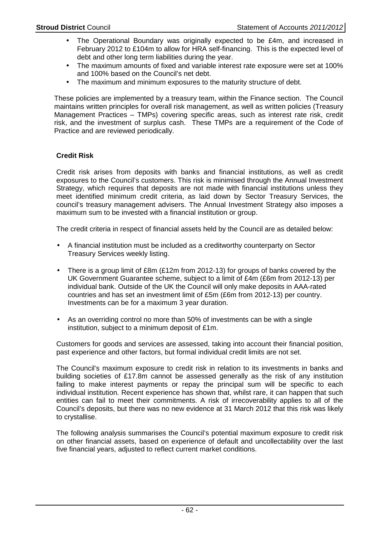- The Operational Boundary was originally expected to be £4m, and increased in February 2012 to £104m to allow for HRA self-financing. This is the expected level of debt and other long term liabilities during the year.
- The maximum amounts of fixed and variable interest rate exposure were set at 100% and 100% based on the Council's net debt.
- The maximum and minimum exposures to the maturity structure of debt.

These policies are implemented by a treasury team, within the Finance section. The Council maintains written principles for overall risk management, as well as written policies (Treasury Management Practices – TMPs) covering specific areas, such as interest rate risk, credit risk, and the investment of surplus cash. These TMPs are a requirement of the Code of Practice and are reviewed periodically.

## **Credit Risk**

Credit risk arises from deposits with banks and financial institutions, as well as credit exposures to the Council's customers. This risk is minimised through the Annual Investment Strategy, which requires that deposits are not made with financial institutions unless they meet identified minimum credit criteria, as laid down by Sector Treasury Services, the council's treasury management advisers. The Annual Investment Strategy also imposes a maximum sum to be invested with a financial institution or group.

The credit criteria in respect of financial assets held by the Council are as detailed below:

- A financial institution must be included as a creditworthy counterparty on Sector Treasury Services weekly listing.
- There is a group limit of £8m (£12m from 2012-13) for groups of banks covered by the UK Government Guarantee scheme, subject to a limit of £4m (£6m from 2012-13) per individual bank. Outside of the UK the Council will only make deposits in AAA-rated countries and has set an investment limit of £5m (£6m from 2012-13) per country. Investments can be for a maximum 3 year duration.
- As an overriding control no more than 50% of investments can be with a single institution, subject to a minimum deposit of £1m.

Customers for goods and services are assessed, taking into account their financial position, past experience and other factors, but formal individual credit limits are not set.

The Council's maximum exposure to credit risk in relation to its investments in banks and building societies of £17.8m cannot be assessed generally as the risk of any institution failing to make interest payments or repay the principal sum will be specific to each individual institution. Recent experience has shown that, whilst rare, it can happen that such entities can fail to meet their commitments. A risk of irrecoverability applies to all of the Council's deposits, but there was no new evidence at 31 March 2012 that this risk was likely to crystallise.

The following analysis summarises the Council's potential maximum exposure to credit risk on other financial assets, based on experience of default and uncollectability over the last five financial years, adjusted to reflect current market conditions.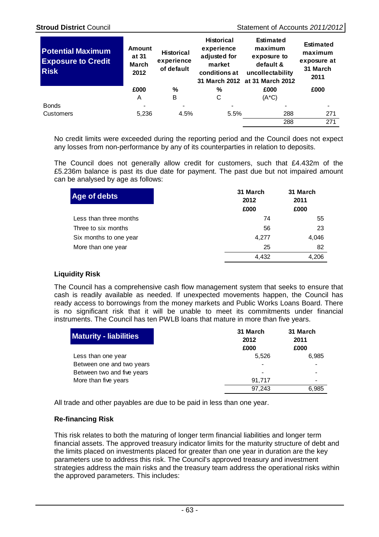| <b>Potential Maximum</b><br><b>Exposure to Credit</b><br><b>Risk</b> | <b>Amount</b><br>at 31<br><b>March</b><br>2012 | <b>Historical</b><br>experience<br>of default | <b>Historical</b><br>experience<br>adjusted for<br>market<br>conditions at | <b>Estimated</b><br>maximum<br>exposure to<br>default &<br>uncollectability<br>31 March 2012 at 31 March 2012 | <b>Estimated</b><br>maximum<br>exposure at<br>31 March<br>2011 |
|----------------------------------------------------------------------|------------------------------------------------|-----------------------------------------------|----------------------------------------------------------------------------|---------------------------------------------------------------------------------------------------------------|----------------------------------------------------------------|
|                                                                      | £000                                           | %                                             | %                                                                          | £000                                                                                                          | £000                                                           |
|                                                                      | A                                              | B                                             | С                                                                          | $(A*C)$                                                                                                       |                                                                |
| <b>Bonds</b>                                                         |                                                |                                               |                                                                            |                                                                                                               |                                                                |
| <b>Customers</b>                                                     | 5,236                                          | 4.5%                                          | 5.5%                                                                       | 288                                                                                                           | 271                                                            |
|                                                                      |                                                |                                               |                                                                            | 288                                                                                                           | $\overline{271}$                                               |
|                                                                      |                                                |                                               |                                                                            |                                                                                                               |                                                                |

No credit limits were exceeded during the reporting period and the Council does not expect any losses from non-performance by any of its counterparties in relation to deposits.

The Council does not generally allow credit for customers, such that £4.432m of the £5.236m balance is past its due date for payment. The past due but not impaired amount can be analysed by age as follows:

| 31 March<br>2012 | 31 March<br>2011 |
|------------------|------------------|
| £000             | £000             |
| 74               | 55               |
| 56               | 23               |
| 4,277            | 4,046            |
| 25               | 82               |
| 4.432            | 4.206            |
|                  |                  |

## **Liquidity Risk**

The Council has a comprehensive cash flow management system that seeks to ensure that cash is readily available as needed. If unexpected movements happen, the Council has ready access to borrowings from the money markets and Public Works Loans Board. There is no significant risk that it will be unable to meet its commitments under financial instruments. The Council has ten PWLB loans that mature in more than five years.

| <b>Maturity - liabilities</b> | 31 March<br>2012<br>£000 | 31 March<br>2011<br>£000 |
|-------------------------------|--------------------------|--------------------------|
| Less than one year            | 5.526                    | 6.985                    |
| Between one and two years     |                          |                          |
| Between two and five years    |                          |                          |
| More than five years          | 91.717                   |                          |
|                               | 97.243                   | 6.985                    |

All trade and other payables are due to be paid in less than one year.

## **Re-financing Risk**

This risk relates to both the maturing of longer term financial liabilities and longer term financial assets. The approved treasury indicator limits for the maturity structure of debt and the limits placed on investments placed for greater than one year in duration are the key parameters use to address this risk. The Council's approved treasury and investment strategies address the main risks and the treasury team address the operational risks within the approved parameters. This includes: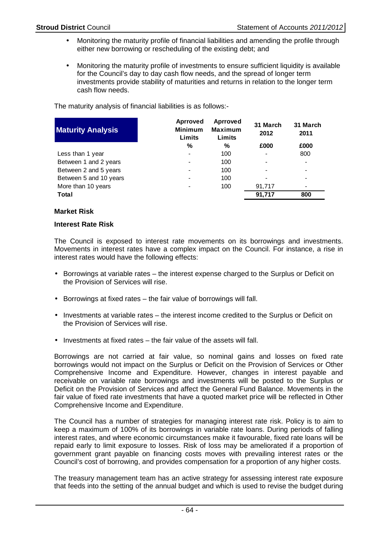- Monitoring the maturity profile of financial liabilities and amending the profile through either new borrowing or rescheduling of the existing debt; and
- Monitoring the maturity profile of investments to ensure sufficient liquidity is available for the Council's day to day cash flow needs, and the spread of longer term investments provide stability of maturities and returns in relation to the longer term cash flow needs.

The maturity analysis of financial liabilities is as follows:-

| <b>Maturity Analysis</b> | Aprroved<br><b>Minimum</b><br>Limits | Aprroved<br><b>Maximum</b><br>Limits | 31 March<br>2012 | 31 March<br>2011 |
|--------------------------|--------------------------------------|--------------------------------------|------------------|------------------|
|                          | %                                    | %                                    | £000             | £000             |
| Less than 1 year         | -                                    | 100                                  |                  | 800              |
| Between 1 and 2 years    | -                                    | 100                                  |                  |                  |
| Between 2 and 5 years    | -                                    | 100                                  |                  |                  |
| Between 5 and 10 years   | $\blacksquare$                       | 100                                  |                  |                  |
| More than 10 years       |                                      | 100                                  | 91,717           |                  |
| Total                    |                                      |                                      | 91,717           | 800              |

## **Market Risk**

#### **Interest Rate Risk**

The Council is exposed to interest rate movements on its borrowings and investments. Movements in interest rates have a complex impact on the Council. For instance, a rise in interest rates would have the following effects:

- Borrowings at variable rates the interest expense charged to the Surplus or Deficit on the Provision of Services will rise.
- Borrowings at fixed rates the fair value of borrowings will fall.
- Investments at variable rates the interest income credited to the Surplus or Deficit on the Provision of Services will rise.
- Investments at fixed rates the fair value of the assets will fall.

Borrowings are not carried at fair value, so nominal gains and losses on fixed rate borrowings would not impact on the Surplus or Deficit on the Provision of Services or Other Comprehensive Income and Expenditure. However, changes in interest payable and receivable on variable rate borrowings and investments will be posted to the Surplus or Deficit on the Provision of Services and affect the General Fund Balance. Movements in the fair value of fixed rate investments that have a quoted market price will be reflected in Other Comprehensive Income and Expenditure.

The Council has a number of strategies for managing interest rate risk. Policy is to aim to keep a maximum of 100% of its borrowings in variable rate loans. During periods of falling interest rates, and where economic circumstances make it favourable, fixed rate loans will be repaid early to limit exposure to losses. Risk of loss may be ameliorated if a proportion of government grant payable on financing costs moves with prevailing interest rates or the Council's cost of borrowing, and provides compensation for a proportion of any higher costs.

The treasury management team has an active strategy for assessing interest rate exposure that feeds into the setting of the annual budget and which is used to revise the budget during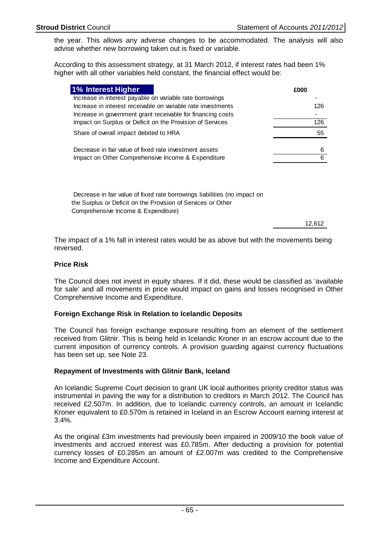the year. This allows any adverse changes to be accommodated. The analysis will also advise whether new borrowing taken out is fixed or variable.

According to this assessment strategy, at 31 March 2012, if interest rates had been 1% higher with all other variables held constant, the financial effect would be:

| <b>1% Interest Higher</b>                                    | £000 |
|--------------------------------------------------------------|------|
| Increase in interest payable on variable rate borrowings     |      |
| Increase in interest receivable on variable rate investments | 126  |
| Increase in government grant receivable for financing costs  |      |
| Impact on Surplus or Deficit on the Provision of Services    | 126  |
| Share of overall impact debited to HRA                       | 55   |
| Decrease in fair value of fixed rate investment assets       | 6    |
| Impact on Other Comprehensive Income & Expenditure           |      |

 Decrease in fair value of fixed rate borrowings liabilities (no impact on the Surplus or Deficit on the Provision of Services or Other Comprehensive Income & Expenditure)

12,612

The impact of a 1% fall in interest rates would be as above but with the movements being reversed.

## **Price Risk**

The Council does not invest in equity shares. If it did, these would be classified as 'available for sale' and all movements in price would impact on gains and losses recognised in Other Comprehensive Income and Expenditure.

## **Foreign Exchange Risk in Relation to Icelandic Deposits**

The Council has foreign exchange exposure resulting from an element of the settlement received from Glitnir. This is being held in Icelandic Kroner in an escrow account due to the current imposition of currency controls. A provision guarding against currency fluctuations has been set up, see Note 23.

## **Repayment of Investments with Glitnir Bank, Iceland**

An Icelandic Supreme Court decision to grant UK local authorities priority creditor status was instrumental in paving the way for a distribution to creditors in March 2012. The Council has received £2.507m. In addition, due to Icelandic currency controls, an amount in Icelandic Kroner equivalent to £0.570m is retained in Iceland in an Escrow Account earning interest at 3.4%.

As the original £3m investments had previously been impaired in 2009/10 the book value of investments and accrued interest was £0.785m. After deducting a provision for potential currency losses of £0.285m an amount of £2.007m was credited to the Comprehensive Income and Expenditure Account.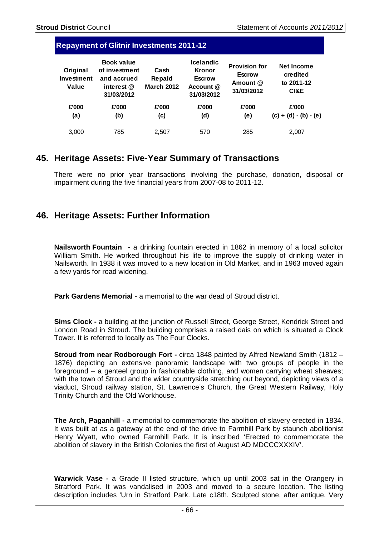| <b>Repayment of Glitnir Investments 2011-12</b> |  |
|-------------------------------------------------|--|
|                                                 |  |

| Original<br>Investment<br>Value | <b>Book value</b><br>of investment<br>and accrued<br>interest @<br>31/03/2012 | Cash<br>Repaid<br><b>March 2012</b> | <b>Icelandic</b><br><b>Kronor</b><br><b>Escrow</b><br>Account @<br>31/03/2012 | <b>Provision for</b><br><b>Escrow</b><br>Amount @<br>31/03/2012 | <b>Net Income</b><br>credited<br>to 2011-12<br>CI&E |
|---------------------------------|-------------------------------------------------------------------------------|-------------------------------------|-------------------------------------------------------------------------------|-----------------------------------------------------------------|-----------------------------------------------------|
| £'000<br>(a)                    | £'000<br>(b)                                                                  | £'000<br>(c)                        | £'000<br>(d)                                                                  | £'000<br>(e)                                                    | £'000<br>$(c) + (d) - (b) - (e)$                    |
| 3.000                           | 785                                                                           | 2.507                               | 570                                                                           | 285                                                             | 2.007                                               |

## **45. Heritage Assets: Five-Year Summary of Transactions**

There were no prior year transactions involving the purchase, donation, disposal or impairment during the five financial years from 2007-08 to 2011-12.

# **46. Heritage Assets: Further Information**

**Nailsworth Fountain -** a drinking fountain erected in 1862 in memory of a local solicitor William Smith. He worked throughout his life to improve the supply of drinking water in Nailsworth. In 1938 it was moved to a new location in Old Market, and in 1963 moved again a few yards for road widening.

**Park Gardens Memorial - a memorial to the war dead of Stroud district.** 

**Sims Clock -** a building at the junction of Russell Street, George Street, Kendrick Street and London Road in Stroud. The building comprises a raised dais on which is situated a Clock Tower. It is referred to locally as The Four Clocks.

**Stroud from near Rodborough Fort -** circa 1848 painted by Alfred Newland Smith (1812 – 1876) depicting an extensive panoramic landscape with two groups of people in the foreground – a genteel group in fashionable clothing, and women carrying wheat sheaves; with the town of Stroud and the wider countryside stretching out beyond, depicting views of a viaduct, Stroud railway station, St. Lawrence's Church, the Great Western Railway, Holy Trinity Church and the Old Workhouse.

**The Arch, Paganhill - a memorial to commemorate the abolition of slavery erected in 1834.** It was built at as a gateway at the end of the drive to Farmhill Park by staunch abolitionist Henry Wyatt, who owned Farmhill Park. It is inscribed 'Erected to commemorate the abolition of slavery in the British Colonies the first of August AD MDCCCXXXIV'.

**Warwick Vase -** a Grade II listed structure, which up until 2003 sat in the Orangery in Stratford Park. It was vandalised in 2003 and moved to a secure location. The listing description includes 'Urn in Stratford Park. Late c18th. Sculpted stone, after antique. Very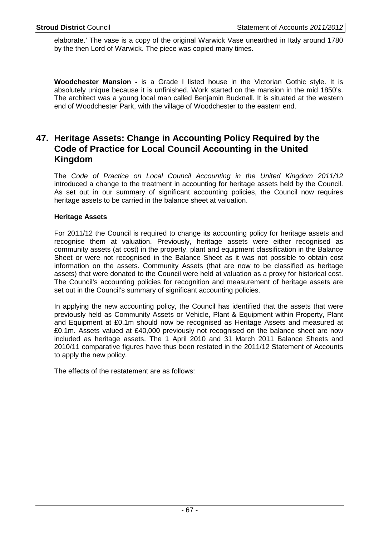elaborate.' The vase is a copy of the original Warwick Vase unearthed in Italy around 1780 by the then Lord of Warwick. The piece was copied many times.

**Woodchester Mansion -** is a Grade I listed house in the Victorian Gothic style. It is absolutely unique because it is unfinished. Work started on the mansion in the mid 1850's. The architect was a young local man called Benjamin Bucknall. It is situated at the western end of Woodchester Park, with the village of Woodchester to the eastern end.

# **47. Heritage Assets: Change in Accounting Policy Required by the Code of Practice for Local Council Accounting in the United Kingdom**

The Code of Practice on Local Council Accounting in the United Kingdom 2011/12 introduced a change to the treatment in accounting for heritage assets held by the Council. As set out in our summary of significant accounting policies, the Council now requires heritage assets to be carried in the balance sheet at valuation.

## **Heritage Assets**

For 2011/12 the Council is required to change its accounting policy for heritage assets and recognise them at valuation. Previously, heritage assets were either recognised as community assets (at cost) in the property, plant and equipment classification in the Balance Sheet or were not recognised in the Balance Sheet as it was not possible to obtain cost information on the assets. Community Assets (that are now to be classified as heritage assets) that were donated to the Council were held at valuation as a proxy for historical cost. The Council's accounting policies for recognition and measurement of heritage assets are set out in the Council's summary of significant accounting policies.

In applying the new accounting policy, the Council has identified that the assets that were previously held as Community Assets or Vehicle, Plant & Equipment within Property, Plant and Equipment at £0.1m should now be recognised as Heritage Assets and measured at £0.1m. Assets valued at £40,000 previously not recognised on the balance sheet are now included as heritage assets. The 1 April 2010 and 31 March 2011 Balance Sheets and 2010/11 comparative figures have thus been restated in the 2011/12 Statement of Accounts to apply the new policy.

The effects of the restatement are as follows: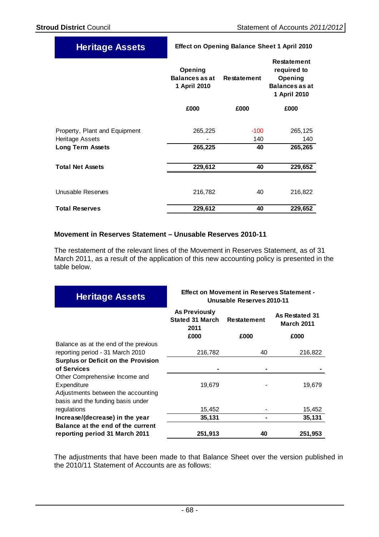| <b>Heritage Assets</b>                           | <b>Effect on Opening Balance Sheet 1 April 2010</b> |                    |                                                                                       |  |
|--------------------------------------------------|-----------------------------------------------------|--------------------|---------------------------------------------------------------------------------------|--|
|                                                  | Opening<br><b>Balances as at</b><br>1 April 2010    | <b>Restatement</b> | <b>Restatement</b><br>required to<br>Opening<br><b>Balances as at</b><br>1 April 2010 |  |
|                                                  | £000                                                | £000               | £000                                                                                  |  |
| Property, Plant and Equipment<br>Heritage Assets | 265,225                                             | $-100$<br>140      | 265,125<br>140                                                                        |  |
| <b>Long Term Assets</b>                          | 265,225                                             | 40                 | 265,265                                                                               |  |
| <b>Total Net Assets</b>                          | 229,612                                             | 40                 | 229,652                                                                               |  |
| Unusable Reserves                                | 216,782                                             | 40                 | 216,822                                                                               |  |
| <b>Total Reserves</b>                            | 229,612                                             | 40                 | 229,652                                                                               |  |

## **Movement in Reserves Statement – Unusable Reserves 2010-11**

The restatement of the relevant lines of the Movement in Reserves Statement, as of 31 March 2011, as a result of the application of this new accounting policy is presented in the table below.

| <b>Heritage Assets</b>                                                  | <b>Effect on Movement in Reserves Statement -</b><br>Unusable Reserves 2010-11 |                            |                                             |  |
|-------------------------------------------------------------------------|--------------------------------------------------------------------------------|----------------------------|---------------------------------------------|--|
|                                                                         | As Previously<br><b>Stated 31 March</b><br>2011<br>£000                        | <b>Restatement</b><br>£000 | As Restated 31<br><b>March 2011</b><br>£000 |  |
| Balance as at the end of the previous                                   |                                                                                |                            |                                             |  |
| reporting period - 31 March 2010                                        | 216,782                                                                        | 40                         | 216,822                                     |  |
| <b>Surplus or Deficit on the Provision</b>                              |                                                                                |                            |                                             |  |
| of Services                                                             |                                                                                |                            |                                             |  |
| Other Comprehensive Income and<br>Expenditure                           | 19,679                                                                         |                            | 19,679                                      |  |
| Adjustments between the accounting<br>basis and the funding basis under |                                                                                |                            |                                             |  |
| regulations                                                             | 15,452                                                                         |                            | 15,452                                      |  |
| Increase/(decrease) in the year                                         | 35,131                                                                         |                            | 35,131                                      |  |
| Balance at the end of the current                                       |                                                                                |                            |                                             |  |
| reporting period 31 March 2011                                          | 251,913                                                                        | 40                         | 251,953                                     |  |

The adjustments that have been made to that Balance Sheet over the version published in the 2010/11 Statement of Accounts are as follows: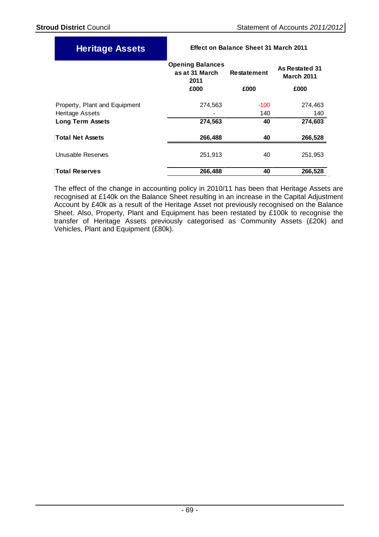| <b>Heritage Assets</b>        | <b>Effect on Balance Sheet 31 March 2011</b>      |                    |                                     |  |
|-------------------------------|---------------------------------------------------|--------------------|-------------------------------------|--|
|                               | <b>Opening Balances</b><br>as at 31 March<br>2011 | <b>Restatement</b> | As Restated 31<br><b>March 2011</b> |  |
|                               | £000                                              | £000               | £000                                |  |
| Property, Plant and Equipment | 274,563                                           | $-100$             | 274,463                             |  |
| Heritage Assets               |                                                   | 140                | 140                                 |  |
| <b>Long Term Assets</b>       | 274,563                                           | 40                 | 274,603                             |  |
| <b>Total Net Assets</b>       | 266,488                                           | 40                 | 266,528                             |  |
| Unusable Reserves             | 251,913                                           | 40                 | 251,953                             |  |
| <b>Total Reserves</b>         | 266,488                                           | 40                 | 266,528                             |  |

The effect of the change in accounting policy in 2010/11 has been that Heritage Assets are recognised at £140k on the Balance Sheet resulting in an increase in the Capital Adjustment Account by £40k as a result of the Heritage Asset not previously recognised on the Balance Sheet. Also, Property, Plant and Equipment has been restated by £100k to recognise the transfer of Heritage Assets previously categorised as Community Assets (£20k) and Vehicles, Plant and Equipment (£80k).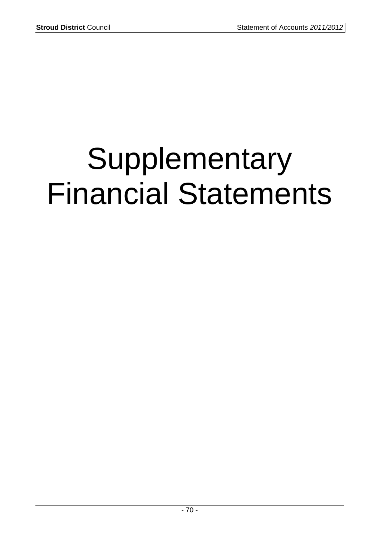# Supplementary Financial Statements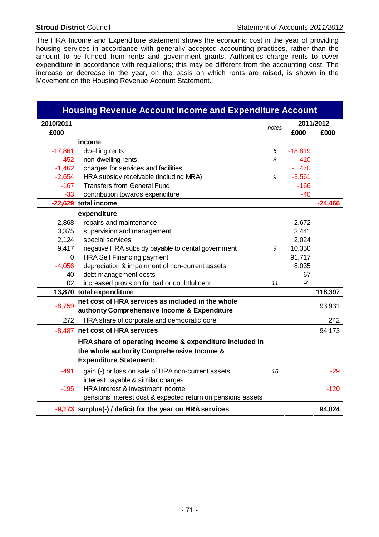The HRA Income and Expenditure statement shows the economic cost in the year of providing housing services in accordance with generally accepted accounting practices, rather than the amount to be funded from rents and government grants. Authorities charge rents to cover expenditure in accordance with regulations; this may be different from the accounting cost. The increase or decrease in the year, on the basis on which rents are raised, is shown in the Movement on the Housing Revenue Account Statement.

| <b>Housing Revenue Account Income and Expenditure Account</b> |                                                             |       |           |           |  |
|---------------------------------------------------------------|-------------------------------------------------------------|-------|-----------|-----------|--|
| 2010/2011                                                     |                                                             | notes |           | 2011/2012 |  |
| £000                                                          |                                                             |       | £000      | £000      |  |
|                                                               | income                                                      |       |           |           |  |
| $-17,861$                                                     | dwelling rents                                              | 6     | $-18,819$ |           |  |
| $-452$                                                        | non-dwelling rents                                          | 8     | $-410$    |           |  |
| $-1,462$                                                      | charges for services and facilities                         |       | $-1,470$  |           |  |
| $-2,654$                                                      | HRA subsidy receivable (including MRA)                      | 9     | $-3,561$  |           |  |
| $-167$                                                        | <b>Transfers from General Fund</b>                          |       | $-166$    |           |  |
| $-33$                                                         | contribution towards expenditure                            |       | $-40$     |           |  |
|                                                               | -22,629 total income                                        |       |           | $-24,466$ |  |
|                                                               | expenditure                                                 |       |           |           |  |
| 2,868                                                         | repairs and maintenance                                     |       | 2,672     |           |  |
| 3,375                                                         | supervision and management                                  |       | 3,441     |           |  |
| 2,124                                                         | special services                                            |       | 2,024     |           |  |
| 9,417                                                         | negative HRA subsidy payable to cental government           | 9     | 10,350    |           |  |
| 0                                                             | <b>HRA Self Financing payment</b>                           |       | 91,717    |           |  |
| $-4,056$                                                      | depreciation & impairment of non-current assets             |       | 8,035     |           |  |
| 40                                                            | debt management costs                                       |       | 67        |           |  |
| 102                                                           | increased provision for bad or doubtful debt                | 11    | 91        |           |  |
|                                                               | 13,870 total expenditure                                    |       |           | 118,397   |  |
| $-8,759$                                                      | net cost of HRA services as included in the whole           |       |           | 93,931    |  |
|                                                               | authority Comprehensive Income & Expenditure                |       |           |           |  |
| 272                                                           | HRA share of corporate and democratic core                  |       |           | 242       |  |
|                                                               | -8,487 net cost of HRA services                             |       |           | 94,173    |  |
|                                                               | HRA share of operating income & expenditure included in     |       |           |           |  |
|                                                               | the whole authority Comprehensive Income &                  |       |           |           |  |
|                                                               | <b>Expenditure Statement:</b>                               |       |           |           |  |
| $-491$                                                        | gain (-) or loss on sale of HRA non-current assets          | 15    |           | $-29$     |  |
|                                                               | interest payable & similar charges                          |       |           |           |  |
| $-195$                                                        | HRA interest & investment income                            |       |           | $-120$    |  |
|                                                               | pensions interest cost & expected return on pensions assets |       |           |           |  |
|                                                               | -9,173 surplus(-) / deficit for the year on HRA services    |       |           | 94,024    |  |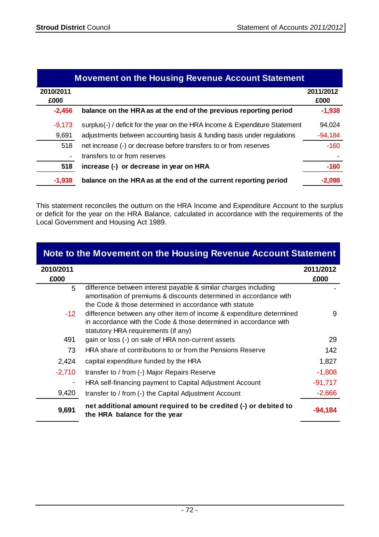|                   | <b>Movement on the Housing Revenue Account Statement</b>                    |                   |  |  |  |  |
|-------------------|-----------------------------------------------------------------------------|-------------------|--|--|--|--|
| 2010/2011<br>£000 |                                                                             | 2011/2012<br>£000 |  |  |  |  |
| $-2,456$          | balance on the HRA as at the end of the previous reporting period           | $-1,938$          |  |  |  |  |
| $-9,173$          | surplus(-) / deficit for the year on the HRA Income & Expenditure Statement | 94,024            |  |  |  |  |
| 9,691             | adjustments between accounting basis & funding basis under regulations      | $-94,184$         |  |  |  |  |
| 518               | net increase (-) or decrease before transfers to or from reserves           | $-160$            |  |  |  |  |
|                   | transfers to or from reserves                                               |                   |  |  |  |  |
| 518               | increase (-) or decrease in year on HRA                                     | $-160$            |  |  |  |  |
| $-1,938$          | balance on the HRA as at the end of the current reporting period            | -2,098            |  |  |  |  |

This statement reconciles the outturn on the HRA Income and Expenditure Account to the surplus or deficit for the year on the HRA Balance, calculated in accordance with the requirements of the Local Government and Housing Act 1989.

|                   | Note to the Movement on the Housing Revenue Account Statement                                                                                                                                   |                   |
|-------------------|-------------------------------------------------------------------------------------------------------------------------------------------------------------------------------------------------|-------------------|
| 2010/2011<br>£000 |                                                                                                                                                                                                 | 2011/2012<br>£000 |
| 5                 | difference between interest payable & similar charges including<br>amortisation of premiums & discounts determined in accordance with<br>the Code & those determined in accordance with statute |                   |
| -12.              | difference between any other item of income & expenditure determined<br>in accordance with the Code & those determined in accordance with<br>statutory HRA requirements (if any)                | 9                 |
| 491               | gain or loss (-) on sale of HRA non-current assets                                                                                                                                              | 29                |
| 73                | HRA share of contributions to or from the Pensions Reserve                                                                                                                                      | 142               |
| 2,424             | capital expenditure funded by the HRA                                                                                                                                                           | 1,827             |
| $-2,710$          | transfer to / from (-) Major Repairs Reserve                                                                                                                                                    | $-1,808$          |
|                   | HRA self-financing payment to Capital Adjustment Account                                                                                                                                        | $-91,717$         |
| 9,420             | transfer to / from (-) the Capital Adjustment Account                                                                                                                                           | $-2,666$          |
| 9,691             | net additional amount required to be credited (-) or debited to<br>the HRA balance for the year                                                                                                 | -94.184           |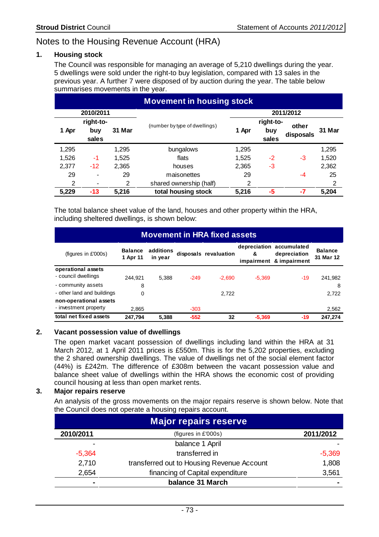# Notes to the Housing Revenue Account (HRA)

# **1. Housing stock**

The Council was responsible for managing an average of 5,210 dwellings during the year. 5 dwellings were sold under the right-to buy legislation, compared with 13 sales in the previous year. A further 7 were disposed of by auction during the year. The table below summarises movements in the year.

|                | <b>Movement in housing stock</b> |        |                               |       |           |           |        |  |
|----------------|----------------------------------|--------|-------------------------------|-------|-----------|-----------|--------|--|
|                | 2010/2011                        |        |                               |       |           | 2011/2012 |        |  |
|                | right-to-                        |        | (number by type of dwellings) |       | right-to- | other     |        |  |
| 1 Apr          | buy                              | 31 Mar |                               | 1 Apr | buy       | disposals | 31 Mar |  |
|                | sales                            |        |                               |       | sales     |           |        |  |
| 1,295          |                                  | 1,295  | bungalows                     | 1,295 |           |           | 1,295  |  |
| 1,526          | -1                               | 1,525  | flats                         | 1,525 | -2        | -3        | 1,520  |  |
| 2,377          | $-12$                            | 2,365  | houses                        | 2,365 | -3        |           | 2,362  |  |
| 29             | $\overline{\phantom{a}}$         | 29     | maisonettes                   | 29    |           | -4        | 25     |  |
| $\overline{2}$ |                                  | 2      | shared ownership (half)       | 2     |           |           | 2      |  |
| 5,229          | $-13$                            | 5,216  | total housing stock           | 5,216 | -5        | $-7$      | 5,204  |  |

The total balance sheet value of the land, houses and other property within the HRA, including sheltered dwellings, is shown below:

| <b>Movement in HRA fixed assets</b> |                            |                      |        |                       |          |                                                                     |                             |
|-------------------------------------|----------------------------|----------------------|--------|-----------------------|----------|---------------------------------------------------------------------|-----------------------------|
| (figures in $E'000s$ )              | <b>Balance</b><br>1 Apr 11 | additions<br>in vear |        | disposals revaluation | &        | depreciation accumulated<br>depreciation<br>impairment & impairment | <b>Balance</b><br>31 Mar 12 |
| operational assets                  |                            |                      |        |                       |          |                                                                     |                             |
| - council dwellings                 | 244.921                    | 5.388                | $-249$ | $-2.690$              | $-5,369$ | $-19$                                                               | 241,982                     |
| - community assets                  | 8                          |                      |        |                       |          |                                                                     | 8                           |
| - other land and buildings          | 0                          |                      |        | 2.722                 |          |                                                                     | 2,722                       |
| non-operational assets              |                            |                      |        |                       |          |                                                                     |                             |
| - investment property               | 2.865                      |                      | $-303$ |                       |          |                                                                     | 2,562                       |
| total net fixed assets              | 247,794                    | 5.388                | $-552$ | 32                    | $-5.369$ | -19                                                                 | 247.274                     |

### **2. Vacant possession value of dwellings**

The open market vacant possession of dwellings including land within the HRA at 31 March 2012, at 1 April 2011 prices is £550m. This is for the 5,202 properties, excluding the 2 shared ownership dwellings. The value of dwellings net of the social element factor (44%) is £242m. The difference of £308m between the vacant possession value and balance sheet value of dwellings within the HRA shows the economic cost of providing council housing at less than open market rents.

# **3. Major repairs reserve**

 An analysis of the gross movements on the major repairs reserve is shown below. Note that the Council does not operate a housing repairs account.

| <b>Major repairs reserve</b> |                                            |           |  |  |
|------------------------------|--------------------------------------------|-----------|--|--|
| 2010/2011                    | (figures in £'000s)                        | 2011/2012 |  |  |
| ٠                            | balance 1 April                            |           |  |  |
| $-5,364$                     | transferred in                             | $-5,369$  |  |  |
| 2,710                        | transferred out to Housing Revenue Account | 1,808     |  |  |
| 2,654                        | financing of Capital expenditure           | 3,561     |  |  |
| $\blacksquare$               | balance 31 March                           |           |  |  |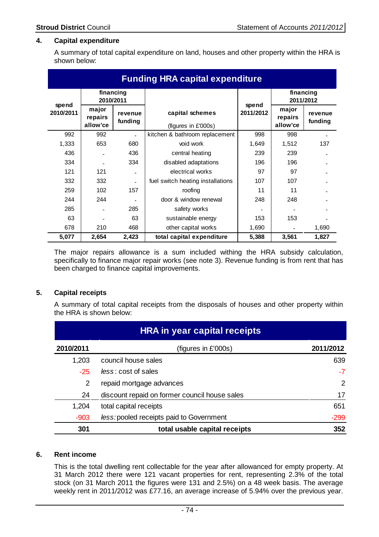# **4. Capital expenditure**

A summary of total capital expenditure on land, houses and other property within the HRA is shown below:

| <b>Funding HRA capital expenditure</b> |                              |                    |                                        |                    |                              |                        |
|----------------------------------------|------------------------------|--------------------|----------------------------------------|--------------------|------------------------------|------------------------|
|                                        | 2010/2011                    | financing          |                                        |                    |                              | financing<br>2011/2012 |
| spend<br>2010/2011                     | major<br>repairs<br>allow'ce | revenue<br>funding | capital schemes<br>(figures in £'000s) | spend<br>2011/2012 | major<br>repairs<br>allow'ce | revenue<br>funding     |
| 992                                    | 992                          |                    | kitchen & bathroom replacement         | 998                | 998                          |                        |
| 1,333                                  | 653                          | 680                | void work                              | 1,649              | 1,512                        | 137                    |
| 436                                    |                              | 436                | central heating                        | 239                | 239                          |                        |
| 334                                    |                              | 334                | disabled adaptations                   | 196                | 196                          |                        |
| 121                                    | 121                          |                    | electrical works                       | 97                 | 97                           |                        |
| 332                                    | 332                          |                    | fuel switch heating installations      | 107                | 107                          |                        |
| 259                                    | 102                          | 157                | roofing                                | 11                 | 11                           |                        |
| 244                                    | 244                          |                    | door & window renewal                  | 248                | 248                          |                        |
| 285                                    |                              | 285                | safety works                           |                    |                              |                        |
| 63                                     |                              | 63                 | sustainable energy                     | 153                | 153                          |                        |
| 678                                    | 210                          | 468                | other capital works                    | 1,690              |                              | 1,690                  |
| 5,077                                  | 2,654                        | 2,423              | total capital expenditure              | 5,388              | 3,561                        | 1,827                  |

 The major repairs allowance is a sum included withing the HRA subsidy calculation, specifically to finance major repair works (see note 3). Revenue funding is from rent that has been charged to finance capital improvements.

### **5. Capital receipts**

 A summary of total capital receipts from the disposals of houses and other property within the HRA is shown below:

| <b>HRA in year capital receipts</b> |                                               |           |  |
|-------------------------------------|-----------------------------------------------|-----------|--|
| 2010/2011                           | (figures in £'000s)                           | 2011/2012 |  |
| 1,203                               | council house sales                           | 639       |  |
| $-25$                               | less: cost of sales                           | $-7$      |  |
| 2                                   | repaid mortgage advances                      | 2         |  |
| 24                                  | discount repaid on former council house sales | 17        |  |
| 1,204                               | total capital receipts                        | 651       |  |
| $-903$                              | less: pooled receipts paid to Government      | $-299$    |  |
| 301                                 | total usable capital receipts                 | 352       |  |

### **6. Rent income**

This is the total dwelling rent collectable for the year after allowanced for empty property. At 31 March 2012 there were 121 vacant properties for rent, representing 2.3% of the total stock (on 31 March 2011 the figures were 131 and 2.5%) on a 48 week basis. The average weekly rent in 2011/2012 was £77.16, an average increase of 5.94% over the previous year.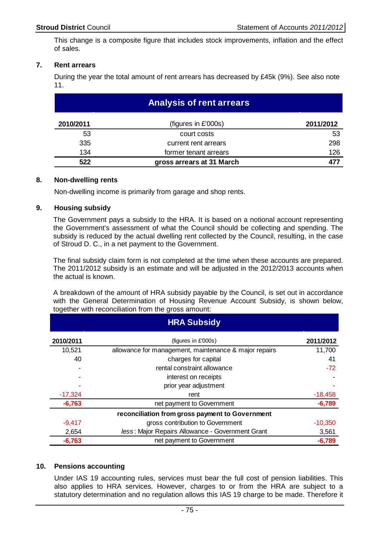This change is a composite figure that includes stock improvements, inflation and the effect of sales.

# **7. Rent arrears**

 During the year the total amount of rent arrears has decreased by £45k (9%). See also note 11.

| <b>Analysis of rent arrears</b> |                           |           |  |
|---------------------------------|---------------------------|-----------|--|
| 2010/2011                       | (figures in £'000s)       | 2011/2012 |  |
| 53                              | court costs               | 53        |  |
| 335                             | current rent arrears      | 298       |  |
| 134                             | former tenant arrears     | 126       |  |
| 522                             | gross arrears at 31 March |           |  |

### **8. Non-dwelling rents**

Non-dwelling income is primarily from garage and shop rents.

#### **9. Housing subsidy**

The Government pays a subsidy to the HRA. It is based on a notional account representing the Government's assessment of what the Council should be collecting and spending. The subsidy is reduced by the actual dwelling rent collected by the Council, resulting, in the case of Stroud D. C., in a net payment to the Government.

 The final subsidy claim form is not completed at the time when these accounts are prepared. The 2011/2012 subsidy is an estimate and will be adjusted in the 2012/2013 accounts when the actual is known.

 A breakdown of the amount of HRA subsidy payable by the Council, is set out in accordance with the General Determination of Housing Revenue Account Subsidy, is shown below, together with reconciliation from the gross amount:

|           | <b>HRA Subsidy</b>                                    |           |
|-----------|-------------------------------------------------------|-----------|
| 2010/2011 | (figures in £'000s)                                   | 2011/2012 |
| 10,521    | allowance for management, maintenance & major repairs | 11,700    |
| 40        | charges for capital                                   | 41        |
|           | rental constraint allowance                           | $-72$     |
|           | interest on receipts                                  |           |
|           | prior year adjustment                                 |           |
| $-17,324$ | rent                                                  | $-18,458$ |
| $-6,763$  | net payment to Government                             | $-6,789$  |
|           | reconciliation from gross payment to Government       |           |
| $-9,417$  | gross contribution to Government                      | $-10,350$ |
| 2,654     | less: Major Repairs Allowance - Government Grant      | 3,561     |
| $-6,763$  | net payment to Government                             | $-6,789$  |

### **10. Pensions accounting**

Under IAS 19 accounting rules, services must bear the full cost of pension liabilities. This also applies to HRA services. However, charges to or from the HRA are subject to a statutory determination and no regulation allows this IAS 19 charge to be made. Therefore it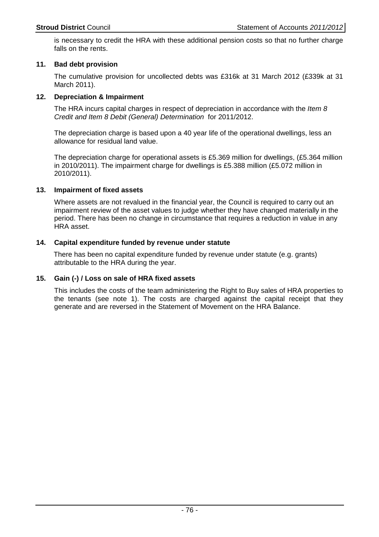is necessary to credit the HRA with these additional pension costs so that no further charge falls on the rents.

# **11. Bad debt provision**

 The cumulative provision for uncollected debts was £316k at 31 March 2012 (£339k at 31 March 2011).

# **12. Depreciation & Impairment**

The HRA incurs capital charges in respect of depreciation in accordance with the *Item 8* Credit and Item 8 Debit (General) Determination for 2011/2012.

The depreciation charge is based upon a 40 year life of the operational dwellings, less an allowance for residual land value.

The depreciation charge for operational assets is £5.369 million for dwellings, (£5.364 million in 2010/2011). The impairment charge for dwellings is £5.388 million (£5.072 million in 2010/2011).

# **13. Impairment of fixed assets**

Where assets are not revalued in the financial year, the Council is required to carry out an impairment review of the asset values to judge whether they have changed materially in the period. There has been no change in circumstance that requires a reduction in value in any HRA asset.

# **14. Capital expenditure funded by revenue under statute**

 There has been no capital expenditure funded by revenue under statute (e.g. grants) attributable to the HRA during the year.

### **15. Gain (-) / Loss on sale of HRA fixed assets**

This includes the costs of the team administering the Right to Buy sales of HRA properties to the tenants (see note 1). The costs are charged against the capital receipt that they generate and are reversed in the Statement of Movement on the HRA Balance.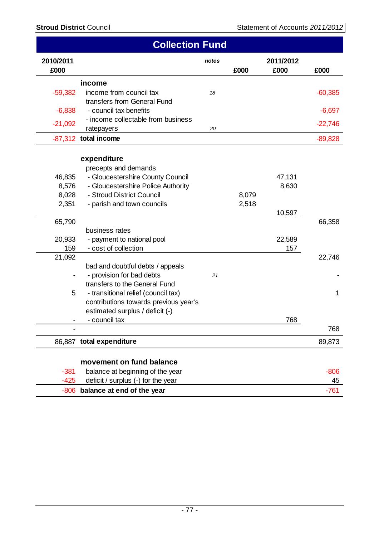|                | <b>Collection Fund</b>                                                       |       |       |           |           |
|----------------|------------------------------------------------------------------------------|-------|-------|-----------|-----------|
| 2010/2011      |                                                                              | notes |       | 2011/2012 |           |
| £000           |                                                                              |       | £000  | £000      | £000      |
|                | income                                                                       |       |       |           |           |
| $-59,382$      | income from council tax                                                      | 18    |       |           | $-60,385$ |
|                | transfers from General Fund                                                  |       |       |           |           |
| $-6,838$       | - council tax benefits                                                       |       |       |           | $-6,697$  |
| $-21,092$      | - income collectable from business                                           |       |       |           | $-22,746$ |
|                | ratepayers                                                                   | 20    |       |           |           |
|                | -87,312 total income                                                         |       |       |           | $-89,828$ |
|                |                                                                              |       |       |           |           |
|                | expenditure                                                                  |       |       |           |           |
|                | precepts and demands                                                         |       |       |           |           |
| 46,835         | - Gloucestershire County Council                                             |       |       | 47,131    |           |
| 8,576<br>8,028 | - Gloucestershire Police Authority<br>- Stroud District Council              |       | 8,079 | 8,630     |           |
| 2,351          | - parish and town councils                                                   |       | 2,518 |           |           |
|                |                                                                              |       |       | 10,597    |           |
| 65,790         |                                                                              |       |       |           | 66,358    |
|                | business rates                                                               |       |       |           |           |
| 20,933         | - payment to national pool                                                   |       |       | 22,589    |           |
| 159            | - cost of collection                                                         |       |       | 157       |           |
| 21,092         |                                                                              |       |       |           | 22,746    |
|                | bad and doubtful debts / appeals                                             |       |       |           |           |
|                | - provision for bad debts                                                    | 21    |       |           |           |
|                | transfers to the General Fund                                                |       |       |           |           |
| 5              | - transitional relief (council tax)<br>contributions towards previous year's |       |       |           | 1         |
|                | estimated surplus / deficit (-)                                              |       |       |           |           |
|                | - council tax                                                                |       |       | 768       |           |
|                |                                                                              |       |       |           | 768       |
|                | 86,887 total expenditure                                                     |       |       |           | 89,873    |
|                |                                                                              |       |       |           |           |
|                | movement on fund balance                                                     |       |       |           |           |
| $-381$         | balance at beginning of the year                                             |       |       |           | $-806$    |
| $-425$         | deficit / surplus (-) for the year                                           |       |       |           | 45        |

**balance at end of the year balance at end of the year balance balance b**  $-761$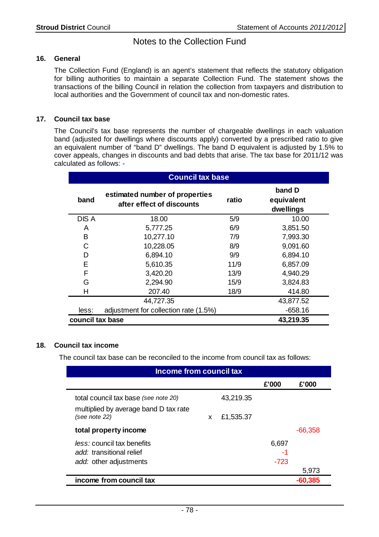# Notes to the Collection Fund

# **16. General**

The Collection Fund (England) is an agent's statement that reflects the statutory obligation for billing authorities to maintain a separate Collection Fund. The statement shows the transactions of the billing Council in relation the collection from taxpayers and distribution to local authorities and the Government of council tax and non-domestic rates.

# **17. Council tax base**

The Council's tax base represents the number of chargeable dwellings in each valuation band (adjusted for dwellings where discounts apply) converted by a prescribed ratio to give an equivalent number of "band D" dwellings. The band D equivalent is adjusted by 1.5% to cover appeals, changes in discounts and bad debts that arise. The tax base for 2011/12 was calculated as follows: -

|       | <b>Council tax base</b>                                     |       |                                   |  |  |  |
|-------|-------------------------------------------------------------|-------|-----------------------------------|--|--|--|
| band  | estimated number of properties<br>after effect of discounts | ratio | band D<br>equivalent<br>dwellings |  |  |  |
| DIS A | 18.00                                                       | 5/9   | 10.00                             |  |  |  |
| A     | 5,777.25                                                    | 6/9   | 3,851.50                          |  |  |  |
| B     | 10,277.10                                                   | 7/9   | 7,993.30                          |  |  |  |
| C     | 10,228.05                                                   | 8/9   | 9,091.60                          |  |  |  |
| D     | 6,894.10                                                    | 9/9   | 6,894.10                          |  |  |  |
| Е     | 5,610.35                                                    | 11/9  | 6,857.09                          |  |  |  |
| F     | 3,420.20                                                    | 13/9  | 4,940.29                          |  |  |  |
| G     | 2,294.90                                                    | 15/9  | 3,824.83                          |  |  |  |
| н     | 207.40                                                      | 18/9  | 414.80                            |  |  |  |
|       | 44,727.35                                                   |       | 43,877.52                         |  |  |  |
| less: | adjustment for collection rate (1.5%)                       |       | $-658.16$                         |  |  |  |
|       | council tax base<br>43,219.35                               |       |                                   |  |  |  |

# **18. Council tax income**

The council tax base can be reconciled to the income from council tax as follows:

| Income from council tax                                |                |        |           |
|--------------------------------------------------------|----------------|--------|-----------|
|                                                        |                | £'000  | £'000     |
| total council tax base (see note 20)                   | 43,219.35      |        |           |
| multiplied by average band D tax rate<br>(see note 22) | £1,535.37<br>X |        |           |
| total property income                                  |                |        | $-66,358$ |
| <i>less:</i> council tax benefits                      |                | 6,697  |           |
| add: transitional relief                               |                | -1     |           |
| add: other adjustments                                 |                | $-723$ |           |
|                                                        |                |        | 5,973     |
| income from council tax                                |                |        | -60,385   |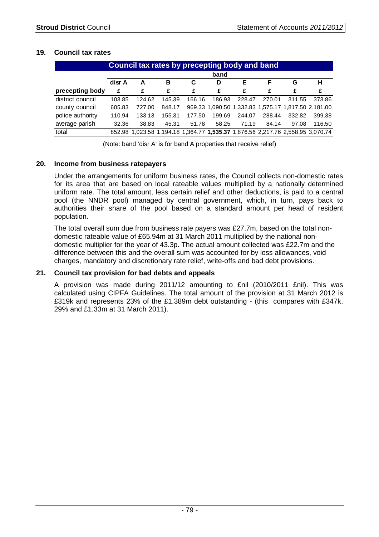# **19. Council tax rates**

| Council tax rates by precepting body and band |        |        |        |        |                                                     |        |        |        |                                                                                |
|-----------------------------------------------|--------|--------|--------|--------|-----------------------------------------------------|--------|--------|--------|--------------------------------------------------------------------------------|
|                                               | band   |        |        |        |                                                     |        |        |        |                                                                                |
|                                               | disr A | А      | в      | C      | D                                                   | Е      | F.     | G      | н                                                                              |
| precepting body                               | £      | £      | £      | £      | £                                                   | £      | £      | £      | £                                                                              |
| district council                              | 103.85 | 124.62 | 145.39 | 166.16 | 186.93                                              | 228.47 | 270.01 | 311.55 | 373.86                                                                         |
| county council                                | 605.83 | 727.00 | 848.17 |        | 969.33 1,090.50 1,332.83 1,575.17 1,817.50 2,181.00 |        |        |        |                                                                                |
| police authority                              | 110.94 | 133.13 | 155.31 | 177.50 | 199.69                                              | 244.07 | 288.44 | 332.82 | 399.38                                                                         |
| average parish                                | 32.36  | 38.83  | 45.31  | 51.78  | 58.25                                               | 71.19  | 84.14  | 97.08  | 116.50                                                                         |
| total                                         |        |        |        |        |                                                     |        |        |        | 852.98 1,023.58 1,194.18 1,364.77 1,535.37 1,876.56 2,217.76 2,558.95 3,070.74 |

(Note: band 'disr A' is for band A properties that receive relief)

# **20. Income from business ratepayers**

Under the arrangements for uniform business rates, the Council collects non-domestic rates for its area that are based on local rateable values multiplied by a nationally determined uniform rate. The total amount, less certain relief and other deductions, is paid to a central pool (the NNDR pool) managed by central government, which, in turn, pays back to authorities their share of the pool based on a standard amount per head of resident population.

The total overall sum due from business rate payers was £27.7m, based on the total nondomestic rateable value of £65.94m at 31 March 2011 multiplied by the national nondomestic multiplier for the year of 43.3p. The actual amount collected was £22.7m and the difference between this and the overall sum was accounted for by loss allowances, void charges, mandatory and discretionary rate relief, write-offs and bad debt provisions.

### **21. Council tax provision for bad debts and appeals**

A provision was made during 2011/12 amounting to £nil (2010/2011 £nil). This was calculated using CIPFA Guidelines. The total amount of the provision at 31 March 2012 is £319k and represents 23% of the £1.389m debt outstanding - (this compares with £347k, 29% and £1.33m at 31 March 2011).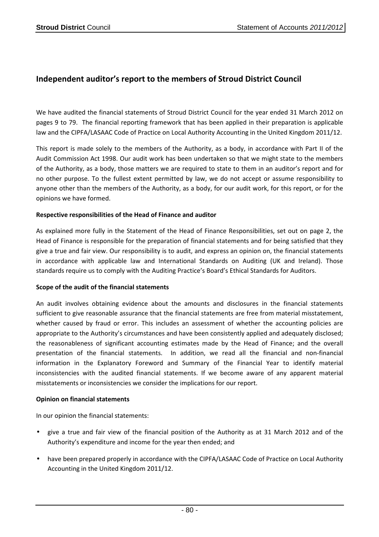# **Independent auditor's report to the members of Stroud District Council**

We have audited the financial statements of Stroud District Council for the year ended 31 March 2012 on pages 9 to 79. The financial reporting framework that has been applied in their preparation is applicable law and the CIPFA/LASAAC Code of Practice on Local Authority Accounting in the United Kingdom 2011/12.

This report is made solely to the members of the Authority, as a body, in accordance with Part II of the Audit Commission Act 1998. Our audit work has been undertaken so that we might state to the members of the Authority, as a body, those matters we are required to state to them in an auditor's report and for no other purpose. To the fullest extent permitted by law, we do not accept or assume responsibility to anyone other than the members of the Authority, as a body, for our audit work, for this report, or for the opinions we have formed.

### **Respective responsibilities of the Head of Finance and auditor**

As explained more fully in the Statement of the Head of Finance Responsibilities, set out on page 2, the Head of Finance is responsible for the preparation of financial statements and for being satisfied that they give a true and fair view. Our responsibility is to audit, and express an opinion on, the financial statements in accordance with applicable law and International Standards on Auditing (UK and Ireland). Those standards require us to comply with the Auditing Practice's Board's Ethical Standards for Auditors.

### **Scope of the audit of the financial statements**

An audit involves obtaining evidence about the amounts and disclosures in the financial statements sufficient to give reasonable assurance that the financial statements are free from material misstatement, whether caused by fraud or error. This includes an assessment of whether the accounting policies are appropriate to the Authority's circumstances and have been consistently applied and adequately disclosed; the reasonableness of significant accounting estimates made by the Head of Finance; and the overall presentation of the financial statements. In addition, we read all the financial and non-financial information in the Explanatory Foreword and Summary of the Financial Year to identify material inconsistencies with the audited financial statements. If we become aware of any apparent material misstatements or inconsistencies we consider the implications for our report.

### **Opinion on financial statements**

In our opinion the financial statements:

- give a true and fair view of the financial position of the Authority as at 31 March 2012 and of the Authority's expenditure and income for the year then ended; and
- have been prepared properly in accordance with the CIPFA/LASAAC Code of Practice on Local Authority Accounting in the United Kingdom 2011/12.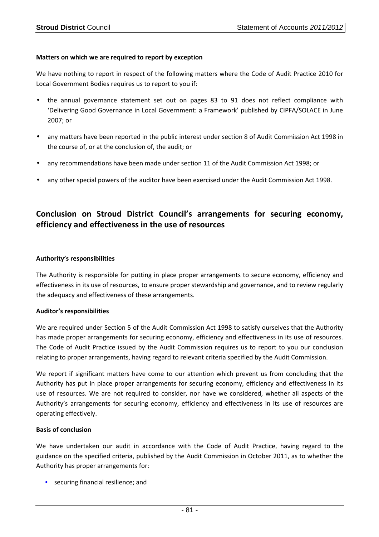### **Matters on which we are required to report by exception**

We have nothing to report in respect of the following matters where the Code of Audit Practice 2010 for Local Government Bodies requires us to report to you if:

- the annual governance statement set out on pages 83 to 91 does not reflect compliance with 'Delivering Good Governance in Local Government: a Framework' published by CIPFA/SOLACE in June 2007; or
- any matters have been reported in the public interest under section 8 of Audit Commission Act 1998 in the course of, or at the conclusion of, the audit; or
- any recommendations have been made under section 11 of the Audit Commission Act 1998; or
- any other special powers of the auditor have been exercised under the Audit Commission Act 1998.

# **Conclusion on Stroud District Council's arrangements for securing economy, efficiency and effectiveness in the use of resources**

#### **Authority's responsibilities**

The Authority is responsible for putting in place proper arrangements to secure economy, efficiency and effectiveness in its use of resources, to ensure proper stewardship and governance, and to review regularly the adequacy and effectiveness of these arrangements.

#### **Auditor's responsibilities**

We are required under Section 5 of the Audit Commission Act 1998 to satisfy ourselves that the Authority has made proper arrangements for securing economy, efficiency and effectiveness in its use of resources. The Code of Audit Practice issued by the Audit Commission requires us to report to you our conclusion relating to proper arrangements, having regard to relevant criteria specified by the Audit Commission.

We report if significant matters have come to our attention which prevent us from concluding that the Authority has put in place proper arrangements for securing economy, efficiency and effectiveness in its use of resources. We are not required to consider, nor have we considered, whether all aspects of the Authority's arrangements for securing economy, efficiency and effectiveness in its use of resources are operating effectively.

#### **Basis of conclusion**

We have undertaken our audit in accordance with the Code of Audit Practice, having regard to the guidance on the specified criteria, published by the Audit Commission in October 2011, as to whether the Authority has proper arrangements for:

• securing financial resilience; and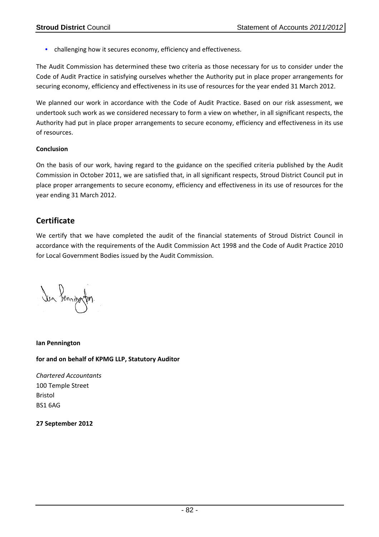• challenging how it secures economy, efficiency and effectiveness.

The Audit Commission has determined these two criteria as those necessary for us to consider under the Code of Audit Practice in satisfying ourselves whether the Authority put in place proper arrangements for securing economy, efficiency and effectiveness in its use of resources for the year ended 31 March 2012.

We planned our work in accordance with the Code of Audit Practice. Based on our risk assessment, we undertook such work as we considered necessary to form a view on whether, in all significant respects, the Authority had put in place proper arrangements to secure economy, efficiency and effectiveness in its use of resources.

### **Conclusion**

On the basis of our work, having regard to the guidance on the specified criteria published by the Audit Commission in October 2011, we are satisfied that, in all significant respects, Stroud District Council put in place proper arrangements to secure economy, efficiency and effectiveness in its use of resources for the year ending 31 March 2012.

# **Certificate**

We certify that we have completed the audit of the financial statements of Stroud District Council in accordance with the requirements of the Audit Commission Act 1998 and the Code of Audit Practice 2010 for Local Government Bodies issued by the Audit Commission.

Jun Senningfen

**Ian Pennington** 

**for and on behalf of KPMG LLP, Statutory Auditor** 

*Chartered Accountants*  100 Temple Street Bristol BS1 6AG

**27 September 2012**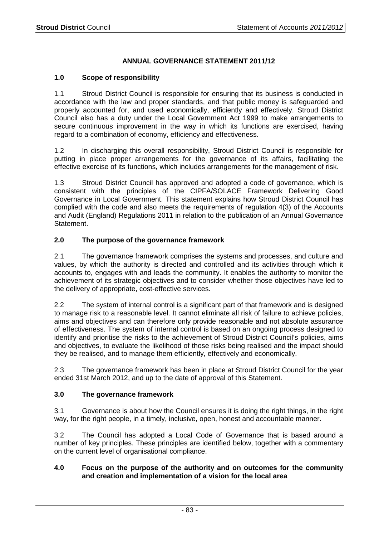# **ANNUAL GOVERNANCE STATEMENT 2011/12**

# **1.0 Scope of responsibility**

1.1 Stroud District Council is responsible for ensuring that its business is conducted in accordance with the law and proper standards, and that public money is safeguarded and properly accounted for, and used economically, efficiently and effectively. Stroud District Council also has a duty under the Local Government Act 1999 to make arrangements to secure continuous improvement in the way in which its functions are exercised, having regard to a combination of economy, efficiency and effectiveness.

1.2 In discharging this overall responsibility, Stroud District Council is responsible for putting in place proper arrangements for the governance of its affairs, facilitating the effective exercise of its functions, which includes arrangements for the management of risk.

1.3 Stroud District Council has approved and adopted a code of governance, which is consistent with the principles of the CIPFA/SOLACE Framework Delivering Good Governance in Local Government. This statement explains how Stroud District Council has complied with the code and also meets the requirements of regulation 4(3) of the Accounts and Audit (England) Regulations 2011 in relation to the publication of an Annual Governance Statement.

# **2.0 The purpose of the governance framework**

2.1 The governance framework comprises the systems and processes, and culture and values, by which the authority is directed and controlled and its activities through which it accounts to, engages with and leads the community. It enables the authority to monitor the achievement of its strategic objectives and to consider whether those objectives have led to the delivery of appropriate, cost-effective services.

2.2 The system of internal control is a significant part of that framework and is designed to manage risk to a reasonable level. It cannot eliminate all risk of failure to achieve policies, aims and objectives and can therefore only provide reasonable and not absolute assurance of effectiveness. The system of internal control is based on an ongoing process designed to identify and prioritise the risks to the achievement of Stroud District Council's policies, aims and objectives, to evaluate the likelihood of those risks being realised and the impact should they be realised, and to manage them efficiently, effectively and economically.

2.3 The governance framework has been in place at Stroud District Council for the year ended 31st March 2012, and up to the date of approval of this Statement.

# **3.0 The governance framework**

3.1 Governance is about how the Council ensures it is doing the right things, in the right way, for the right people, in a timely, inclusive, open, honest and accountable manner.

3.2 The Council has adopted a Local Code of Governance that is based around a number of key principles. These principles are identified below, together with a commentary on the current level of organisational compliance.

# **4.0 Focus on the purpose of the authority and on outcomes for the community and creation and implementation of a vision for the local area**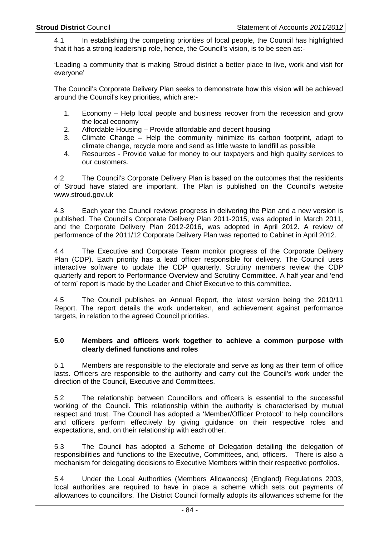4.1 In establishing the competing priorities of local people, the Council has highlighted that it has a strong leadership role, hence, the Council's vision, is to be seen as:-

'Leading a community that is making Stroud district a better place to live, work and visit for everyone'

The Council's Corporate Delivery Plan seeks to demonstrate how this vision will be achieved around the Council's key priorities, which are:-

- 1. Economy Help local people and business recover from the recession and grow the local economy
- 2. Affordable Housing Provide affordable and decent housing
- 3. Climate Change Help the community minimize its carbon footprint, adapt to climate change, recycle more and send as little waste to landfill as possible
- 4. Resources Provide value for money to our taxpayers and high quality services to our customers.

4.2 The Council's Corporate Delivery Plan is based on the outcomes that the residents of Stroud have stated are important. The Plan is published on the Council's website www.stroud.gov.uk

4.3 Each year the Council reviews progress in delivering the Plan and a new version is published. The Council's Corporate Delivery Plan 2011-2015, was adopted in March 2011, and the Corporate Delivery Plan 2012-2016, was adopted in April 2012. A review of performance of the 2011/12 Corporate Delivery Plan was reported to Cabinet in April 2012.

4.4 The Executive and Corporate Team monitor progress of the Corporate Delivery Plan (CDP). Each priority has a lead officer responsible for delivery. The Council uses interactive software to update the CDP quarterly. Scrutiny members review the CDP quarterly and report to Performance Overview and Scrutiny Committee. A half year and 'end of term' report is made by the Leader and Chief Executive to this committee.

4.5 The Council publishes an Annual Report, the latest version being the 2010/11 Report. The report details the work undertaken, and achievement against performance targets, in relation to the agreed Council priorities.

### **5.0 Members and officers work together to achieve a common purpose with clearly defined functions and roles**

5.1 Members are responsible to the electorate and serve as long as their term of office lasts. Officers are responsible to the authority and carry out the Council's work under the direction of the Council, Executive and Committees.

5.2 The relationship between Councillors and officers is essential to the successful working of the Council. This relationship within the authority is characterised by mutual respect and trust. The Council has adopted a 'Member/Officer Protocol' to help councillors and officers perform effectively by giving guidance on their respective roles and expectations, and, on their relationship with each other.

5.3 The Council has adopted a Scheme of Delegation detailing the delegation of responsibilities and functions to the Executive, Committees, and, officers. There is also a mechanism for delegating decisions to Executive Members within their respective portfolios.

5.4 Under the Local Authorities (Members Allowances) (England) Regulations 2003, local authorities are required to have in place a scheme which sets out payments of allowances to councillors. The District Council formally adopts its allowances scheme for the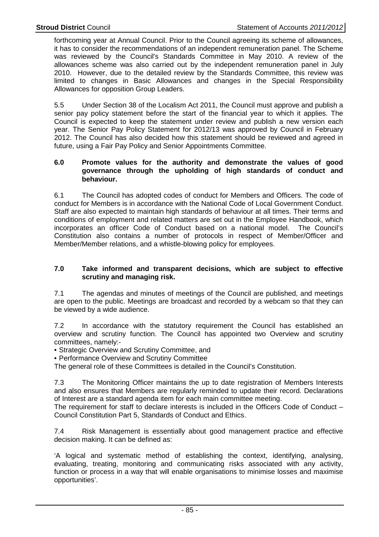forthcoming year at Annual Council. Prior to the Council agreeing its scheme of allowances, it has to consider the recommendations of an independent remuneration panel. The Scheme was reviewed by the Council's Standards Committee in May 2010. A review of the allowances scheme was also carried out by the independent remuneration panel in July 2010. However, due to the detailed review by the Standards Committee, this review was limited to changes in Basic Allowances and changes in the Special Responsibility Allowances for opposition Group Leaders.

5.5 Under Section 38 of the Localism Act 2011, the Council must approve and publish a senior pay policy statement before the start of the financial year to which it applies. The Council is expected to keep the statement under review and publish a new version each year. The Senior Pay Policy Statement for 2012/13 was approved by Council in February 2012. The Council has also decided how this statement should be reviewed and agreed in future, using a Fair Pay Policy and Senior Appointments Committee.

## **6.0 Promote values for the authority and demonstrate the values of good governance through the upholding of high standards of conduct and behaviour.**

6.1 The Council has adopted codes of conduct for Members and Officers. The code of conduct for Members is in accordance with the National Code of Local Government Conduct. Staff are also expected to maintain high standards of behaviour at all times. Their terms and conditions of employment and related matters are set out in the Employee Handbook, which incorporates an officer Code of Conduct based on a national model. The Council's Constitution also contains a number of protocols in respect of Member/Officer and Member/Member relations, and a whistle-blowing policy for employees.

# **7.0 Take informed and transparent decisions, which are subject to effective scrutiny and managing risk.**

7.1 The agendas and minutes of meetings of the Council are published, and meetings are open to the public. Meetings are broadcast and recorded by a webcam so that they can be viewed by a wide audience.

7.2 In accordance with the statutory requirement the Council has established an overview and scrutiny function. The Council has appointed two Overview and scrutiny committees, namely:-

• Strategic Overview and Scrutiny Committee, and

• Performance Overview and Scrutiny Committee

The general role of these Committees is detailed in the Council's Constitution.

7.3 The Monitoring Officer maintains the up to date registration of Members Interests and also ensures that Members are regularly reminded to update their record. Declarations of Interest are a standard agenda item for each main committee meeting.

The requirement for staff to declare interests is included in the Officers Code of Conduct – Council Constitution Part 5, Standards of Conduct and Ethics.

7.4 Risk Management is essentially about good management practice and effective decision making. It can be defined as:

'A logical and systematic method of establishing the context, identifying, analysing, evaluating, treating, monitoring and communicating risks associated with any activity, function or process in a way that will enable organisations to minimise losses and maximise opportunities'.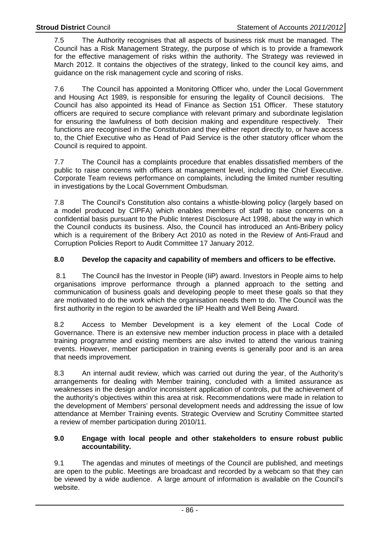7.5 The Authority recognises that all aspects of business risk must be managed. The Council has a Risk Management Strategy, the purpose of which is to provide a framework for the effective management of risks within the authority. The Strategy was reviewed in March 2012. It contains the objectives of the strategy, linked to the council key aims, and guidance on the risk management cycle and scoring of risks.

7.6 The Council has appointed a Monitoring Officer who, under the Local Government and Housing Act 1989, is responsible for ensuring the legality of Council decisions. The Council has also appointed its Head of Finance as Section 151 Officer. These statutory officers are required to secure compliance with relevant primary and subordinate legislation for ensuring the lawfulness of both decision making and expenditure respectively. Their functions are recognised in the Constitution and they either report directly to, or have access to, the Chief Executive who as Head of Paid Service is the other statutory officer whom the Council is required to appoint.

7.7 The Council has a complaints procedure that enables dissatisfied members of the public to raise concerns with officers at management level, including the Chief Executive. Corporate Team reviews performance on complaints, including the limited number resulting in investigations by the Local Government Ombudsman.

7.8 The Council's Constitution also contains a whistle-blowing policy (largely based on a model produced by CIPFA) which enables members of staff to raise concerns on a confidential basis pursuant to the Public Interest Disclosure Act 1998, about the way in which the Council conducts its business. Also, the Council has introduced an Anti-Bribery policy which is a requirement of the Bribery Act 2010 as noted in the Review of Anti-Fraud and Corruption Policies Report to Audit Committee 17 January 2012.

# **8.0 Develop the capacity and capability of members and officers to be effective.**

 8.1 The Council has the Investor in People (IiP) award. Investors in People aims to help organisations improve performance through a planned approach to the setting and communication of business goals and developing people to meet these goals so that they are motivated to do the work which the organisation needs them to do. The Council was the first authority in the region to be awarded the IiP Health and Well Being Award.

8.2 Access to Member Development is a key element of the Local Code of Governance. There is an extensive new member induction process in place with a detailed training programme and existing members are also invited to attend the various training events. However, member participation in training events is generally poor and is an area that needs improvement.

8.3 An internal audit review, which was carried out during the year, of the Authority's arrangements for dealing with Member training, concluded with a limited assurance as weaknesses in the design and/or inconsistent application of controls, put the achievement of the authority's objectives within this area at risk. Recommendations were made in relation to the development of Members' personal development needs and addressing the issue of low attendance at Member Training events. Strategic Overview and Scrutiny Committee started a review of member participation during 2010/11.

### **9.0 Engage with local people and other stakeholders to ensure robust public accountability.**

9.1 The agendas and minutes of meetings of the Council are published, and meetings are open to the public. Meetings are broadcast and recorded by a webcam so that they can be viewed by a wide audience. A large amount of information is available on the Council's website.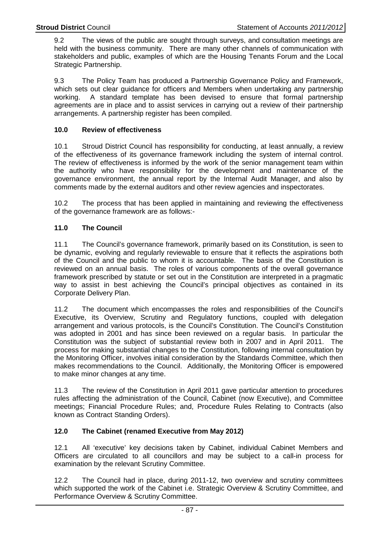9.2 The views of the public are sought through surveys, and consultation meetings are held with the business community. There are many other channels of communication with stakeholders and public, examples of which are the Housing Tenants Forum and the Local Strategic Partnership.

9.3 The Policy Team has produced a Partnership Governance Policy and Framework, which sets out clear guidance for officers and Members when undertaking any partnership working. A standard template has been devised to ensure that formal partnership agreements are in place and to assist services in carrying out a review of their partnership arrangements. A partnership register has been compiled.

# **10.0 Review of effectiveness**

10.1 Stroud District Council has responsibility for conducting, at least annually, a review of the effectiveness of its governance framework including the system of internal control. The review of effectiveness is informed by the work of the senior management team within the authority who have responsibility for the development and maintenance of the governance environment, the annual report by the Internal Audit Manager, and also by comments made by the external auditors and other review agencies and inspectorates.

10.2 The process that has been applied in maintaining and reviewing the effectiveness of the governance framework are as follows:-

# **11.0 The Council**

11.1 The Council's governance framework, primarily based on its Constitution, is seen to be dynamic, evolving and regularly reviewable to ensure that it reflects the aspirations both of the Council and the public to whom it is accountable. The basis of the Constitution is reviewed on an annual basis. The roles of various components of the overall governance framework prescribed by statute or set out in the Constitution are interpreted in a pragmatic way to assist in best achieving the Council's principal objectives as contained in its Corporate Delivery Plan.

11.2 The document which encompasses the roles and responsibilities of the Council's Executive, its Overview, Scrutiny and Regulatory functions, coupled with delegation arrangement and various protocols, is the Council's Constitution. The Council's Constitution was adopted in 2001 and has since been reviewed on a regular basis. In particular the Constitution was the subject of substantial review both in 2007 and in April 2011. The process for making substantial changes to the Constitution, following internal consultation by the Monitoring Officer, involves initial consideration by the Standards Committee, which then makes recommendations to the Council. Additionally, the Monitoring Officer is empowered to make minor changes at any time.

11.3 The review of the Constitution in April 2011 gave particular attention to procedures rules affecting the administration of the Council, Cabinet (now Executive), and Committee meetings; Financial Procedure Rules; and, Procedure Rules Relating to Contracts (also known as Contract Standing Orders).

### **12.0 The Cabinet (renamed Executive from May 2012)**

12.1 All 'executive' key decisions taken by Cabinet, individual Cabinet Members and Officers are circulated to all councillors and may be subject to a call-in process for examination by the relevant Scrutiny Committee.

12.2 The Council had in place, during 2011-12, two overview and scrutiny committees which supported the work of the Cabinet i.e. Strategic Overview & Scrutiny Committee, and Performance Overview & Scrutiny Committee.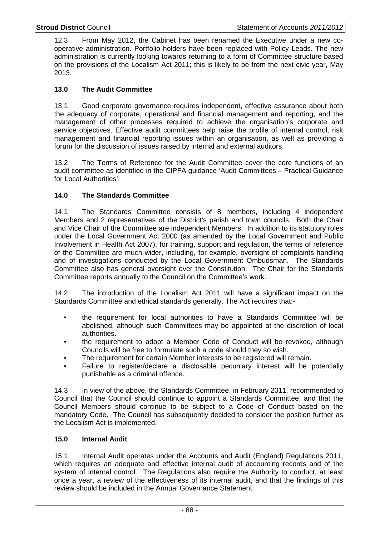12.3 From May 2012, the Cabinet has been renamed the Executive under a new cooperative administration. Portfolio holders have been replaced with Policy Leads. The new administration is currently looking towards returning to a form of Committee structure based on the provisions of the Localism Act 2011; this is likely to be from the next civic year, May 2013.

# **13.0 The Audit Committee**

13.1 Good corporate governance requires independent, effective assurance about both the adequacy of corporate, operational and financial management and reporting, and the management of other processes required to achieve the organisation's corporate and service objectives. Effective audit committees help raise the profile of internal control, risk management and financial reporting issues within an organisation, as well as providing a forum for the discussion of issues raised by internal and external auditors.

13.2 The Terms of Reference for the Audit Committee cover the core functions of an audit committee as identified in the CIPFA guidance 'Audit Committees – Practical Guidance for Local Authorities'.

# **14.0 The Standards Committee**

14.1 The Standards Committee consists of 8 members, including 4 independent Members and 2 representatives of the District's parish and town councils. Both the Chair and Vice Chair of the Committee are independent Members. In addition to its statutory roles under the Local Government Act 2000 (as amended by the Local Government and Public Involvement in Health Act 2007), for training, support and regulation, the terms of reference of the Committee are much wider, including, for example, oversight of complaints handling and of investigations conducted by the Local Government Ombudsman. The Standards Committee also has general oversight over the Constitution. The Chair for the Standards Committee reports annually to the Council on the Committee's work.

14.2 The introduction of the Localism Act 2011 will have a significant impact on the Standards Committee and ethical standards generally. The Act requires that:-

- the requirement for local authorities to have a Standards Committee will be abolished, although such Committees may be appointed at the discretion of local authorities.
- the requirement to adopt a Member Code of Conduct will be revoked, although Councils will be free to formulate such a code should they so wish.
- The requirement for certain Member interests to be registered will remain.
- Failure to register/declare a disclosable pecuniary interest will be potentially punishable as a criminal offence.

14.3 In view of the above, the Standards Committee, in February 2011, recommended to Council that the Council should continue to appoint a Standards Committee, and that the Council Members should continue to be subject to a Code of Conduct based on the mandatory Code. The Council has subsequently decided to consider the position further as the Localism Act is implemented.

# **15.0 Internal Audit**

15.1 Internal Audit operates under the Accounts and Audit (England) Regulations 2011, which requires an adequate and effective internal audit of accounting records and of the system of internal control. The Regulations also require the Authority to conduct, at least once a year, a review of the effectiveness of its internal audit, and that the findings of this review should be included in the Annual Governance Statement.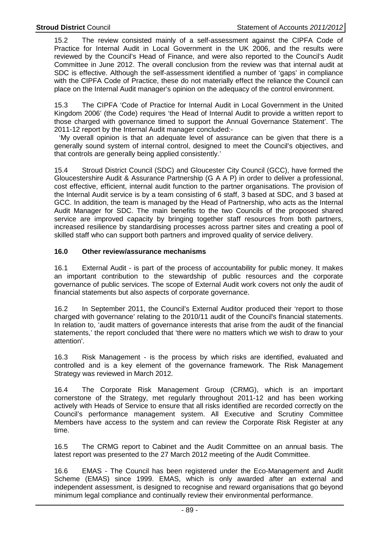15.2 The review consisted mainly of a self-assessment against the CIPFA Code of Practice for Internal Audit in Local Government in the UK 2006, and the results were reviewed by the Council's Head of Finance, and were also reported to the Council's Audit Committee in June 2012. The overall conclusion from the review was that internal audit at SDC is effective. Although the self-assessment identified a number of 'gaps' in compliance with the CIPFA Code of Practice, these do not materially effect the reliance the Council can place on the Internal Audit manager's opinion on the adequacy of the control environment.

15.3 The CIPFA 'Code of Practice for Internal Audit in Local Government in the United Kingdom 2006' (the Code) requires 'the Head of Internal Audit to provide a written report to those charged with governance timed to support the Annual Governance Statement'. The 2011-12 report by the Internal Audit manager concluded:-

 'My overall opinion is that an adequate level of assurance can be given that there is a generally sound system of internal control, designed to meet the Council's objectives, and that controls are generally being applied consistently.'

15.4 Stroud District Council (SDC) and Gloucester City Council (GCC), have formed the Gloucestershire Audit & Assurance Partnership (G A A P) in order to deliver a professional, cost effective, efficient, internal audit function to the partner organisations. The provision of the Internal Audit service is by a team consisting of 6 staff, 3 based at SDC, and 3 based at GCC. In addition, the team is managed by the Head of Partnership, who acts as the Internal Audit Manager for SDC. The main benefits to the two Councils of the proposed shared service are improved capacity by bringing together staff resources from both partners, increased resilience by standardising processes across partner sites and creating a pool of skilled staff who can support both partners and improved quality of service delivery.

# **16.0 Other review/assurance mechanisms**

16.1 External Audit - is part of the process of accountability for public money. It makes an important contribution to the stewardship of public resources and the corporate governance of public services. The scope of External Audit work covers not only the audit of financial statements but also aspects of corporate governance.

16.2 In September 2011, the Council's External Auditor produced their 'report to those charged with governance' relating to the 2010/11 audit of the Council's financial statements. In relation to, 'audit matters of governance interests that arise from the audit of the financial statements,' the report concluded that 'there were no matters which we wish to draw to your attention'.

16.3 Risk Management - is the process by which risks are identified, evaluated and controlled and is a key element of the governance framework. The Risk Management Strategy was reviewed in March 2012.

16.4 The Corporate Risk Management Group (CRMG), which is an important cornerstone of the Strategy, met regularly throughout 2011-12 and has been working actively with Heads of Service to ensure that all risks identified are recorded correctly on the Council's performance management system. All Executive and Scrutiny Committee Members have access to the system and can review the Corporate Risk Register at any time.

16.5 The CRMG report to Cabinet and the Audit Committee on an annual basis. The latest report was presented to the 27 March 2012 meeting of the Audit Committee.

16.6 EMAS - The Council has been registered under the Eco-Management and Audit Scheme (EMAS) since 1999. EMAS, which is only awarded after an external and independent assessment, is designed to recognise and reward organisations that go beyond minimum legal compliance and continually review their environmental performance.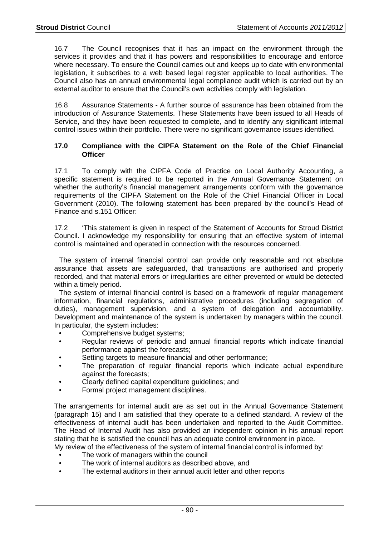16.7 The Council recognises that it has an impact on the environment through the services it provides and that it has powers and responsibilities to encourage and enforce where necessary. To ensure the Council carries out and keeps up to date with environmental legislation, it subscribes to a web based legal register applicable to local authorities. The Council also has an annual environmental legal compliance audit which is carried out by an external auditor to ensure that the Council's own activities comply with legislation.

16.8 Assurance Statements - A further source of assurance has been obtained from the introduction of Assurance Statements. These Statements have been issued to all Heads of Service, and they have been requested to complete, and to identify any significant internal control issues within their portfolio. There were no significant governance issues identified.

### **17.0 Compliance with the CIPFA Statement on the Role of the Chief Financial Officer**

17.1 To comply with the CIPFA Code of Practice on Local Authority Accounting, a specific statement is required to be reported in the Annual Governance Statement on whether the authority's financial management arrangements conform with the governance requirements of the CIPFA Statement on the Role of the Chief Financial Officer in Local Government (2010). The following statement has been prepared by the council's Head of Finance and s.151 Officer:

17.2 'This statement is given in respect of the Statement of Accounts for Stroud District Council. I acknowledge my responsibility for ensuring that an effective system of internal control is maintained and operated in connection with the resources concerned.

 The system of internal financial control can provide only reasonable and not absolute assurance that assets are safeguarded, that transactions are authorised and properly recorded, and that material errors or irregularities are either prevented or would be detected within a timely period.

 The system of internal financial control is based on a framework of regular management information, financial regulations, administrative procedures (including segregation of duties), management supervision, and a system of delegation and accountability. Development and maintenance of the system is undertaken by managers within the council. In particular, the system includes:

- Comprehensive budget systems:
- Regular reviews of periodic and annual financial reports which indicate financial performance against the forecasts;
- Setting targets to measure financial and other performance;
- The preparation of regular financial reports which indicate actual expenditure against the forecasts;
- Clearly defined capital expenditure guidelines; and
- Formal project management disciplines.

The arrangements for internal audit are as set out in the Annual Governance Statement (paragraph 15) and I am satisfied that they operate to a defined standard. A review of the effectiveness of internal audit has been undertaken and reported to the Audit Committee. The Head of Internal Audit has also provided an independent opinion in his annual report stating that he is satisfied the council has an adequate control environment in place.

- My review of the effectiveness of the system of internal financial control is informed by:
	- The work of managers within the council
	- The work of internal auditors as described above, and
- The external auditors in their annual audit letter and other reports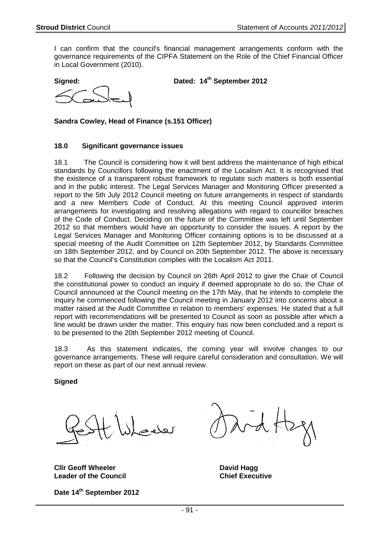I can confirm that the council's financial management arrangements conform with the governance requirements of the CIPFA Statement on the Role of the Chief Financial Officer in Local Government (2010).

**Signed: Dated: 14th September 2012**

**Sandra Cowley, Head of Finance (s.151 Officer)** 

#### **18.0 Significant governance issues**

18.1 The Council is considering how it will best address the maintenance of high ethical standards by Councillors following the enactment of the Localism Act. It is recognised that the existence of a transparent robust framework to regulate such matters is both essential and in the public interest. The Legal Services Manager and Monitoring Officer presented a report to the 5th July 2012 Council meeting on future arrangements in respect of standards and a new Members Code of Conduct. At this meeting Council approved interim arrangements for investigating and resolving allegations with regard to councillor breaches of the Code of Conduct. Deciding on the future of the Committee was left until September 2012 so that members would have an opportunity to consider the issues. A report by the Legal Services Manager and Monitoring Officer containing options is to be discussed at a special meeting of the Audit Committee on 12th September 2012, by Standards Committee on 18th September 2012, and by Council on 20th September 2012. The above is necessary so that the Council's Constitution complies with the Localism Act 2011.

18.2 Following the decision by Council on 26th April 2012 to give the Chair of Council the constitutional power to conduct an inquiry if deemed appropriate to do so, the Chair of Council announced at the Council meeting on the 17th May, that he intends to complete the inquiry he commenced following the Council meeting in January 2012 into concerns about a matter raised at the Audit Committee in relation to members' expenses. He stated that a full report with recommendations will be presented to Council as soon as possible after which a line would be drawn under the matter. This enquiry has now been concluded and a report is to be presented to the 20th September 2012 meeting of Council.

18.3 As this statement indicates, the coming year will involve changes to our governance arrangements. These will require careful consideration and consultation. We will report on these as part of our next annual review.

**Signed** 

**Clir Geoff Wheeler Clirich Cliric David Hagg David Hagg Leader of the Council Chief Executive** 

**Date 14th September 2012**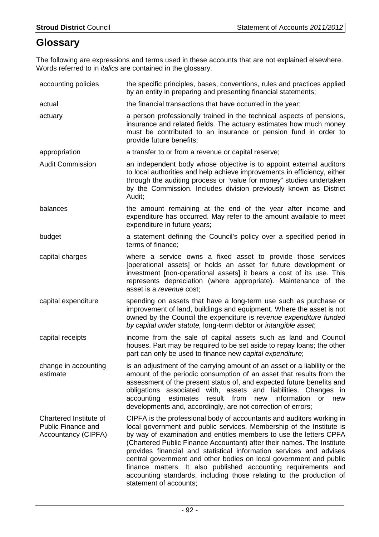# **Glossary**

The following are expressions and terms used in these accounts that are not explained elsewhere. Words referred to in *italics* are contained in the glossary.

| accounting policies                                                               | the specific principles, bases, conventions, rules and practices applied<br>by an entity in preparing and presenting financial statements;                                                                                                                                                                                                                                                                                                                                                                                                                                                                    |
|-----------------------------------------------------------------------------------|---------------------------------------------------------------------------------------------------------------------------------------------------------------------------------------------------------------------------------------------------------------------------------------------------------------------------------------------------------------------------------------------------------------------------------------------------------------------------------------------------------------------------------------------------------------------------------------------------------------|
| actual                                                                            | the financial transactions that have occurred in the year;                                                                                                                                                                                                                                                                                                                                                                                                                                                                                                                                                    |
| actuary                                                                           | a person professionally trained in the technical aspects of pensions,<br>insurance and related fields. The actuary estimates how much money<br>must be contributed to an insurance or pension fund in order to<br>provide future benefits;                                                                                                                                                                                                                                                                                                                                                                    |
| appropriation                                                                     | a transfer to or from a revenue or capital reserve;                                                                                                                                                                                                                                                                                                                                                                                                                                                                                                                                                           |
| <b>Audit Commission</b>                                                           | an independent body whose objective is to appoint external auditors<br>to local authorities and help achieve improvements in efficiency, either<br>through the auditing process or "value for money" studies undertaken<br>by the Commission. Includes division previously known as District<br>Audit;                                                                                                                                                                                                                                                                                                        |
| balances                                                                          | the amount remaining at the end of the year after income and<br>expenditure has occurred. May refer to the amount available to meet<br>expenditure in future years;                                                                                                                                                                                                                                                                                                                                                                                                                                           |
| budget                                                                            | a statement defining the Council's policy over a specified period in<br>terms of finance;                                                                                                                                                                                                                                                                                                                                                                                                                                                                                                                     |
| capital charges                                                                   | where a service owns a fixed asset to provide those services<br>[operational assets] or holds an asset for future development or<br>investment [non-operational assets] it bears a cost of its use. This<br>represents depreciation (where appropriate). Maintenance of the<br>asset is a revenue cost;                                                                                                                                                                                                                                                                                                       |
| capital expenditure                                                               | spending on assets that have a long-term use such as purchase or<br>improvement of land, buildings and equipment. Where the asset is not<br>owned by the Council the expenditure is revenue expenditure funded<br>by capital under statute, long-term debtor or intangible asset;                                                                                                                                                                                                                                                                                                                             |
| capital receipts                                                                  | income from the sale of capital assets such as land and Council<br>houses. Part may be required to be set aside to repay loans; the other<br>part can only be used to finance new capital expenditure;                                                                                                                                                                                                                                                                                                                                                                                                        |
| change in accounting<br>estimate                                                  | is an adjustment of the carrying amount of an asset or a liability or the<br>amount of the periodic consumption of an asset that results from the<br>assessment of the present status of, and expected future benefits and<br>obligations associated with, assets and liabilities. Changes in<br>accounting<br>estimates<br>result from<br>information<br>new<br><b>or</b><br>new<br>developments and, accordingly, are not correction of errors;                                                                                                                                                             |
| Chartered Institute of<br><b>Public Finance and</b><br><b>Accountancy (CIPFA)</b> | CIPFA is the professional body of accountants and auditors working in<br>local government and public services. Membership of the Institute is<br>by way of examination and entitles members to use the letters CPFA<br>(Chartered Public Finance Accountant) after their names. The Institute<br>provides financial and statistical information services and advises<br>central government and other bodies on local government and public<br>finance matters. It also published accounting requirements and<br>accounting standards, including those relating to the production of<br>statement of accounts; |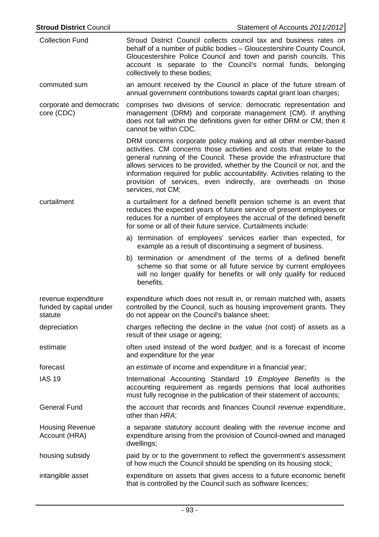| <b>Collection Fund</b>                                    | Stroud District Council collects council tax and business rates on<br>behalf of a number of public bodies - Gloucestershire County Council,<br>Gloucestershire Police Council and town and parish councils. This<br>account is separate to the Council's normal funds, belonging<br>collectively to these bodies;                                                                                                                                                |  |  |
|-----------------------------------------------------------|------------------------------------------------------------------------------------------------------------------------------------------------------------------------------------------------------------------------------------------------------------------------------------------------------------------------------------------------------------------------------------------------------------------------------------------------------------------|--|--|
| commuted sum                                              | an amount received by the Council in place of the future stream of<br>annual government contributions towards capital grant loan charges;                                                                                                                                                                                                                                                                                                                        |  |  |
| corporate and democratic<br>core (CDC)                    | comprises two divisions of service: democratic representation and<br>management (DRM) and corporate management (CM). If anything<br>does not fall within the definitions given for either DRM or CM, then it<br>cannot be within CDC.                                                                                                                                                                                                                            |  |  |
|                                                           | DRM concerns corporate policy making and all other member-based<br>activities. CM concerns those activities and costs that relate to the<br>general running of the Council. These provide the infrastructure that<br>allows services to be provided, whether by the Council or not, and the<br>information required for public accountability. Activities relating to the<br>provision of services, even indirectly, are overheads on those<br>services, not CM; |  |  |
| curtailment                                               | a curtailment for a defined benefit pension scheme is an event that<br>reduces the expected years of future service of present employees or<br>reduces for a number of employees the accrual of the defined benefit<br>for some or all of their future service. Curtailments include:                                                                                                                                                                            |  |  |
|                                                           | a) termination of employees' services earlier than expected, for<br>example as a result of discontinuing a segment of business.                                                                                                                                                                                                                                                                                                                                  |  |  |
|                                                           | b) termination or amendment of the terms of a defined benefit<br>scheme so that some or all future service by current employees<br>will no longer qualify for benefits or will only qualify for reduced<br>benefits.                                                                                                                                                                                                                                             |  |  |
| revenue expenditure<br>funded by capital under<br>statute | expenditure which does not result in, or remain matched with, assets<br>controlled by the Council, such as housing improvement grants. They<br>do not appear on the Council's balance sheet;                                                                                                                                                                                                                                                                     |  |  |
| depreciation                                              | charges reflecting the decline in the value (not cost) of assets as a<br>result of their usage or ageing;                                                                                                                                                                                                                                                                                                                                                        |  |  |
| estimate                                                  | often used instead of the word budget; and is a forecast of income<br>and expenditure for the year                                                                                                                                                                                                                                                                                                                                                               |  |  |
| forecast                                                  | an estimate of income and expenditure in a financial year;                                                                                                                                                                                                                                                                                                                                                                                                       |  |  |
| <b>IAS 19</b>                                             | International Accounting Standard 19 Employee Benefits is the<br>accounting requirement as regards pensions that local authorities<br>must fully recognise in the publication of their statement of accounts;                                                                                                                                                                                                                                                    |  |  |
| <b>General Fund</b>                                       | the account that records and finances Council revenue expenditure,<br>other than HRA;                                                                                                                                                                                                                                                                                                                                                                            |  |  |
| <b>Housing Revenue</b><br>Account (HRA)                   | a separate statutory account dealing with the revenue income and<br>expenditure arising from the provision of Council-owned and managed<br>dwellings;                                                                                                                                                                                                                                                                                                            |  |  |
| housing subsidy                                           | paid by or to the government to reflect the government's assessment<br>of how much the Council should be spending on its housing stock;                                                                                                                                                                                                                                                                                                                          |  |  |
| intangible asset                                          | expenditure on assets that gives access to a future economic benefit<br>that is controlled by the Council such as software licences;                                                                                                                                                                                                                                                                                                                             |  |  |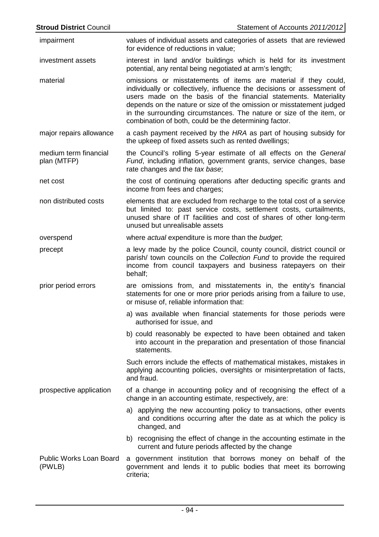| <b>Stroud District Council</b>       | Statement of Accounts 2011/2012                                                                                                                                                                                                                                                                                                                                                                                        |
|--------------------------------------|------------------------------------------------------------------------------------------------------------------------------------------------------------------------------------------------------------------------------------------------------------------------------------------------------------------------------------------------------------------------------------------------------------------------|
| impairment                           | values of individual assets and categories of assets that are reviewed<br>for evidence of reductions in value;                                                                                                                                                                                                                                                                                                         |
| investment assets                    | interest in land and/or buildings which is held for its investment<br>potential, any rental being negotiated at arm's length;                                                                                                                                                                                                                                                                                          |
| material                             | omissions or misstatements of items are material if they could,<br>individually or collectively, influence the decisions or assessment of<br>users made on the basis of the financial statements. Materiality<br>depends on the nature or size of the omission or misstatement judged<br>in the surrounding circumstances. The nature or size of the item, or<br>combination of both, could be the determining factor. |
| major repairs allowance              | a cash payment received by the HRA as part of housing subsidy for<br>the upkeep of fixed assets such as rented dwellings;                                                                                                                                                                                                                                                                                              |
| medium term financial<br>plan (MTFP) | the Council's rolling 5-year estimate of all effects on the General<br>Fund, including inflation, government grants, service changes, base<br>rate changes and the tax base;                                                                                                                                                                                                                                           |
| net cost                             | the cost of continuing operations after deducting specific grants and<br>income from fees and charges;                                                                                                                                                                                                                                                                                                                 |
| non distributed costs                | elements that are excluded from recharge to the total cost of a service<br>but limited to: past service costs, settlement costs, curtailments,<br>unused share of IT facilities and cost of shares of other long-term<br>unused but unrealisable assets                                                                                                                                                                |
| overspend                            | where actual expenditure is more than the budget;                                                                                                                                                                                                                                                                                                                                                                      |
| precept                              | a levy made by the police Council, county council, district council or<br>parish/ town councils on the Collection Fund to provide the required<br>income from council taxpayers and business ratepayers on their<br>behalf;                                                                                                                                                                                            |
| prior period errors                  | are omissions from, and misstatements in, the entity's financial<br>statements for one or more prior periods arising from a failure to use,<br>or misuse of, reliable information that:                                                                                                                                                                                                                                |
|                                      | a) was available when financial statements for those periods were<br>authorised for issue, and                                                                                                                                                                                                                                                                                                                         |
|                                      | b) could reasonably be expected to have been obtained and taken<br>into account in the preparation and presentation of those financial<br>statements.                                                                                                                                                                                                                                                                  |
|                                      | Such errors include the effects of mathematical mistakes, mistakes in<br>applying accounting policies, oversights or misinterpretation of facts,<br>and fraud.                                                                                                                                                                                                                                                         |
| prospective application              | of a change in accounting policy and of recognising the effect of a<br>change in an accounting estimate, respectively, are:                                                                                                                                                                                                                                                                                            |
|                                      | a) applying the new accounting policy to transactions, other events<br>and conditions occurring after the date as at which the policy is<br>changed, and                                                                                                                                                                                                                                                               |
|                                      | b) recognising the effect of change in the accounting estimate in the<br>current and future periods affected by the change                                                                                                                                                                                                                                                                                             |
| Public Works Loan Board<br>(PWLB)    | a government institution that borrows money on behalf of the<br>government and lends it to public bodies that meet its borrowing<br>criteria;                                                                                                                                                                                                                                                                          |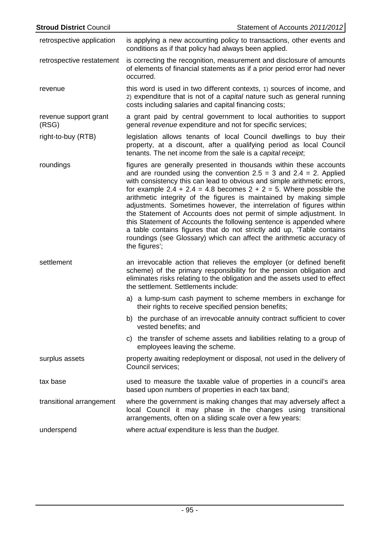| <b>Stroud District Council</b> | Statement of Accounts 2011/2012                                                                                                                                                                                                                                                                                                                                                                                                                                                                                                                                                                                                                                                                                                                             |
|--------------------------------|-------------------------------------------------------------------------------------------------------------------------------------------------------------------------------------------------------------------------------------------------------------------------------------------------------------------------------------------------------------------------------------------------------------------------------------------------------------------------------------------------------------------------------------------------------------------------------------------------------------------------------------------------------------------------------------------------------------------------------------------------------------|
| retrospective application      | is applying a new accounting policy to transactions, other events and<br>conditions as if that policy had always been applied.                                                                                                                                                                                                                                                                                                                                                                                                                                                                                                                                                                                                                              |
| retrospective restatement      | is correcting the recognition, measurement and disclosure of amounts<br>of elements of financial statements as if a prior period error had never<br>occurred.                                                                                                                                                                                                                                                                                                                                                                                                                                                                                                                                                                                               |
| revenue                        | this word is used in two different contexts, 1) sources of income, and<br>2) expenditure that is not of a capital nature such as general running<br>costs including salaries and capital financing costs;                                                                                                                                                                                                                                                                                                                                                                                                                                                                                                                                                   |
| revenue support grant<br>(RSG) | a grant paid by central government to local authorities to support<br>general revenue expenditure and not for specific services;                                                                                                                                                                                                                                                                                                                                                                                                                                                                                                                                                                                                                            |
| right-to-buy (RTB)             | legislation allows tenants of local Council dwellings to buy their<br>property, at a discount, after a qualifying period as local Council<br>tenants. The net income from the sale is a capital receipt;                                                                                                                                                                                                                                                                                                                                                                                                                                                                                                                                                    |
| roundings                      | figures are generally presented in thousands within these accounts<br>and are rounded using the convention $2.5 = 3$ and $2.4 = 2$ . Applied<br>with consistency this can lead to obvious and simple arithmetic errors,<br>for example 2.4 + 2.4 = 4.8 becomes $2 + 2 = 5$ . Where possible the<br>arithmetic integrity of the figures is maintained by making simple<br>adjustments. Sometimes however, the interrelation of figures within<br>the Statement of Accounts does not permit of simple adjustment. In<br>this Statement of Accounts the following sentence is appended where<br>a table contains figures that do not strictly add up, 'Table contains<br>roundings (see Glossary) which can affect the arithmetic accuracy of<br>the figures'; |
| settlement                     | an irrevocable action that relieves the employer (or defined benefit<br>scheme) of the primary responsibility for the pension obligation and<br>eliminates risks relating to the obligation and the assets used to effect<br>the settlement. Settlements include:                                                                                                                                                                                                                                                                                                                                                                                                                                                                                           |
|                                | a) a lump-sum cash payment to scheme members in exchange for<br>their rights to receive specified pension benefits;                                                                                                                                                                                                                                                                                                                                                                                                                                                                                                                                                                                                                                         |
|                                | b) the purchase of an irrevocable annuity contract sufficient to cover<br>vested benefits; and                                                                                                                                                                                                                                                                                                                                                                                                                                                                                                                                                                                                                                                              |
|                                | c) the transfer of scheme assets and liabilities relating to a group of<br>employees leaving the scheme.                                                                                                                                                                                                                                                                                                                                                                                                                                                                                                                                                                                                                                                    |
| surplus assets                 | property awaiting redeployment or disposal, not used in the delivery of<br>Council services;                                                                                                                                                                                                                                                                                                                                                                                                                                                                                                                                                                                                                                                                |
| tax base                       | used to measure the taxable value of properties in a council's area<br>based upon numbers of properties in each tax band;                                                                                                                                                                                                                                                                                                                                                                                                                                                                                                                                                                                                                                   |
| transitional arrangement       | where the government is making changes that may adversely affect a<br>local Council it may phase in the changes using transitional<br>arrangements, often on a sliding scale over a few years:                                                                                                                                                                                                                                                                                                                                                                                                                                                                                                                                                              |
| underspend                     | where actual expenditure is less than the budget.                                                                                                                                                                                                                                                                                                                                                                                                                                                                                                                                                                                                                                                                                                           |